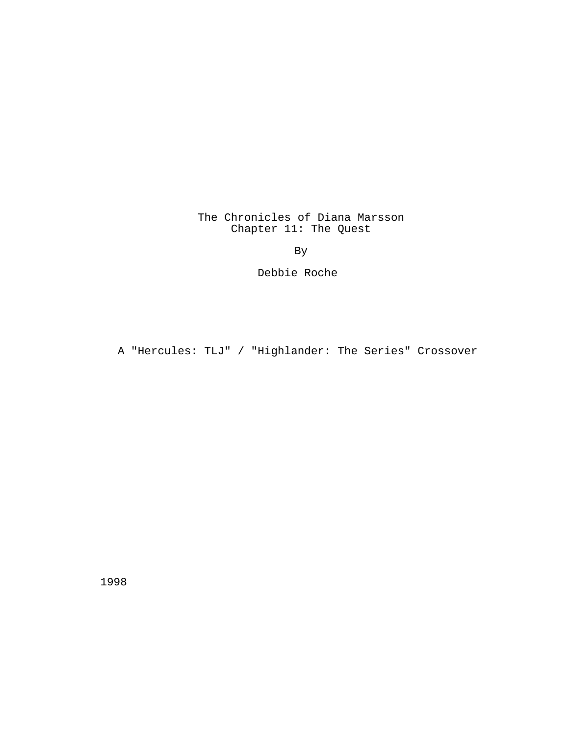# The Chronicles of Diana Marsson Chapter 11: The Quest

By

Debbie Roche

A "Hercules: TLJ" / "Highlander: The Series" Crossover

1998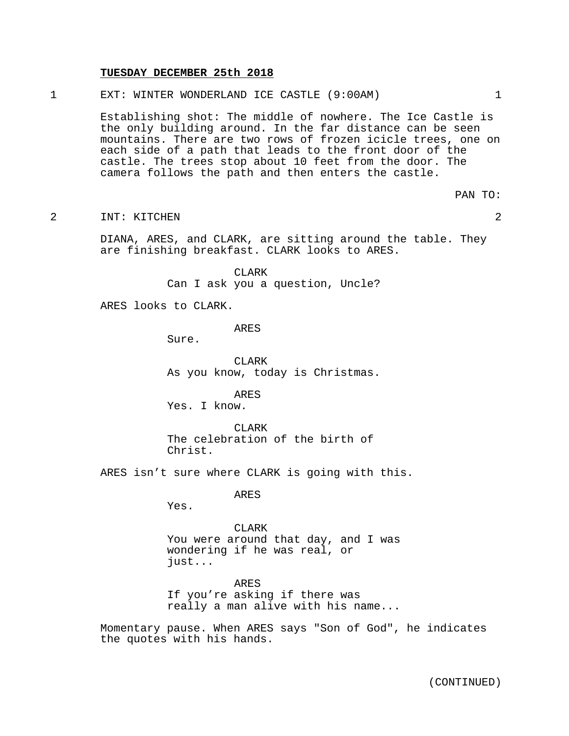#### **TUESDAY DECEMBER 25th 2018**

1 EXT: WINTER WONDERLAND ICE CASTLE (9:00AM) 1

Establishing shot: The middle of nowhere. The Ice Castle is the only building around. In the far distance can be seen mountains. There are two rows of frozen icicle trees, one on each side of a path that leads to the front door of the castle. The trees stop about 10 feet from the door. The camera follows the path and then enters the castle.

PAN TO:

2 INT: KITCHEN 2

DIANA, ARES, and CLARK, are sitting around the table. They are finishing breakfast. CLARK looks to ARES.

> CLARK Can I ask you a question, Uncle?

ARES looks to CLARK.

ARES

Sure.

CLARK As you know, today is Christmas.

ARES Yes. I know.

CLARK The celebration of the birth of Christ.

ARES isn't sure where CLARK is going with this.

ARES

Yes.

**CLARK** You were around that day, and I was wondering if he was real, or just...

ARES If you're asking if there was really a man alive with his name...

Momentary pause. When ARES says "Son of God", he indicates the quotes with his hands.

(CONTINUED)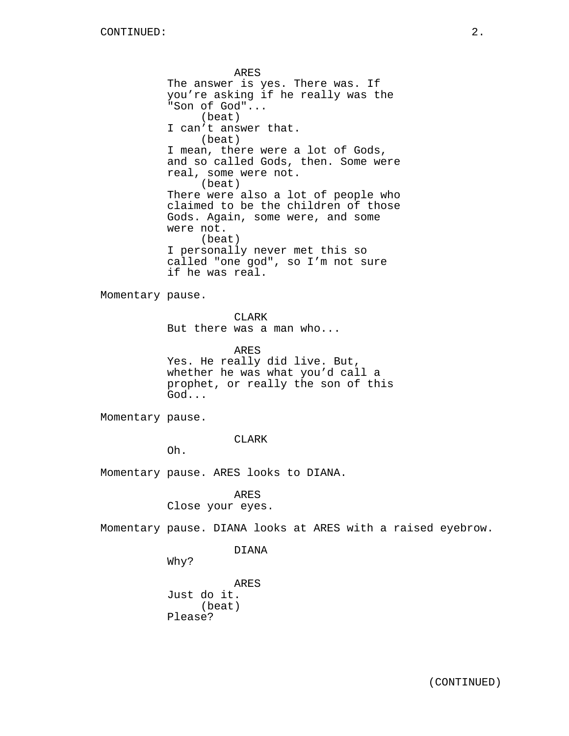ARES The answer is yes. There was. If you're asking if he really was the "Son of God"... (beat) I can't answer that. (beat) I mean, there were a lot of Gods, and so called Gods, then. Some were real, some were not. (beat) There were also a lot of people who claimed to be the children of those Gods. Again, some were, and some were not. (beat) I personally never met this so called "one god", so I'm not sure if he was real. Momentary pause. CLARK But there was a man who... ARES Yes. He really did live. But, whether he was what you'd call a prophet, or really the son of this God... Momentary pause. CLARK Oh. Momentary pause. ARES looks to DIANA. ARES Close your eyes. Momentary pause. DIANA looks at ARES with a raised eyebrow. DIANA Why?

ARES Just do it. (beat) Please?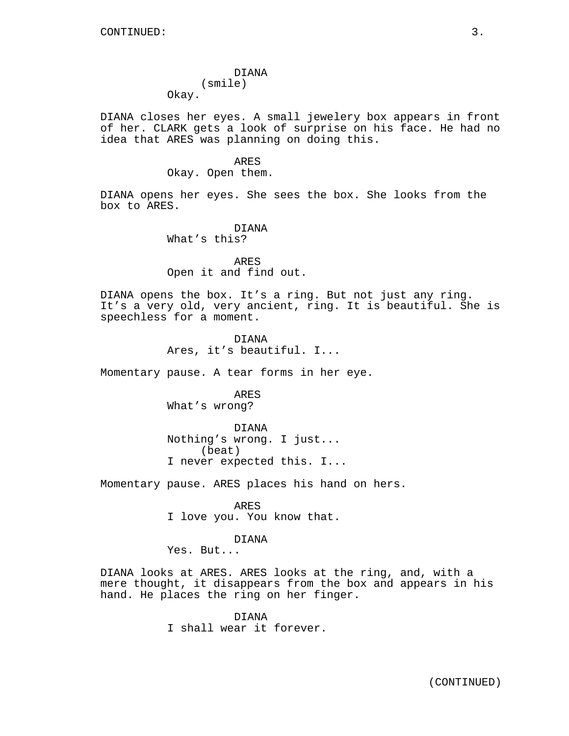# DIANA (smile)

Okay.

DIANA closes her eyes. A small jewelery box appears in front of her. CLARK gets a look of surprise on his face. He had no idea that ARES was planning on doing this.

# ARES Okay. Open them.

DIANA opens her eyes. She sees the box. She looks from the box to ARES.

> **DIANA** What's this?

ARES Open it and find out.

DIANA opens the box. It's a ring. But not just any ring. It's a very old, very ancient, ring. It is beautiful. She is speechless for a moment.

> DIANA Ares, it's beautiful. I...

Momentary pause. A tear forms in her eye.

ARES What's wrong?

DIANA Nothing's wrong. I just... (beat) I never expected this. I...

Momentary pause. ARES places his hand on hers.

ARES I love you. You know that.

### DIANA

Yes. But...

DIANA looks at ARES. ARES looks at the ring, and, with a mere thought, it disappears from the box and appears in his hand. He places the ring on her finger.

> DIANA I shall wear it forever.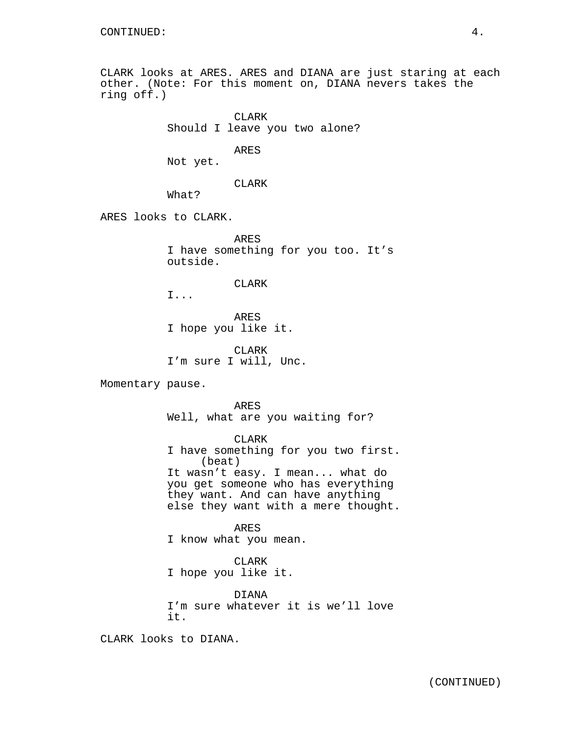CLARK looks at ARES. ARES and DIANA are just staring at each other. (Note: For this moment on, DIANA nevers takes the ring off.)

> CLARK Should I leave you two alone?

> > ARES

Not yet.

CLARK

What?

ARES looks to CLARK.

ARES I have something for you too. It's outside.

## CLARK

I...

ARES I hope you like it.

CLARK I'm sure I will, Unc.

Momentary pause.

ARES Well, what are you waiting for?

CLARK

I have something for you two first. (beat) It wasn't easy. I mean... what do you get someone who has everything they want. And can have anything else they want with a mere thought.

ARES I know what you mean.

CLARK

I hope you like it.

DIANA I'm sure whatever it is we'll love it.

CLARK looks to DIANA.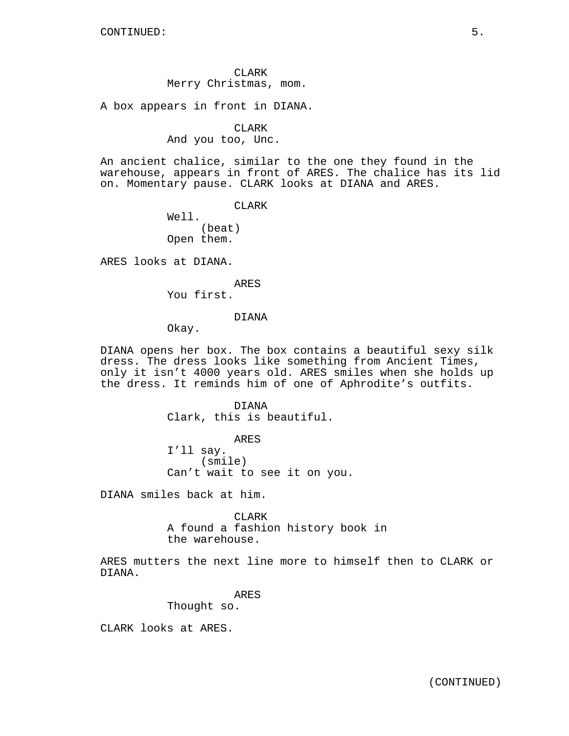CLARK Merry Christmas, mom.

A box appears in front in DIANA.

# CLARK

And you too, Unc.

An ancient chalice, similar to the one they found in the warehouse, appears in front of ARES. The chalice has its lid on. Momentary pause. CLARK looks at DIANA and ARES.

CLARK

Well. (beat) Open them.

ARES looks at DIANA.

ARES

You first.

### DIANA

Okay.

DIANA opens her box. The box contains a beautiful sexy silk dress. The dress looks like something from Ancient Times, only it isn't 4000 years old. ARES smiles when she holds up the dress. It reminds him of one of Aphrodite's outfits.

> DIANA Clark, this is beautiful.

ARES I'll say. (smile) Can't wait to see it on you.

DIANA smiles back at him.

CLARK A found a fashion history book in the warehouse.

ARES mutters the next line more to himself then to CLARK or DIANA.

ARES

Thought so.

CLARK looks at ARES.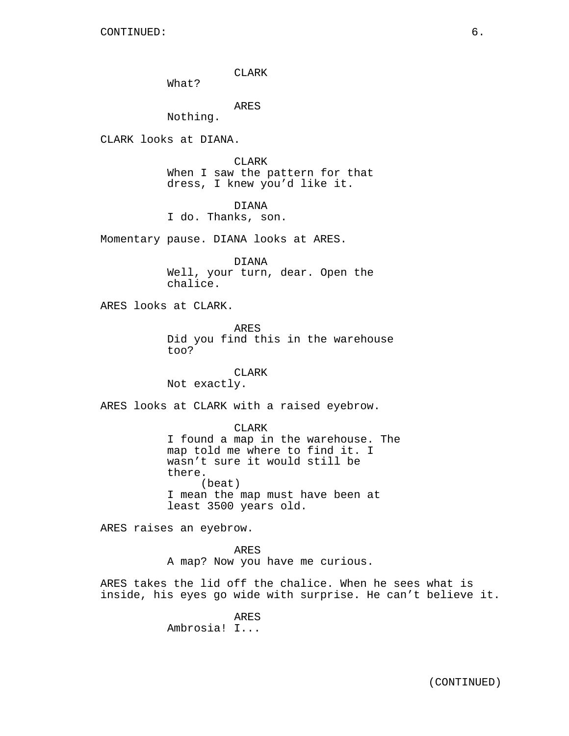CLARK

What?

ARES

Nothing.

CLARK looks at DIANA.

CLARK When I saw the pattern for that dress, I knew you'd like it.

DIANA

I do. Thanks, son.

Momentary pause. DIANA looks at ARES.

DIANA Well, your turn, dear. Open the chalice.

ARES looks at CLARK.

ARES Did you find this in the warehouse too?

CLARK

Not exactly.

ARES looks at CLARK with a raised eyebrow.

CLARK

I found a map in the warehouse. The map told me where to find it. I wasn't sure it would still be there. (beat) I mean the map must have been at least 3500 years old.

ARES raises an eyebrow.

ARES A map? Now you have me curious.

ARES takes the lid off the chalice. When he sees what is inside, his eyes go wide with surprise. He can't believe it.

> ARES Ambrosia! I...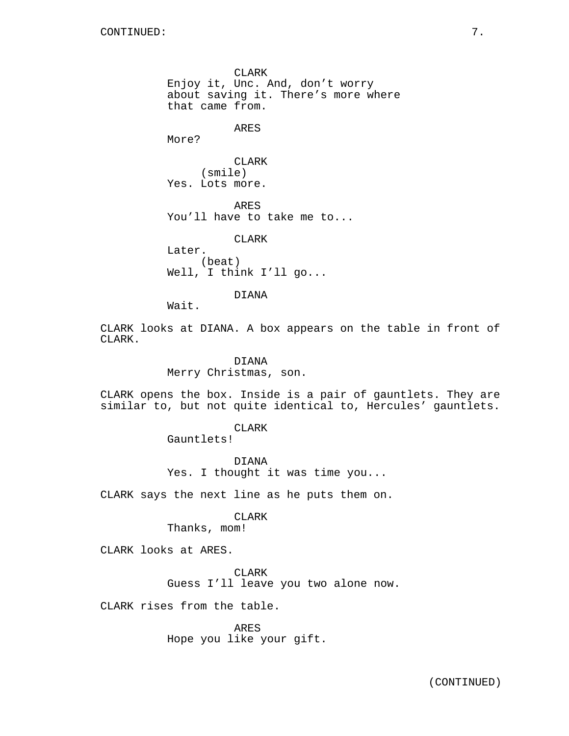CLARK Enjoy it, Unc. And, don't worry about saving it. There's more where that came from. ARES More? CLARK (smile) Yes. Lots more. ARES You'll have to take me to... CLARK Later. (beat) Well, I think I'll go... DIANA

Wait.

CLARK looks at DIANA. A box appears on the table in front of CLARK.

> DIANA Merry Christmas, son.

CLARK opens the box. Inside is a pair of gauntlets. They are similar to, but not quite identical to, Hercules' gauntlets.

CLARK

Gauntlets!

DIANA Yes. I thought it was time you...

CLARK says the next line as he puts them on.

#### CLARK

Thanks, mom!

CLARK looks at ARES.

CLARK Guess I'll leave you two alone now.

CLARK rises from the table.

ARES Hope you like your gift.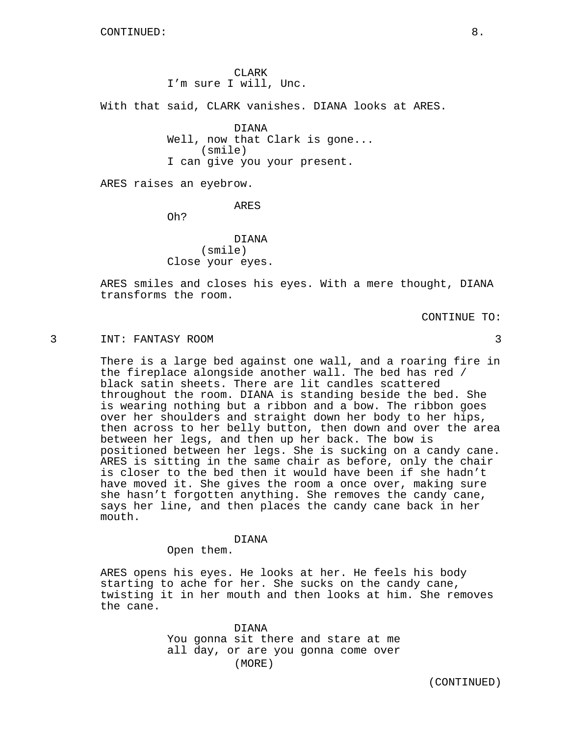CLARK I'm sure I will, Unc.

With that said, CLARK vanishes. DIANA looks at ARES.

DIANA Well, now that Clark is gone... (smile) I can give you your present.

ARES raises an eyebrow.

ARES

Oh?

DIANA (smile) Close your eyes.

ARES smiles and closes his eyes. With a mere thought, DIANA transforms the room.

CONTINUE TO:

#### 3 INT: FANTASY ROOM 3

There is a large bed against one wall, and a roaring fire in the fireplace alongside another wall. The bed has red / black satin sheets. There are lit candles scattered throughout the room. DIANA is standing beside the bed. She is wearing nothing but a ribbon and a bow. The ribbon goes over her shoulders and straight down her body to her hips, then across to her belly button, then down and over the area between her legs, and then up her back. The bow is positioned between her legs. She is sucking on a candy cane. ARES is sitting in the same chair as before, only the chair is closer to the bed then it would have been if she hadn't have moved it. She gives the room a once over, making sure she hasn't forgotten anything. She removes the candy cane, says her line, and then places the candy cane back in her mouth.

### DIANA

Open them.

ARES opens his eyes. He looks at her. He feels his body starting to ache for her. She sucks on the candy cane, twisting it in her mouth and then looks at him. She removes the cane.

> DIANA You gonna sit there and stare at me all day, or are you gonna come over (MORE)

> > (CONTINUED)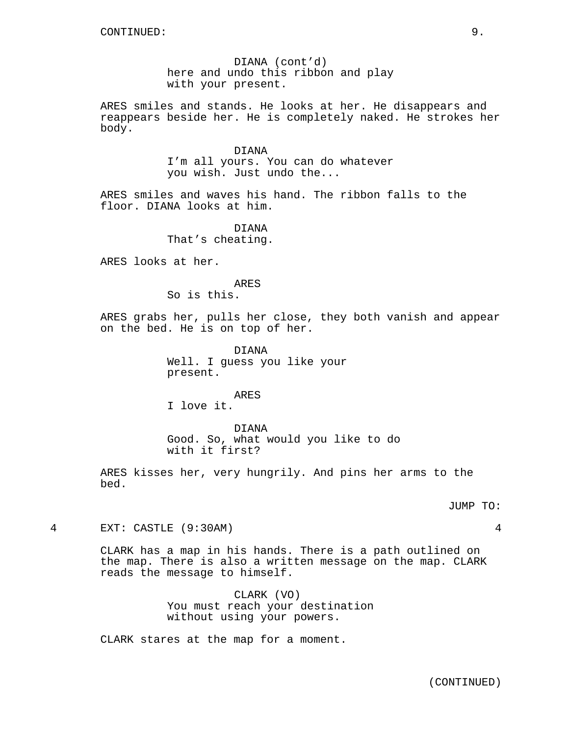DIANA (cont'd) here and undo this ribbon and play with your present.

ARES smiles and stands. He looks at her. He disappears and reappears beside her. He is completely naked. He strokes her body.

#### DIANA

I'm all yours. You can do whatever you wish. Just undo the...

ARES smiles and waves his hand. The ribbon falls to the floor. DIANA looks at him.

> DIANA That's cheating.

ARES looks at her.

# ARES

So is this.

ARES grabs her, pulls her close, they both vanish and appear on the bed. He is on top of her.

> DIANA Well. I guess you like your present.

> > ARES

I love it.

DIANA Good. So, what would you like to do with it first?

ARES kisses her, very hungrily. And pins her arms to the bed.

# JUMP TO:

4 EXT: CASTLE (9:30AM) 4

CLARK has a map in his hands. There is a path outlined on the map. There is also a written message on the map. CLARK reads the message to himself.

> CLARK (VO) You must reach your destination without using your powers.

CLARK stares at the map for a moment.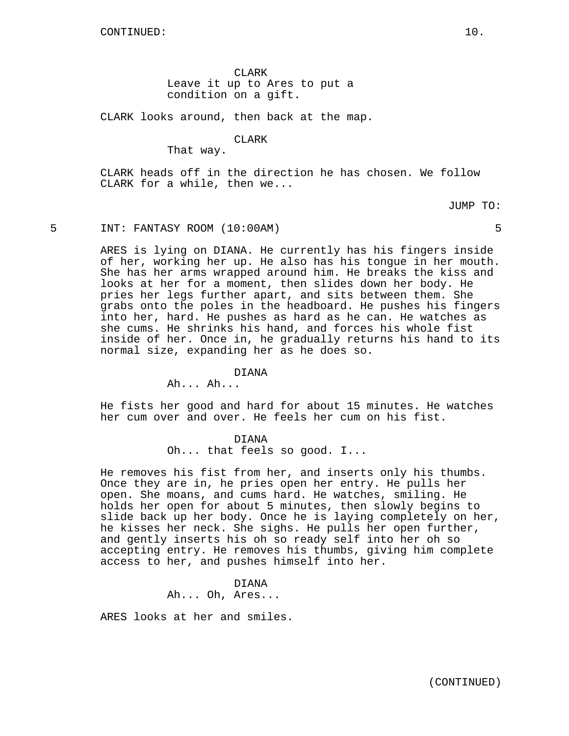CLARK Leave it up to Ares to put a condition on a gift.

CLARK looks around, then back at the map.

CLARK

That way.

CLARK heads off in the direction he has chosen. We follow CLARK for a while, then we...

JUMP TO:

5 INT: FANTASY ROOM (10:00AM) 5

ARES is lying on DIANA. He currently has his fingers inside of her, working her up. He also has his tongue in her mouth. She has her arms wrapped around him. He breaks the kiss and looks at her for a moment, then slides down her body. He pries her legs further apart, and sits between them. She grabs onto the poles in the headboard. He pushes his fingers into her, hard. He pushes as hard as he can. He watches as she cums. He shrinks his hand, and forces his whole fist inside of her. Once in, he gradually returns his hand to its normal size, expanding her as he does so.

# DIANA

Ah... Ah...

He fists her good and hard for about 15 minutes. He watches her cum over and over. He feels her cum on his fist.

DIANA

Oh... that feels so good. I...

He removes his fist from her, and inserts only his thumbs. Once they are in, he pries open her entry. He pulls her open. She moans, and cums hard. He watches, smiling. He holds her open for about 5 minutes, then slowly begins to slide back up her body. Once he is laying completely on her, he kisses her neck. She sighs. He pulls her open further, and gently inserts his oh so ready self into her oh so accepting entry. He removes his thumbs, giving him complete access to her, and pushes himself into her.

# DIANA Ah... Oh, Ares...

ARES looks at her and smiles.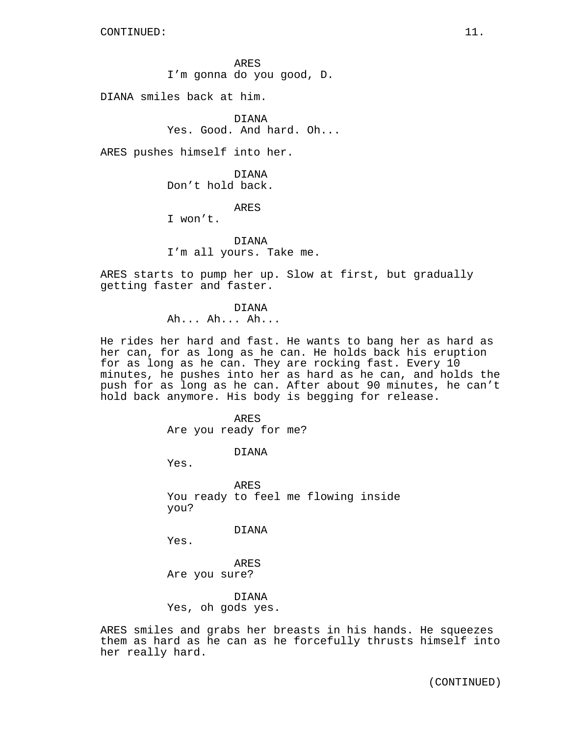ARES I'm gonna do you good, D.

DIANA smiles back at him.

DIANA Yes. Good. And hard. Oh...

ARES pushes himself into her.

DIANA Don't hold back.

ARES

I won't.

DIANA I'm all yours. Take me.

ARES starts to pump her up. Slow at first, but gradually getting faster and faster.

> DIANA Ah... Ah... Ah...

He rides her hard and fast. He wants to bang her as hard as her can, for as long as he can. He holds back his eruption for as long as he can. They are rocking fast. Every 10 minutes, he pushes into her as hard as he can, and holds the push for as long as he can. After about 90 minutes, he can't hold back anymore. His body is begging for release.

> ARES Are you ready for me?

> > DIANA

Yes.

ARES You ready to feel me flowing inside you?

DIANA

Yes.

ARES Are you sure?

DIANA Yes, oh gods yes.

ARES smiles and grabs her breasts in his hands. He squeezes them as hard as he can as he forcefully thrusts himself into her really hard.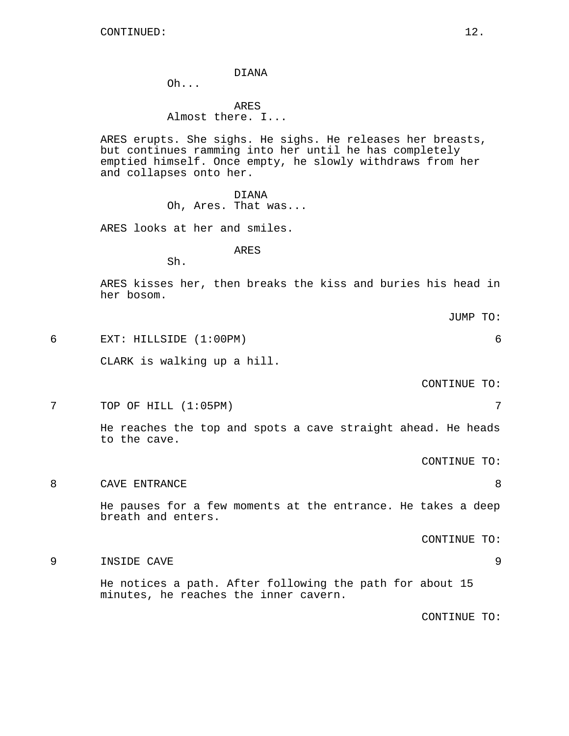#### DIANA

Oh...

ARES Almost there. I...

ARES erupts. She sighs. He sighs. He releases her breasts, but continues ramming into her until he has completely emptied himself. Once empty, he slowly withdraws from her and collapses onto her.

#### DIANA

Oh, Ares. That was...

ARES looks at her and smiles.

# ARES

Sh.

ARES kisses her, then breaks the kiss and buries his head in her bosom.

JUMP TO:

6 EXT: HILLSIDE (1:00PM) 6

CLARK is walking up a hill.

CONTINUE TO:

7 TOP OF HILL (1:05PM) 7

He reaches the top and spots a cave straight ahead. He heads to the cave.

CONTINUE TO:

8 CAVE ENTRANCE 2008 He pauses for a few moments at the entrance. He takes a deep breath and enters.

CONTINUE TO:

9 INSIDE CAVE 9

He notices a path. After following the path for about 15 minutes, he reaches the inner cavern.

CONTINUE TO: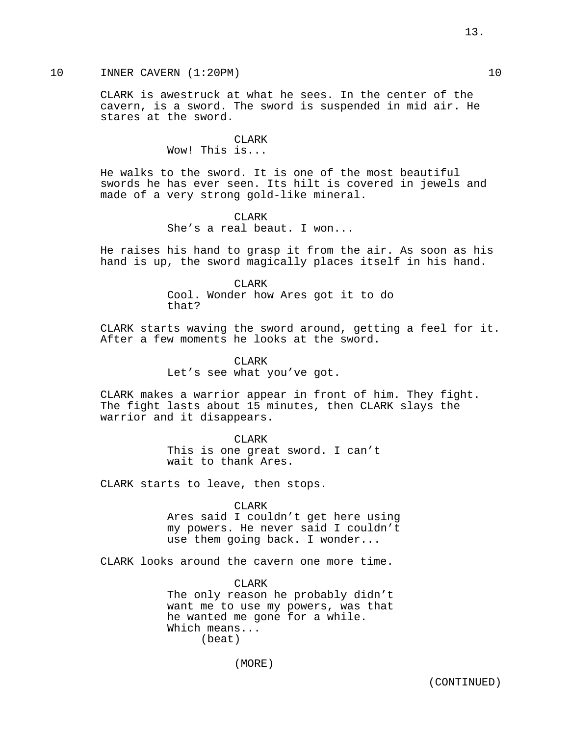# 10 INNER CAVERN (1:20PM) 10

CLARK is awestruck at what he sees. In the center of the cavern, is a sword. The sword is suspended in mid air. He stares at the sword.

> CLARK Wow! This is...

He walks to the sword. It is one of the most beautiful swords he has ever seen. Its hilt is covered in jewels and made of a very strong gold-like mineral.

> CLARK She's a real beaut. I won...

He raises his hand to grasp it from the air. As soon as his hand is up, the sword magically places itself in his hand.

> CLARK Cool. Wonder how Ares got it to do that?

CLARK starts waving the sword around, getting a feel for it. After a few moments he looks at the sword.

> CLARK Let's see what you've got.

CLARK makes a warrior appear in front of him. They fight. The fight lasts about 15 minutes, then CLARK slays the warrior and it disappears.

> CLARK This is one great sword. I can't wait to thank Ares.

CLARK starts to leave, then stops.

CLARK

Ares said I couldn't get here using my powers. He never said I couldn't use them going back. I wonder...

CLARK looks around the cavern one more time.

CLARK The only reason he probably didn't want me to use my powers, was that he wanted me gone for a while. Which means... (beat)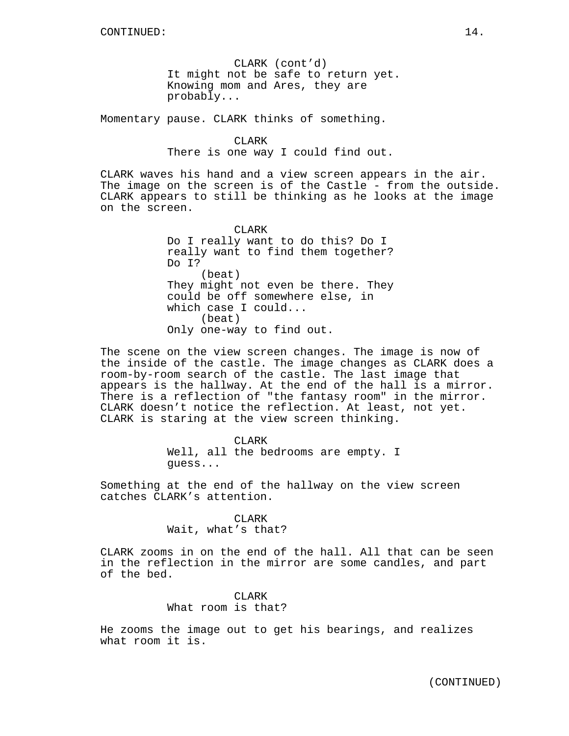CLARK (cont'd) It might not be safe to return yet. Knowing mom and Ares, they are probably...

Momentary pause. CLARK thinks of something.

# CLARK

There is one way I could find out.

CLARK waves his hand and a view screen appears in the air. The image on the screen is of the Castle - from the outside. CLARK appears to still be thinking as he looks at the image on the screen.

> CLARK Do I really want to do this? Do I really want to find them together? Do I? (beat) They might not even be there. They could be off somewhere else, in which case I could... (beat) Only one-way to find out.

The scene on the view screen changes. The image is now of the inside of the castle. The image changes as CLARK does a room-by-room search of the castle. The last image that appears is the hallway. At the end of the hall is a mirror. There is a reflection of "the fantasy room" in the mirror. CLARK doesn't notice the reflection. At least, not yet. CLARK is staring at the view screen thinking.

> CLARK Well, all the bedrooms are empty. I guess...

Something at the end of the hallway on the view screen catches CLARK's attention.

> CLARK Wait, what's that?

CLARK zooms in on the end of the hall. All that can be seen in the reflection in the mirror are some candles, and part of the bed.

> **CLARK** What room is that?

He zooms the image out to get his bearings, and realizes what room it is.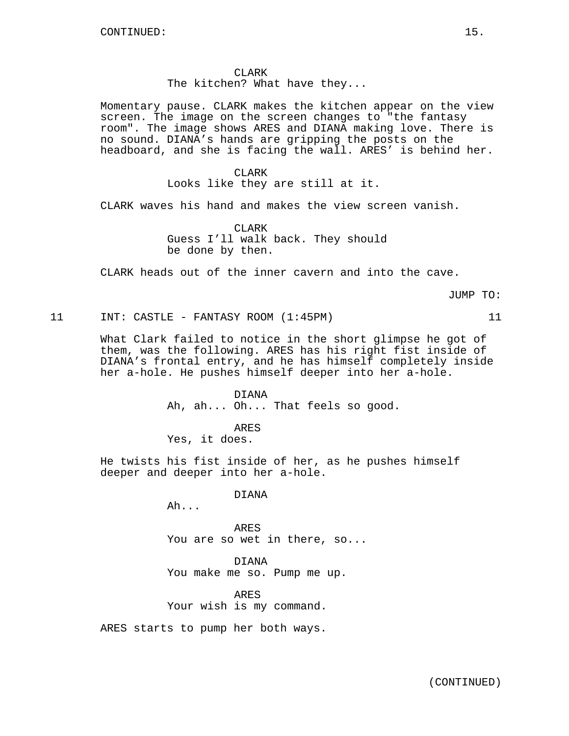CLARK The kitchen? What have they...

Momentary pause. CLARK makes the kitchen appear on the view screen. The image on the screen changes to "the fantasy room". The image shows ARES and DIANA making love. There is no sound. DIANA's hands are gripping the posts on the headboard, and she is facing the wall. ARES' is behind her.

> CLARK Looks like they are still at it.

CLARK waves his hand and makes the view screen vanish.

CLARK Guess I'll walk back. They should be done by then.

CLARK heads out of the inner cavern and into the cave.

JUMP TO:

# 11 INT: CASTLE - FANTASY ROOM (1:45PM) 11

What Clark failed to notice in the short glimpse he got of them, was the following. ARES has his right fist inside of DIANA's frontal entry, and he has himself completely inside her a-hole. He pushes himself deeper into her a-hole.

> DIANA Ah, ah... Oh... That feels so good.

ARES Yes, it does.

He twists his fist inside of her, as he pushes himself deeper and deeper into her a-hole.

DIANA

Ah...

ARES You are so wet in there, so...

DIANA

You make me so. Pump me up.

ARES Your wish is my command.

ARES starts to pump her both ways.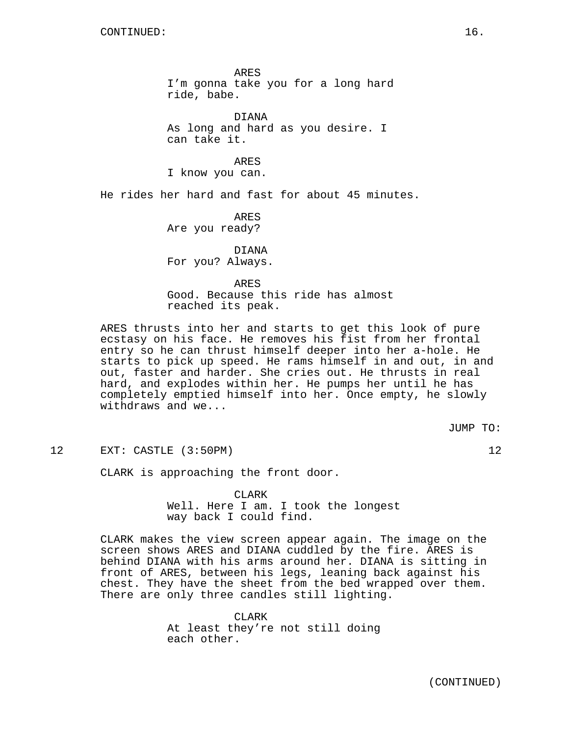ARES I'm gonna take you for a long hard ride, babe.

DIANA As long and hard as you desire. I can take it.

ARES I know you can.

He rides her hard and fast for about 45 minutes.

ARES Are you ready?

DIANA For you? Always.

ARES Good. Because this ride has almost reached its peak.

ARES thrusts into her and starts to get this look of pure ecstasy on his face. He removes his fist from her frontal entry so he can thrust himself deeper into her a-hole. He starts to pick up speed. He rams himself in and out, in and out, faster and harder. She cries out. He thrusts in real hard, and explodes within her. He pumps her until he has completely emptied himself into her. Once empty, he slowly withdraws and we...

JUMP TO:

12 EXT: CASTLE (3:50PM) 12

CLARK is approaching the front door.

CLARK Well. Here I am. I took the longest way back I could find.

CLARK makes the view screen appear again. The image on the screen shows ARES and DIANA cuddled by the fire. ARES is behind DIANA with his arms around her. DIANA is sitting in front of ARES, between his legs, leaning back against his chest. They have the sheet from the bed wrapped over them. There are only three candles still lighting.

> CLARK At least they're not still doing each other.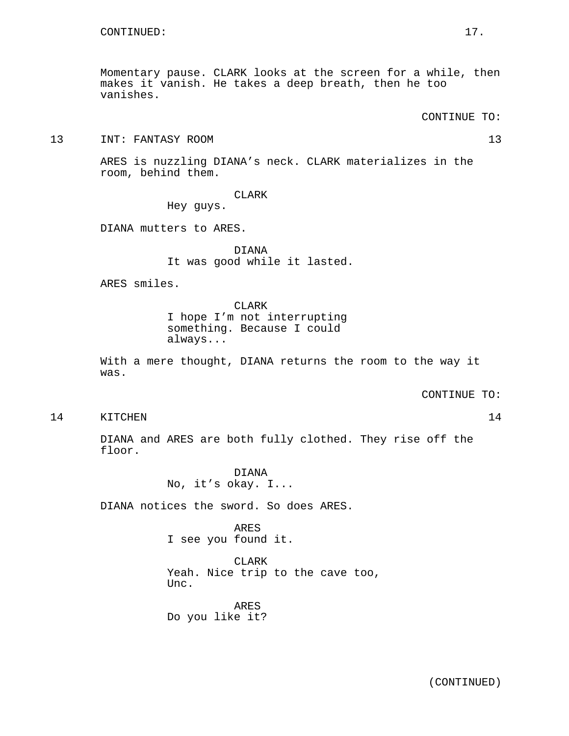Momentary pause. CLARK looks at the screen for a while, then makes it vanish. He takes a deep breath, then he too vanishes.

CONTINUE TO:

13 INT: FANTASY ROOM 13

ARES is nuzzling DIANA's neck. CLARK materializes in the room, behind them.

CLARK

Hey guys.

DIANA mutters to ARES.

DIANA It was good while it lasted.

ARES smiles.

CLARK I hope I'm not interrupting something. Because I could always...

With a mere thought, DIANA returns the room to the way it was.

CONTINUE TO:

14 KITCHEN 14

DIANA and ARES are both fully clothed. They rise off the floor.

> DIANA No, it's okay. I...

DIANA notices the sword. So does ARES.

ARES I see you found it.

CLARK Yeah. Nice trip to the cave too, Unc.

ARES Do you like it?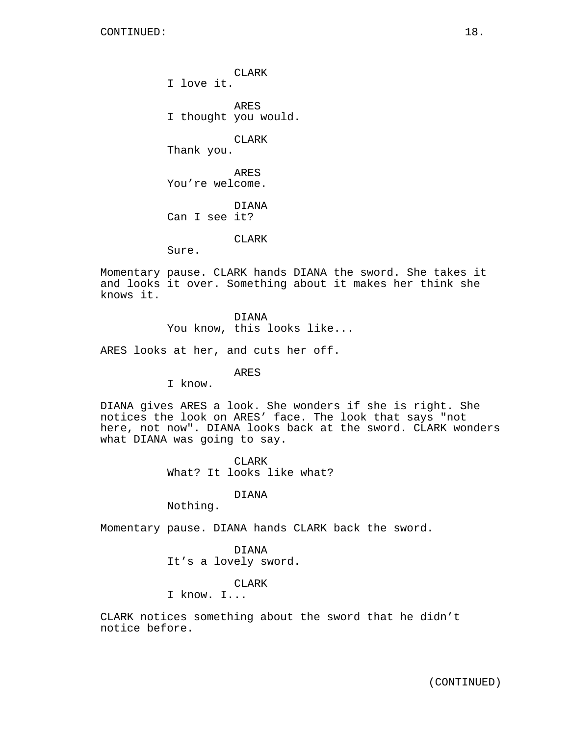CLARK I love it.

ARES I thought you would.

CLARK

Thank you.

ARES You're welcome.

DIANA Can I see it?

CLARK

Sure.

Momentary pause. CLARK hands DIANA the sword. She takes it and looks it over. Something about it makes her think she knows it.

DIANA

You know, this looks like...

ARES looks at her, and cuts her off.

ARES

I know.

DIANA gives ARES a look. She wonders if she is right. She notices the look on ARES' face. The look that says "not here, not now". DIANA looks back at the sword. CLARK wonders what DIANA was going to say.

> CLARK What? It looks like what?

#### DIANA

Nothing.

Momentary pause. DIANA hands CLARK back the sword.

DIANA It's a lovely sword.

CLARK

I know. I...

CLARK notices something about the sword that he didn't notice before.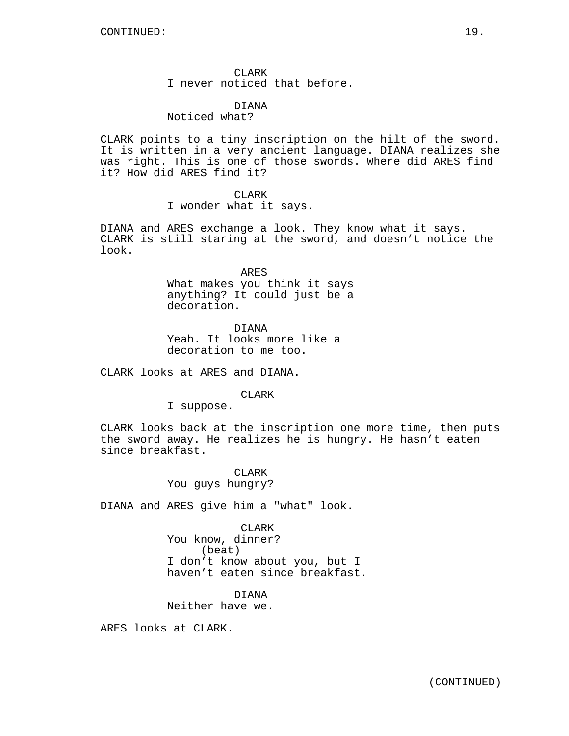#### DIANA Noticed what?

CLARK points to a tiny inscription on the hilt of the sword. It is written in a very ancient language. DIANA realizes she was right. This is one of those swords. Where did ARES find it? How did ARES find it?

### CLARK

I wonder what it says.

DIANA and ARES exchange a look. They know what it says. CLARK is still staring at the sword, and doesn't notice the look.

ARES

What makes you think it says anything? It could just be a decoration.

DIANA Yeah. It looks more like a decoration to me too.

CLARK looks at ARES and DIANA.

CLARK

I suppose.

CLARK looks back at the inscription one more time, then puts the sword away. He realizes he is hungry. He hasn't eaten since breakfast.

> CLARK You guys hungry?

DIANA and ARES give him a "what" look.

CLARK

You know, dinner? (beat) I don't know about you, but I haven't eaten since breakfast.

DIANA Neither have we.

ARES looks at CLARK.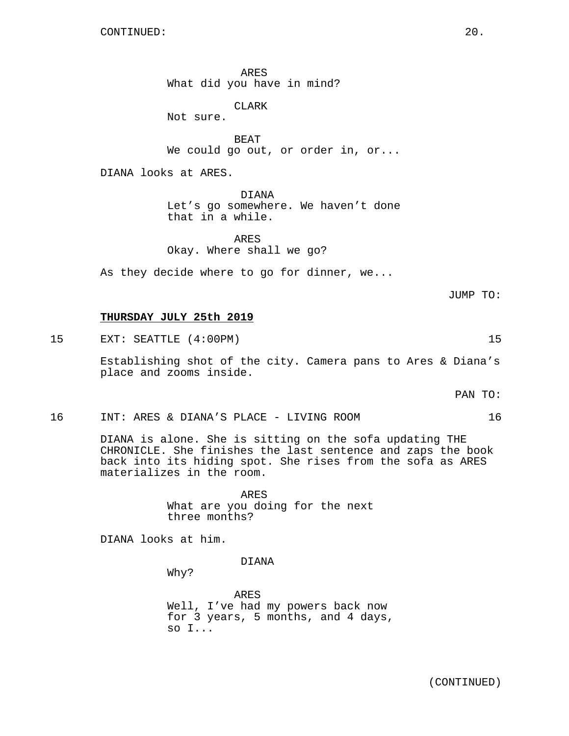ARES What did you have in mind?

CLARK

Not sure.

BEAT We could go out, or order in, or...

DIANA looks at ARES.

DIANA Let's go somewhere. We haven't done that in a while.

ARES Okay. Where shall we go?

As they decide where to go for dinner, we...

JUMP TO:

# **THURSDAY JULY 25th 2019**

15 EXT: SEATTLE (4:00PM) 15

Establishing shot of the city. Camera pans to Ares & Diana's place and zooms inside.

PAN TO:

16 INT: ARES & DIANA'S PLACE - LIVING ROOM 16

DIANA is alone. She is sitting on the sofa updating THE CHRONICLE. She finishes the last sentence and zaps the book back into its hiding spot. She rises from the sofa as ARES materializes in the room.

> ARES What are you doing for the next three months?

DIANA looks at him.

DIANA

Why?

ARES Well, I've had my powers back now for 3 years, 5 months, and 4 days, so I...

(CONTINUED)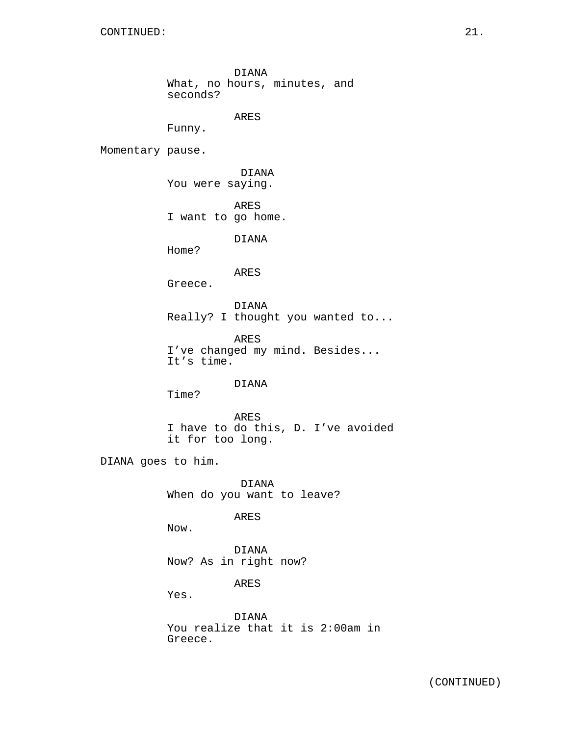DIANA What, no hours, minutes, and seconds?

ARES

Funny.

Momentary pause.

DIANA You were saying.

ARES I want to go home.

DIANA

Home?

ARES

Greece.

DIANA Really? I thought you wanted to...

ARES I've changed my mind. Besides... It's time.

DIANA

Time?

ARES I have to do this, D. I've avoided it for too long.

DIANA goes to him.

DIANA When do you want to leave?

ARES

Now.

DIANA Now? As in right now?

ARES

Yes.

DIANA You realize that it is 2:00am in Greece.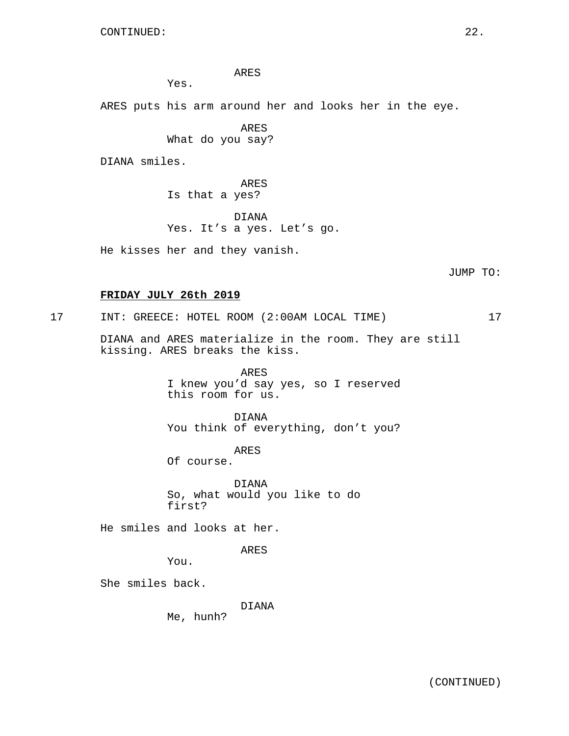ARES

Yes.

ARES puts his arm around her and looks her in the eye.

ARES What do you say?

DIANA smiles.

ARES Is that a yes?

DIANA Yes. It's a yes. Let's go.

He kisses her and they vanish.

JUMP TO:

# **FRIDAY JULY 26th 2019**

17 INT: GREECE: HOTEL ROOM (2:00AM LOCAL TIME) 17

DIANA and ARES materialize in the room. They are still kissing. ARES breaks the kiss.

> ARES I knew you'd say yes, so I reserved this room for us.

> DIANA You think of everything, don't you?

> > ARES

Of course.

DIANA So, what would you like to do first?

He smiles and looks at her.

ARES

You.

She smiles back.

DIANA

Me, hunh?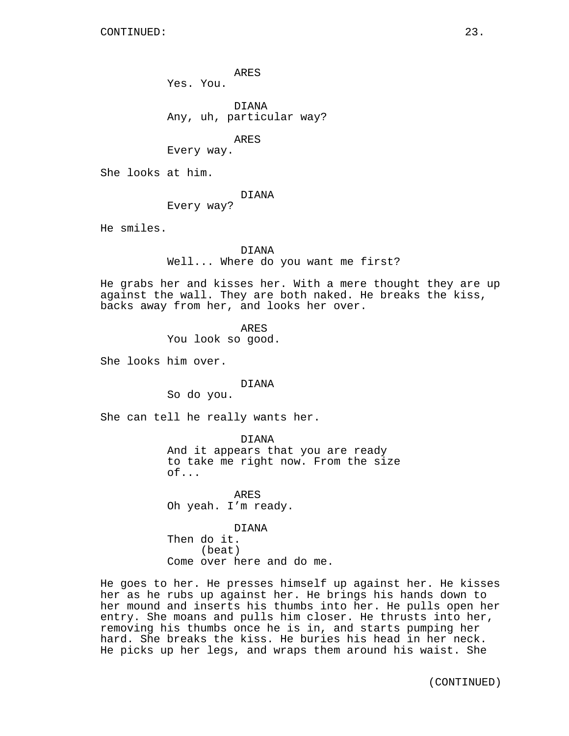ARES

Yes. You.

DIANA Any, uh, particular way?

ARES

Every way.

She looks at him.

#### DIANA

Every way?

He smiles.

## DIANA

Well... Where do you want me first?

He grabs her and kisses her. With a mere thought they are up against the wall. They are both naked. He breaks the kiss, backs away from her, and looks her over.

ARES

You look so good.

She looks him over.

#### DIANA

So do you.

She can tell he really wants her.

DIANA And it appears that you are ready to take me right now. From the size of...

ARES Oh yeah. I'm ready.

DIANA Then do it. (beat) Come over here and do me.

He goes to her. He presses himself up against her. He kisses her as he rubs up against her. He brings his hands down to her mound and inserts his thumbs into her. He pulls open her entry. She moans and pulls him closer. He thrusts into her, removing his thumbs once he is in, and starts pumping her hard. She breaks the kiss. He buries his head in her neck. He picks up her legs, and wraps them around his waist. She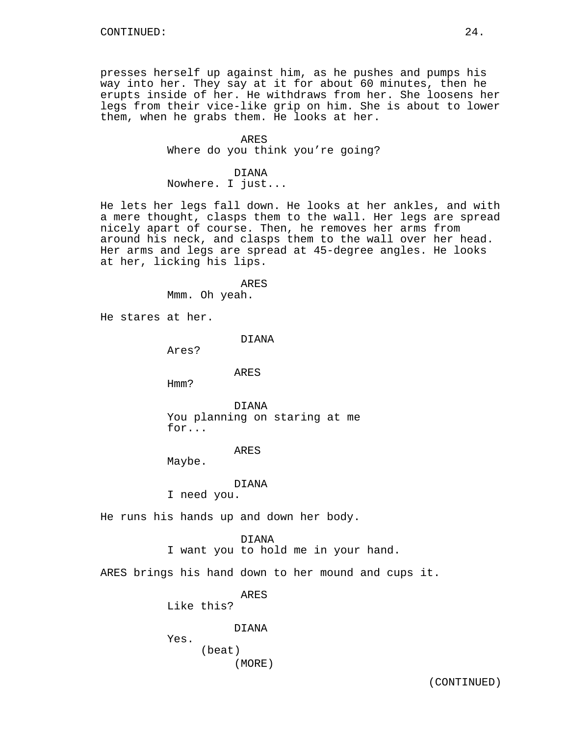presses herself up against him, as he pushes and pumps his way into her. They say at it for about 60 minutes, then he erupts inside of her. He withdraws from her. She loosens her legs from their vice-like grip on him. She is about to lower them, when he grabs them. He looks at her.

#### ARES

Where do you think you're going?

# DIANA

Nowhere. I just...

He lets her legs fall down. He looks at her ankles, and with a mere thought, clasps them to the wall. Her legs are spread nicely apart of course. Then, he removes her arms from around his neck, and clasps them to the wall over her head. Her arms and legs are spread at 45-degree angles. He looks at her, licking his lips.

> ARES Mmm. Oh yeah.

He stares at her.

DIANA

Ares?

# ARES

Hmm?

DIANA You planning on staring at me for...

## ARES

Maybe.

DIANA

I need you.

He runs his hands up and down her body.

DIANA I want you to hold me in your hand.

ARES brings his hand down to her mound and cups it.

ARES

Like this?

DIANA

Yes.

(beat)

(MORE)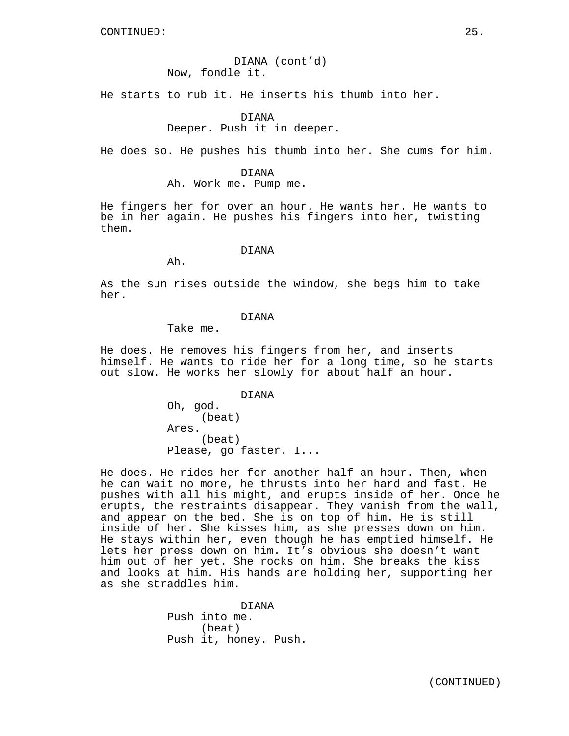DIANA (cont'd) Now, fondle it.

He starts to rub it. He inserts his thumb into her.

# DIANA Deeper. Push it in deeper.

He does so. He pushes his thumb into her. She cums for him.

DIANA

Ah. Work me. Pump me.

He fingers her for over an hour. He wants her. He wants to be in her again. He pushes his fingers into her, twisting them.

# DIANA

As the sun rises outside the window, she begs him to take her.

# DIANA

Take me.

Ah.

He does. He removes his fingers from her, and inserts himself. He wants to ride her for a long time, so he starts out slow. He works her slowly for about half an hour.

DIANA

Oh, god. (beat) Ares. (beat) Please, go faster. I...

He does. He rides her for another half an hour. Then, when he can wait no more, he thrusts into her hard and fast. He pushes with all his might, and erupts inside of her. Once he erupts, the restraints disappear. They vanish from the wall, and appear on the bed. She is on top of him. He is still inside of her. She kisses him, as she presses down on him. He stays within her, even though he has emptied himself. He lets her press down on him. It's obvious she doesn't want him out of her yet. She rocks on him. She breaks the kiss and looks at him. His hands are holding her, supporting her as she straddles him.

> DIANA Push into me. (beat) Push it, honey. Push.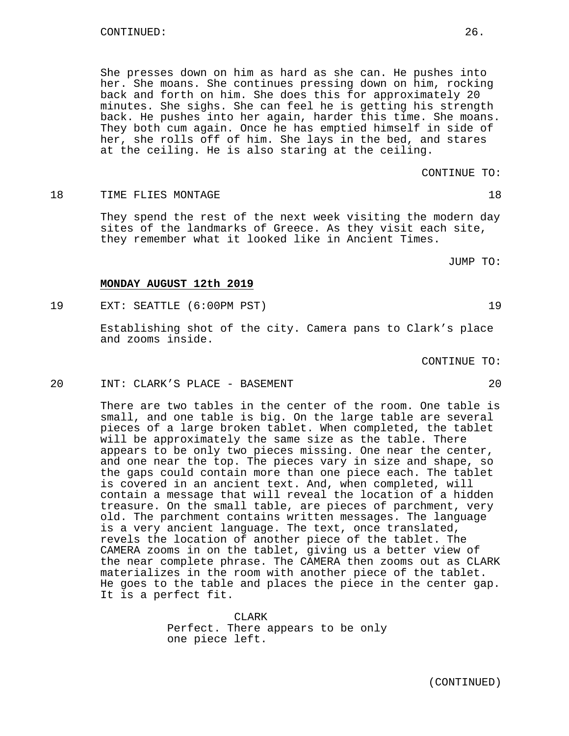She presses down on him as hard as she can. He pushes into her. She moans. She continues pressing down on him, rocking back and forth on him. She does this for approximately 20 minutes. She sighs. She can feel he is getting his strength back. He pushes into her again, harder this time. She moans. They both cum again. Once he has emptied himself in side of her, she rolls off of him. She lays in the bed, and stares at the ceiling. He is also staring at the ceiling.

CONTINUE TO:

18 TIME FLIES MONTAGE 28 18

They spend the rest of the next week visiting the modern day sites of the landmarks of Greece. As they visit each site, they remember what it looked like in Ancient Times.

JUMP TO:

#### **MONDAY AUGUST 12th 2019**

19 EXT: SEATTLE (6:00PM PST) 19

Establishing shot of the city. Camera pans to Clark's place and zooms inside.

CONTINUE TO:

20 INT: CLARK'S PLACE - BASEMENT 20

There are two tables in the center of the room. One table is small, and one table is big. On the large table are several pieces of a large broken tablet. When completed, the tablet will be approximately the same size as the table. There appears to be only two pieces missing. One near the center, and one near the top. The pieces vary in size and shape, so the gaps could contain more than one piece each. The tablet is covered in an ancient text. And, when completed, will contain a message that will reveal the location of a hidden treasure. On the small table, are pieces of parchment, very old. The parchment contains written messages. The language is a very ancient language. The text, once translated, revels the location of another piece of the tablet. The CAMERA zooms in on the tablet, giving us a better view of the near complete phrase. The CAMERA then zooms out as CLARK materializes in the room with another piece of the tablet. He goes to the table and places the piece in the center gap. It is a perfect fit.

> CLARK Perfect. There appears to be only one piece left.

- -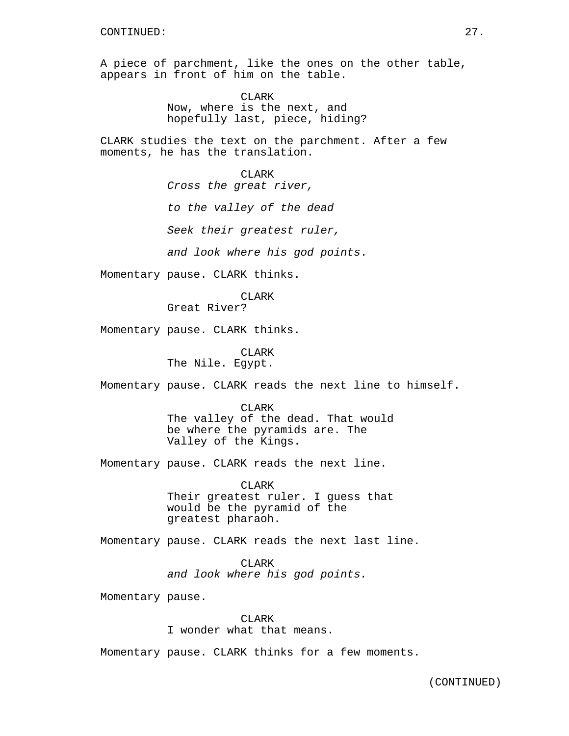A piece of parchment, like the ones on the other table, appears in front of him on the table.

> CLARK Now, where is the next, and hopefully last, piece, hiding?

CLARK studies the text on the parchment. After a few moments, he has the translation.

> CLARK Cross the great river,

to the valley of the dead

Seek their greatest ruler,

and look where his god points.

Momentary pause. CLARK thinks.

CLARK

Great River?

Momentary pause. CLARK thinks.

CLARK The Nile. Egypt.

Momentary pause. CLARK reads the next line to himself.

CLARK The valley of the dead. That would be where the pyramids are. The Valley of the Kings.

Momentary pause. CLARK reads the next line.

CLARK Their greatest ruler. I guess that would be the pyramid of the greatest pharaoh.

Momentary pause. CLARK reads the next last line.

CLARK and look where his god points.

Momentary pause.

CLARK I wonder what that means.

Momentary pause. CLARK thinks for a few moments.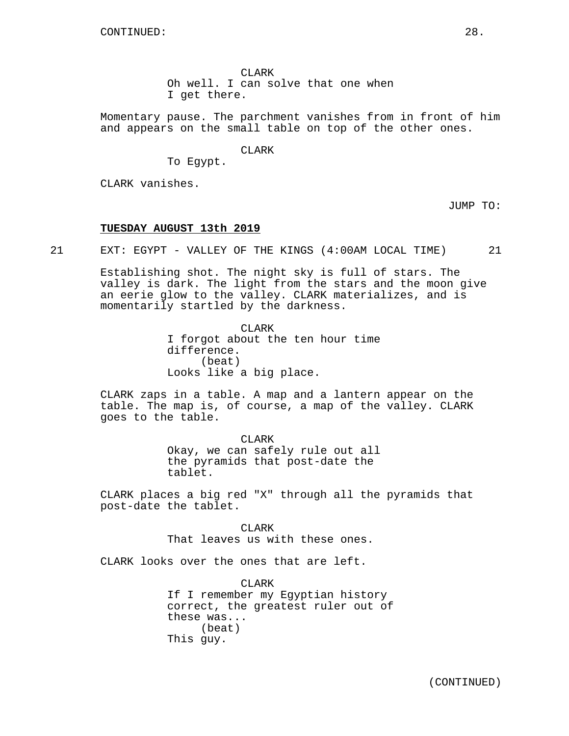CLARK Oh well. I can solve that one when I get there.

Momentary pause. The parchment vanishes from in front of him and appears on the small table on top of the other ones.

CLARK

To Egypt.

CLARK vanishes.

JUMP TO:

# **TUESDAY AUGUST 13th 2019**

21 EXT: EGYPT - VALLEY OF THE KINGS (4:00AM LOCAL TIME) 21

Establishing shot. The night sky is full of stars. The valley is dark. The light from the stars and the moon give an eerie glow to the valley. CLARK materializes, and is momentarily startled by the darkness.

> CLARK I forgot about the ten hour time difference. (beat) Looks like a big place.

CLARK zaps in a table. A map and a lantern appear on the table. The map is, of course, a map of the valley. CLARK goes to the table.

> CLARK Okay, we can safely rule out all the pyramids that post-date the tablet.

CLARK places a big red "X" through all the pyramids that post-date the tablet.

> **CLARK** That leaves us with these ones.

CLARK looks over the ones that are left.

CLARK If I remember my Egyptian history correct, the greatest ruler out of these was... (beat) This guy.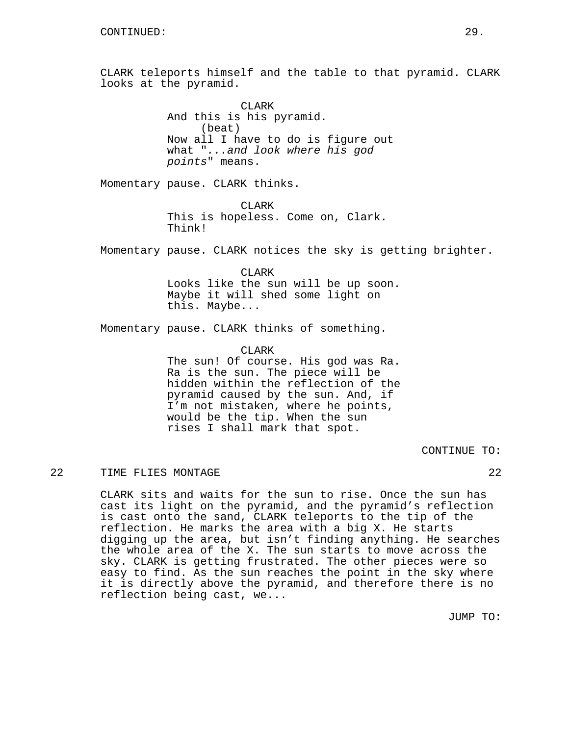CLARK teleports himself and the table to that pyramid. CLARK looks at the pyramid.

> CLARK And this is his pyramid. (beat) Now all I have to do is figure out what "...and look where his god points" means.

Momentary pause. CLARK thinks.

CLARK This is hopeless. Come on, Clark. Think!

Momentary pause. CLARK notices the sky is getting brighter.

CLARK Looks like the sun will be up soon. Maybe it will shed some light on this. Maybe...

Momentary pause. CLARK thinks of something.

CLARK

The sun! Of course. His god was Ra. Ra is the sun. The piece will be hidden within the reflection of the pyramid caused by the sun. And, if I'm not mistaken, where he points, would be the tip. When the sun rises I shall mark that spot.

CONTINUE TO:

# 22 TIME FLIES MONTAGE 22

CLARK sits and waits for the sun to rise. Once the sun has cast its light on the pyramid, and the pyramid's reflection is cast onto the sand, CLARK teleports to the tip of the reflection. He marks the area with a big X. He starts digging up the area, but isn't finding anything. He searches the whole area of the X. The sun starts to move across the sky. CLARK is getting frustrated. The other pieces were so easy to find. As the sun reaches the point in the sky where it is directly above the pyramid, and therefore there is no reflection being cast, we...

JUMP TO: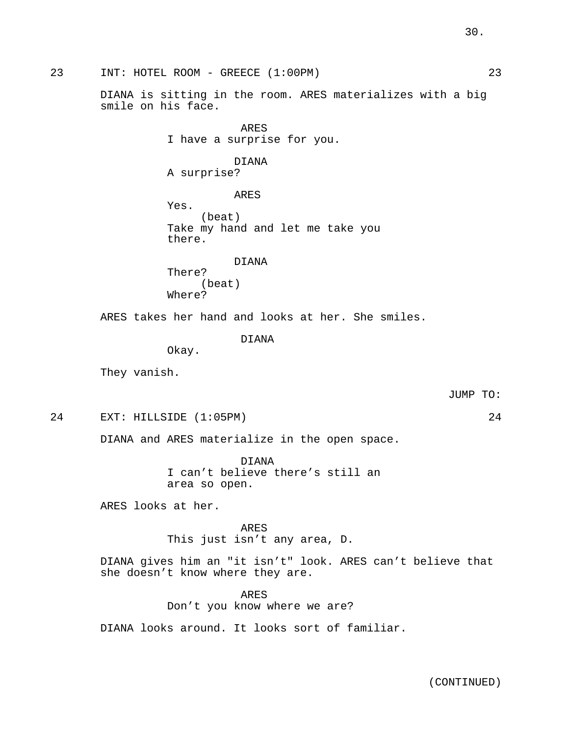DIANA is sitting in the room. ARES materializes with a big ARES I have a surprise for you. DIANA A surprise? ARES Yes. (beat) Take my hand and let me take you there. DIANA There? (beat) Where? ARES takes her hand and looks at her. She smiles. DIANA Okay. They vanish. JUMP TO: 24 EXT: HILLSIDE (1:05PM) 24 DIANA and ARES materialize in the open space. DIANA I can't believe there's still an area so open. ARES looks at her. ARES This just isn't any area, D. DIANA gives him an "it isn't" look. ARES can't believe that she doesn't know where they are. ARES

Don't you know where we are?

DIANA looks around. It looks sort of familiar.

(CONTINUED)

# 30.

23 INT: HOTEL ROOM - GREECE (1:00PM) 23

smile on his face.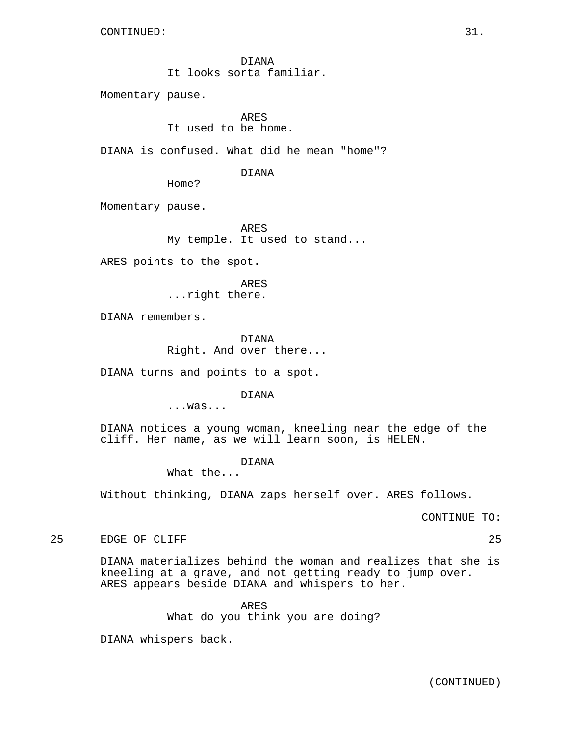DIANA It looks sorta familiar.

Momentary pause.

ARES It used to be home.

DIANA is confused. What did he mean "home"?

DIANA

Home?

Momentary pause.

ARES My temple. It used to stand...

ARES points to the spot.

ARES ...right there.

DIANA remembers.

DIANA Right. And over there...

DIANA turns and points to a spot.

DIANA

...was...

DIANA notices a young woman, kneeling near the edge of the cliff. Her name, as we will learn soon, is HELEN.

DIANA

What the...

Without thinking, DIANA zaps herself over. ARES follows.

CONTINUE TO:

25 EDGE OF CLIFF 25

DIANA materializes behind the woman and realizes that she is kneeling at a grave, and not getting ready to jump over. ARES appears beside DIANA and whispers to her.

ARES

What do you think you are doing?

DIANA whispers back.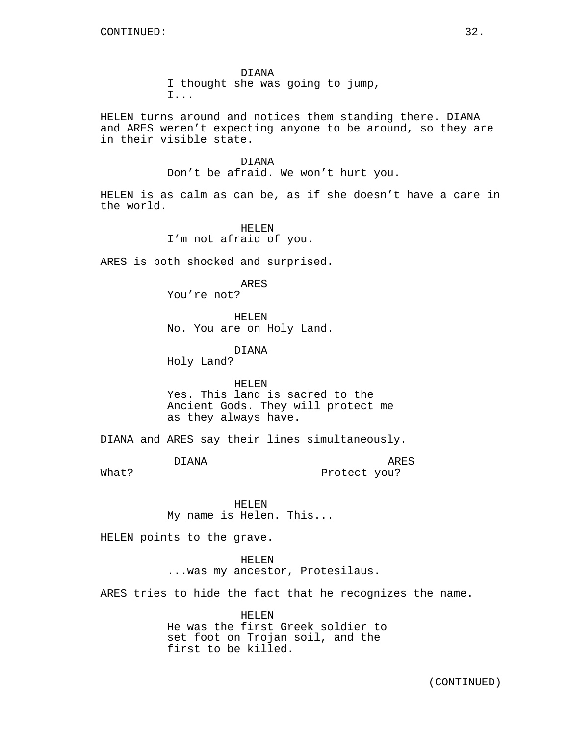DIANA I thought she was going to jump, I...

HELEN turns around and notices them standing there. DIANA and ARES weren't expecting anyone to be around, so they are in their visible state.

DIANA

Don't be afraid. We won't hurt you.

HELEN is as calm as can be, as if she doesn't have a care in the world.

> HELEN I'm not afraid of you.

ARES is both shocked and surprised.

ARES You're not?

HELEN No. You are on Holy Land.

DIANA

Holy Land?

HELEN Yes. This land is sacred to the Ancient Gods. They will protect me as they always have.

DIANA and ARES say their lines simultaneously.

DIANA

ARES Protect you?

What?

HELEN My name is Helen. This...

HELEN points to the grave.

HELEN

...was my ancestor, Protesilaus.

ARES tries to hide the fact that he recognizes the name.

HELEN He was the first Greek soldier to set foot on Trojan soil, and the first to be killed.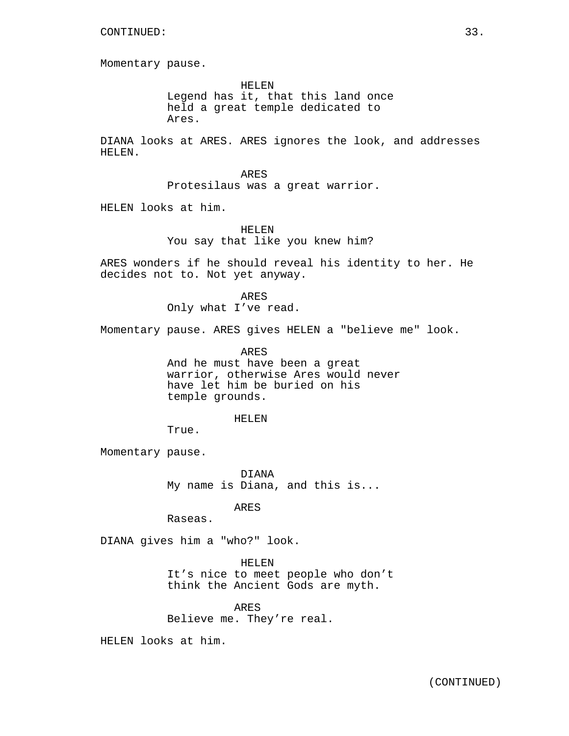Momentary pause.

HELEN Legend has it, that this land once held a great temple dedicated to Ares.

DIANA looks at ARES. ARES ignores the look, and addresses HELEN.

> ARES Protesilaus was a great warrior.

HELEN looks at him.

HELEN You say that like you knew him?

ARES wonders if he should reveal his identity to her. He decides not to. Not yet anyway.

> ARES Only what I've read.

Momentary pause. ARES gives HELEN a "believe me" look.

ARES

And he must have been a great warrior, otherwise Ares would never have let him be buried on his temple grounds.

#### HELEN

True.

Momentary pause.

DIANA My name is Diana, and this is...

ARES

Raseas.

DIANA gives him a "who?" look.

HELEN

It's nice to meet people who don't think the Ancient Gods are myth.

ARES Believe me. They're real.

HELEN looks at him.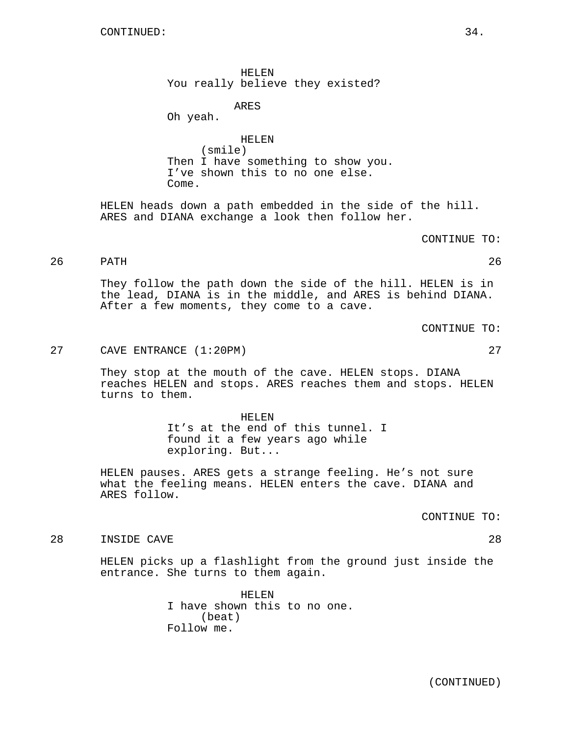HELEN You really believe they existed?

ARES

Oh yeah.

HELEN (smile) Then I have something to show you. I've shown this to no one else. Come.

HELEN heads down a path embedded in the side of the hill. ARES and DIANA exchange a look then follow her.

CONTINUE TO:

26 PATH 26

They follow the path down the side of the hill. HELEN is in the lead, DIANA is in the middle, and ARES is behind DIANA. After a few moments, they come to a cave.

CONTINUE TO:

27 CAVE ENTRANCE (1:20PM) 27

They stop at the mouth of the cave. HELEN stops. DIANA reaches HELEN and stops. ARES reaches them and stops. HELEN turns to them.

> HELEN It's at the end of this tunnel. I found it a few years ago while exploring. But...

HELEN pauses. ARES gets a strange feeling. He's not sure what the feeling means. HELEN enters the cave. DIANA and ARES follow.

CONTINUE TO:

28 INSIDE CAVE 28

HELEN picks up a flashlight from the ground just inside the entrance. She turns to them again.

> HELEN I have shown this to no one. (beat) Follow me.

> > (CONTINUED)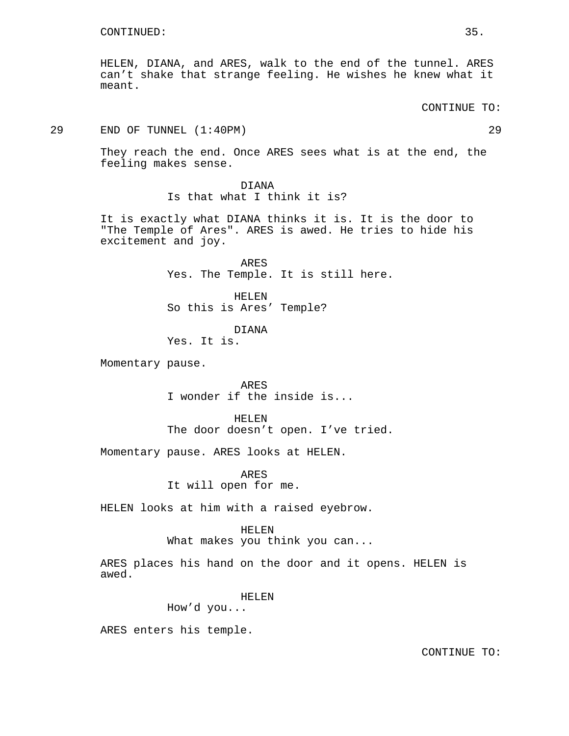HELEN, DIANA, and ARES, walk to the end of the tunnel. ARES can't shake that strange feeling. He wishes he knew what it meant.

CONTINUE TO:

29 END OF TUNNEL (1:40PM) 29

They reach the end. Once ARES sees what is at the end, the feeling makes sense.

> DIANA Is that what I think it is?

It is exactly what DIANA thinks it is. It is the door to "The Temple of Ares". ARES is awed. He tries to hide his excitement and joy.

> ARES Yes. The Temple. It is still here.

HELEN So this is Ares' Temple?

DIANA Yes. It is.

Momentary pause.

ARES I wonder if the inside is...

HELEN The door doesn't open. I've tried.

Momentary pause. ARES looks at HELEN.

ARES It will open for me.

HELEN looks at him with a raised eyebrow.

#### HELEN

What makes you think you can...

ARES places his hand on the door and it opens. HELEN is awed.

HELEN

How'd you...

ARES enters his temple.

CONTINUE TO: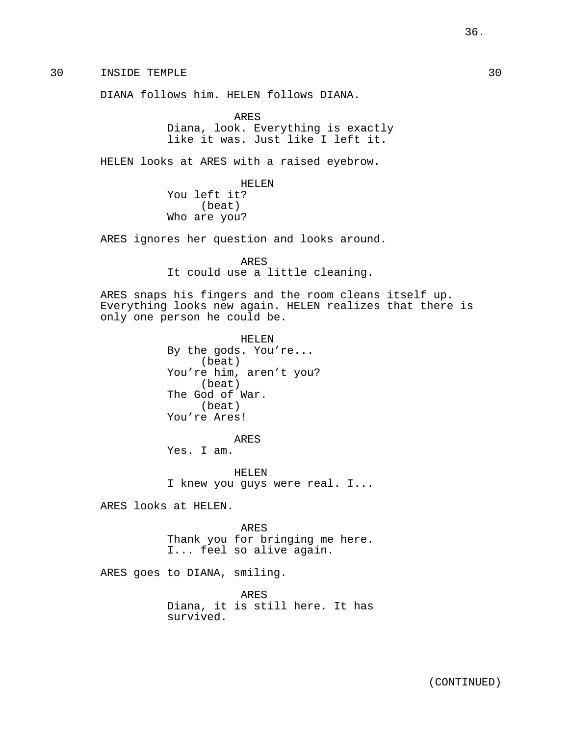30 INSIDE TEMPLE 30

DIANA follows him. HELEN follows DIANA.

ARES Diana, look. Everything is exactly like it was. Just like I left it.

HELEN looks at ARES with a raised eyebrow.

HELEN You left it? (beat) Who are you?

ARES ignores her question and looks around.

ARES It could use a little cleaning.

ARES snaps his fingers and the room cleans itself up. Everything looks new again. HELEN realizes that there is only one person he could be.

> HELEN By the gods. You're... (beat) You're him, aren't you? (beat) The God of War. (beat) You're Ares!

> > ARES

Yes. I am.

HELEN I knew you guys were real. I...

ARES looks at HELEN.

ARES Thank you for bringing me here. I... feel so alive again.

ARES goes to DIANA, smiling.

ARES Diana, it is still here. It has survived.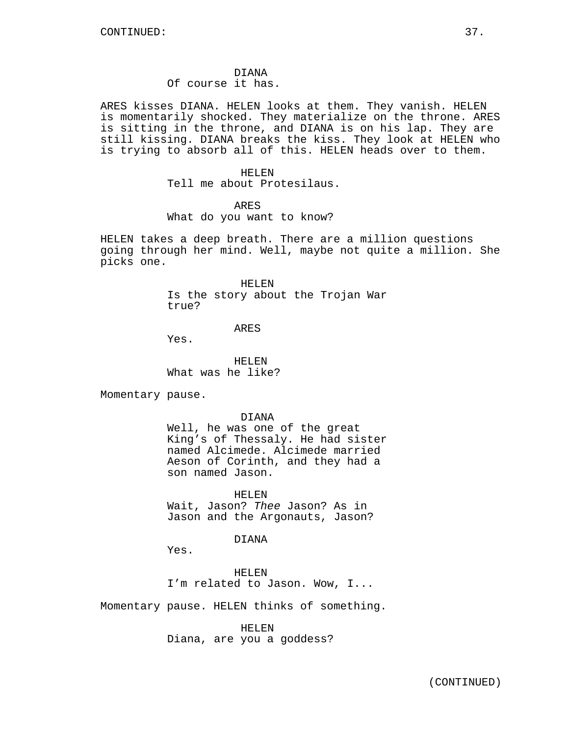### DIANA

## Of course it has.

ARES kisses DIANA. HELEN looks at them. They vanish. HELEN is momentarily shocked. They materialize on the throne. ARES is sitting in the throne, and DIANA is on his lap. They are still kissing. DIANA breaks the kiss. They look at HELEN who is trying to absorb all of this. HELEN heads over to them.

#### HELEN

Tell me about Protesilaus.

## ARES

What do you want to know?

HELEN takes a deep breath. There are a million questions going through her mind. Well, maybe not quite a million. She picks one.

### HELEN

Is the story about the Trojan War true?

#### ARES

Yes.

HELEN What was he like?

Momentary pause.

#### DIANA

Well, he was one of the great King's of Thessaly. He had sister named Alcimede. Alcimede married Aeson of Corinth, and they had a son named Jason.

HELEN Wait, Jason? Thee Jason? As in Jason and the Argonauts, Jason?

### DIANA

Yes.

HELEN I'm related to Jason. Wow, I...

Momentary pause. HELEN thinks of something.

HELEN Diana, are you a goddess?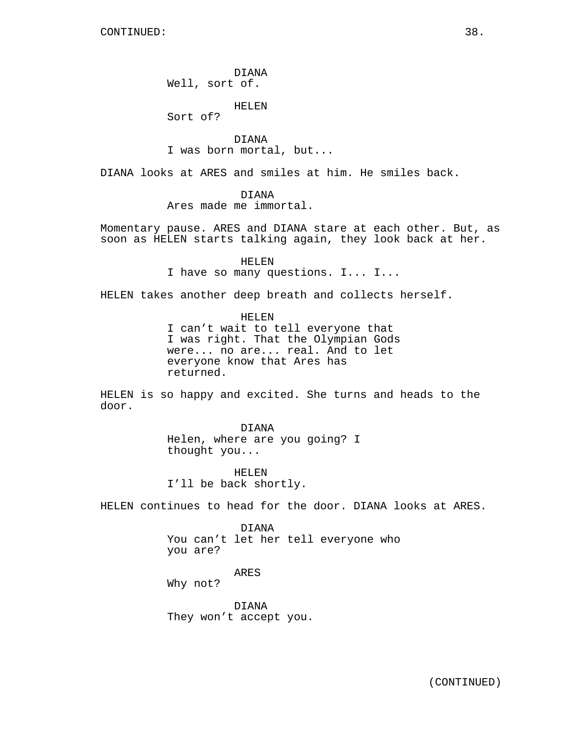DIANA Well, sort of.

HELEN

Sort of?

DIANA I was born mortal, but...

DIANA looks at ARES and smiles at him. He smiles back.

DIANA

Ares made me immortal.

Momentary pause. ARES and DIANA stare at each other. But, as soon as HELEN starts talking again, they look back at her.

> HELEN I have so many questions. I... I...

HELEN takes another deep breath and collects herself.

HELEN I can't wait to tell everyone that I was right. That the Olympian Gods were... no are... real. And to let everyone know that Ares has returned.

HELEN is so happy and excited. She turns and heads to the door.

> DIANA Helen, where are you going? I thought you...

HELEN I'll be back shortly.

HELEN continues to head for the door. DIANA looks at ARES.

DIANA You can't let her tell everyone who you are?

ARES

Why not?

DIANA They won't accept you.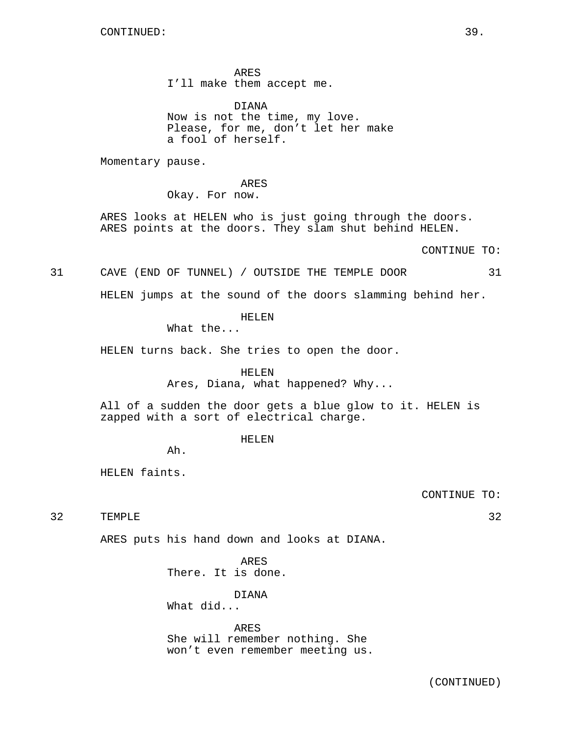ARES I'll make them accept me.

DIANA Now is not the time, my love. Please, for me, don't let her make a fool of herself.

Momentary pause.

ARES Okay. For now.

ARES looks at HELEN who is just going through the doors. ARES points at the doors. They slam shut behind HELEN.

CONTINUE TO:

31 CAVE (END OF TUNNEL) / OUTSIDE THE TEMPLE DOOR 31

HELEN jumps at the sound of the doors slamming behind her.

HELEN

What the...

HELEN turns back. She tries to open the door.

## HELEN

Ares, Diana, what happened? Why...

All of a sudden the door gets a blue glow to it. HELEN is zapped with a sort of electrical charge.

HELEN

Ah.

HELEN faints.

CONTINUE TO:

32 TEMPLE 32

ARES puts his hand down and looks at DIANA.

ARES There. It is done.

DIANA

What did...

ARES She will remember nothing. She won't even remember meeting us.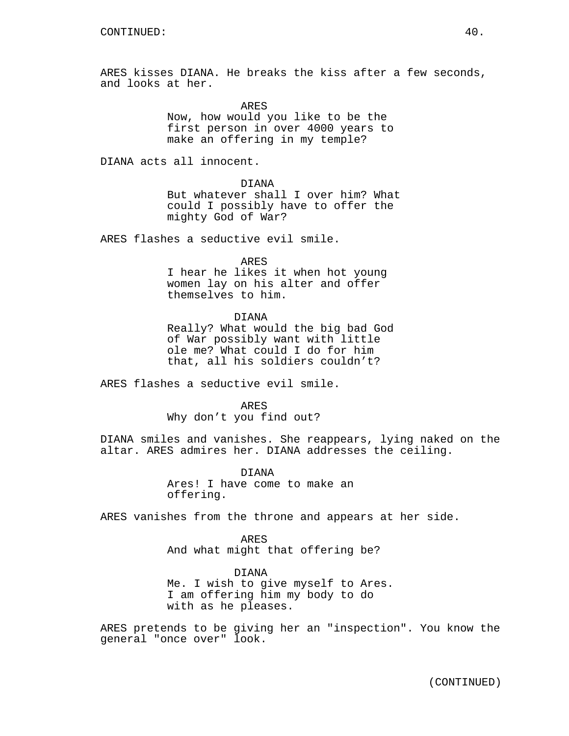ARES kisses DIANA. He breaks the kiss after a few seconds, and looks at her.

ARES

Now, how would you like to be the first person in over 4000 years to make an offering in my temple?

DIANA acts all innocent.

DIANA But whatever shall I over him? What could I possibly have to offer the mighty God of War?

ARES flashes a seductive evil smile.

ARES I hear he likes it when hot young women lay on his alter and offer themselves to him.

DIANA Really? What would the big bad God of War possibly want with little ole me? What could I do for him that, all his soldiers couldn't?

ARES flashes a seductive evil smile.

ARES

Why don't you find out?

DIANA smiles and vanishes. She reappears, lying naked on the altar. ARES admires her. DIANA addresses the ceiling.

> DIANA Ares! I have come to make an offering.

ARES vanishes from the throne and appears at her side.

ARES And what might that offering be?

DIANA Me. I wish to give myself to Ares. I am offering him my body to do with as he pleases.

ARES pretends to be giving her an "inspection". You know the general "once over" look.

(CONTINUED)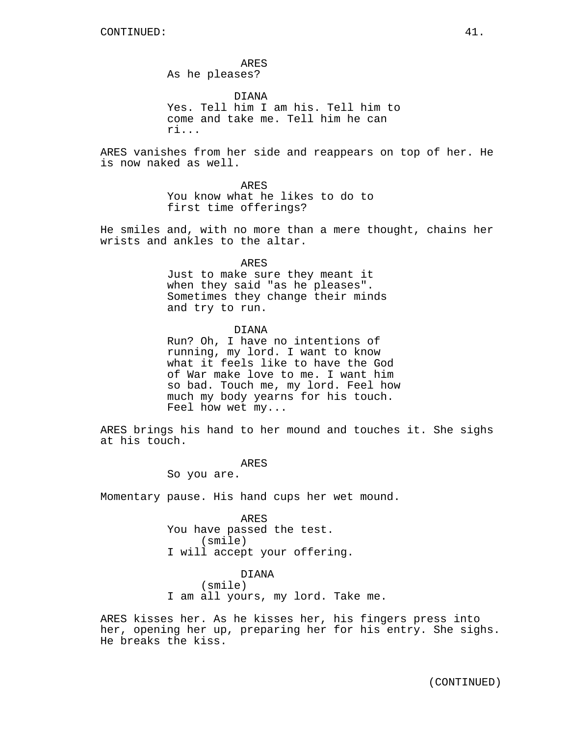ARES As he pleases?

DIANA Yes. Tell him I am his. Tell him to come and take me. Tell him he can ri...

ARES vanishes from her side and reappears on top of her. He is now naked as well.

> ARES You know what he likes to do to first time offerings?

He smiles and, with no more than a mere thought, chains her wrists and ankles to the altar.

ARES

Just to make sure they meant it when they said "as he pleases". Sometimes they change their minds and try to run.

### DIANA

Run? Oh, I have no intentions of running, my lord. I want to know what it feels like to have the God of War make love to me. I want him so bad. Touch me, my lord. Feel how much my body yearns for his touch. Feel how wet my...

ARES brings his hand to her mound and touches it. She sighs at his touch.

ARES

So you are.

Momentary pause. His hand cups her wet mound.

ARES You have passed the test. (smile) I will accept your offering.

DIANA (smile) I am all yours, my lord. Take me.

ARES kisses her. As he kisses her, his fingers press into her, opening her up, preparing her for his entry. She sighs. He breaks the kiss.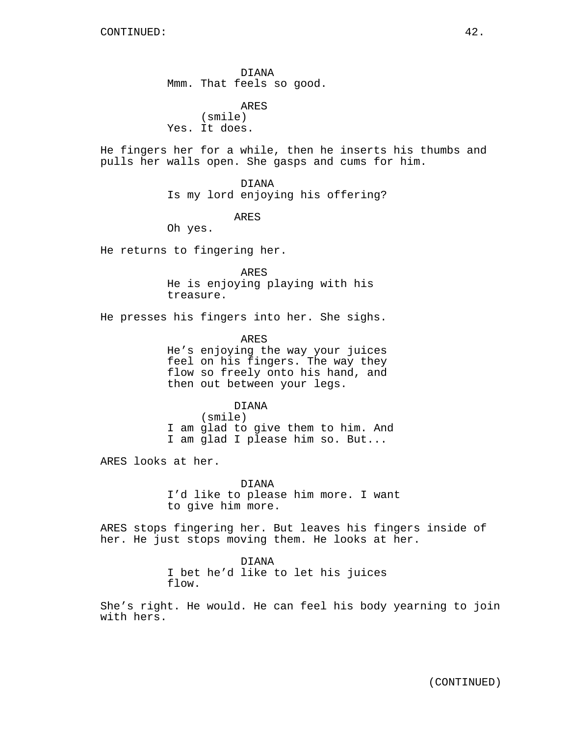DIANA Mmm. That feels so good.

ARES (smile) Yes. It does.

He fingers her for a while, then he inserts his thumbs and pulls her walls open. She gasps and cums for him.

> DIANA Is my lord enjoying his offering?

> > ARES

Oh yes.

He returns to fingering her.

ARES He is enjoying playing with his treasure.

He presses his fingers into her. She sighs.

ARES He's enjoying the way your juices feel on his fingers. The way they flow so freely onto his hand, and then out between your legs.

DIANA (smile) I am glad to give them to him. And I am glad I please him so. But...

ARES looks at her.

DIANA I'd like to please him more. I want to give him more.

ARES stops fingering her. But leaves his fingers inside of her. He just stops moving them. He looks at her.

> DIANA I bet he'd like to let his juices flow.

She's right. He would. He can feel his body yearning to join with hers.

(CONTINUED)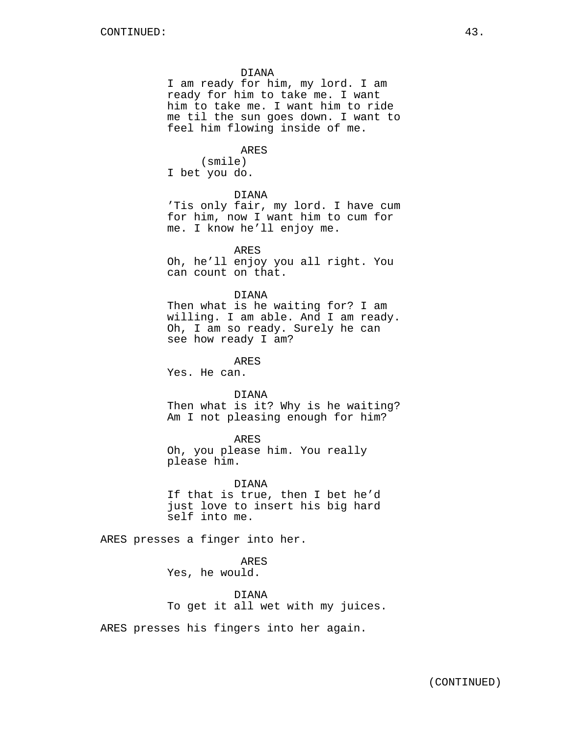#### DIANA

I am ready for him, my lord. I am ready for him to take me. I want him to take me. I want him to ride me til the sun goes down. I want to feel him flowing inside of me.

ARES

(smile) I bet you do.

### DIANA

'Tis only fair, my lord. I have cum for him, now I want him to cum for me. I know he'll enjoy me.

ARES

Oh, he'll enjoy you all right. You can count on that.

## DIANA

Then what is he waiting for? I am willing. I am able. And I am ready. Oh, I am so ready. Surely he can see how ready I am?

ARES

Yes. He can.

## DIANA

Then what is it? Why is he waiting? Am I not pleasing enough for him?

## ARES

Oh, you please him. You really please him.

DIANA If that is true, then I bet he'd just love to insert his big hard self into me.

ARES presses a finger into her.

ARES Yes, he would.

DIANA To get it all wet with my juices.

ARES presses his fingers into her again.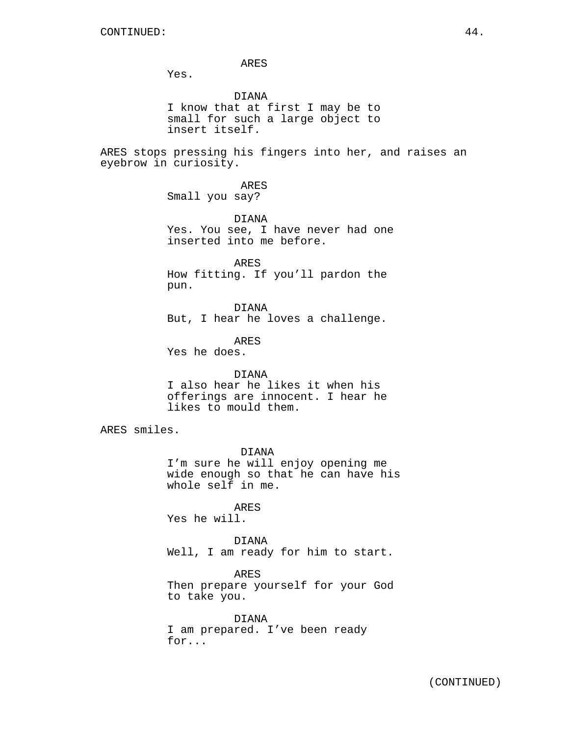ARES

Yes.

DIANA I know that at first I may be to small for such a large object to insert itself.

ARES stops pressing his fingers into her, and raises an eyebrow in curiosity.

> ARES Small you say?

DIANA Yes. You see, I have never had one inserted into me before.

ARES How fitting. If you'll pardon the pun.

DIANA But, I hear he loves a challenge.

ARES Yes he does.

## DIANA

I also hear he likes it when his offerings are innocent. I hear he likes to mould them.

ARES smiles.

DIANA I'm sure he will enjoy opening me wide enough so that he can have his whole self in me.

ARES Yes he will.

DIANA Well, I am ready for him to start.

ARES Then prepare yourself for your God to take you.

DIANA I am prepared. I've been ready for...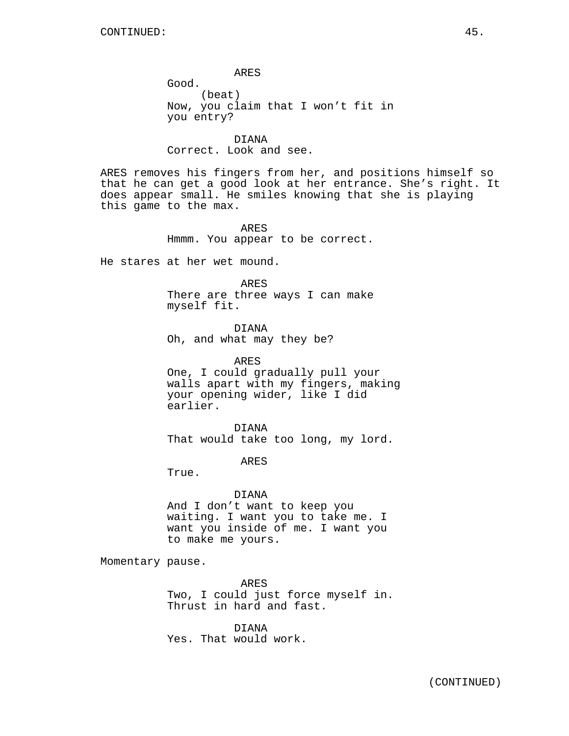ARES Good. (beat) Now, you claim that I won't fit in you entry?

DIANA Correct. Look and see.

ARES removes his fingers from her, and positions himself so that he can get a good look at her entrance. She's right. It does appear small. He smiles knowing that she is playing this game to the max.

> ARES Hmmm. You appear to be correct.

He stares at her wet mound.

ARES

There are three ways I can make myself fit.

DIANA Oh, and what may they be?

ARES One, I could gradually pull your walls apart with my fingers, making your opening wider, like I did earlier.

DIANA That would take too long, my lord.

ARES

True.

#### DIANA

And I don't want to keep you waiting. I want you to take me. I want you inside of me. I want you to make me yours.

Momentary pause.

ARES Two, I could just force myself in. Thrust in hard and fast.

DIANA Yes. That would work.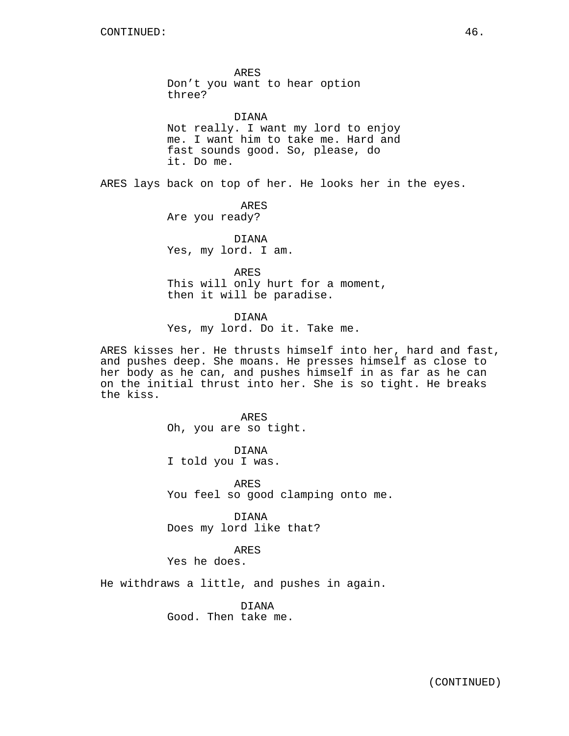ARES Don't you want to hear option three?

DIANA Not really. I want my lord to enjoy me. I want him to take me. Hard and fast sounds good. So, please, do it. Do me.

ARES lays back on top of her. He looks her in the eyes.

ARES Are you ready?

DIANA Yes, my lord. I am.

ARES This will only hurt for a moment, then it will be paradise.

DIANA Yes, my lord. Do it. Take me.

ARES kisses her. He thrusts himself into her, hard and fast, and pushes deep. She moans. He presses himself as close to her body as he can, and pushes himself in as far as he can on the initial thrust into her. She is so tight. He breaks the kiss.

> ARES Oh, you are so tight.

DIANA I told you I was.

ARES You feel so good clamping onto me.

DIANA Does my lord like that?

ARES

Yes he does.

He withdraws a little, and pushes in again.

DIANA Good. Then take me.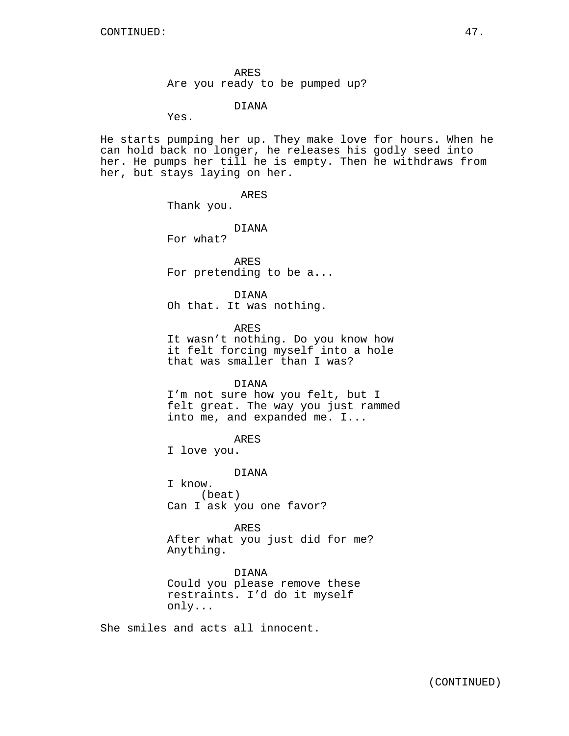ARES Are you ready to be pumped up?

DIANA

Yes.

He starts pumping her up. They make love for hours. When he can hold back no longer, he releases his godly seed into her. He pumps her till he is empty. Then he withdraws from her, but stays laying on her.

ARES

Thank you.

DIANA

For what?

ARES For pretending to be a...

DIANA Oh that. It was nothing.

ARES

It wasn't nothing. Do you know how it felt forcing myself into a hole that was smaller than I was?

DIANA

I'm not sure how you felt, but I felt great. The way you just rammed into me, and expanded me. I...

ARES

I love you.

DIANA

I know. (beat) Can I ask you one favor?

ARES After what you just did for me? Anything.

DIANA Could you please remove these restraints. I'd do it myself only...

She smiles and acts all innocent.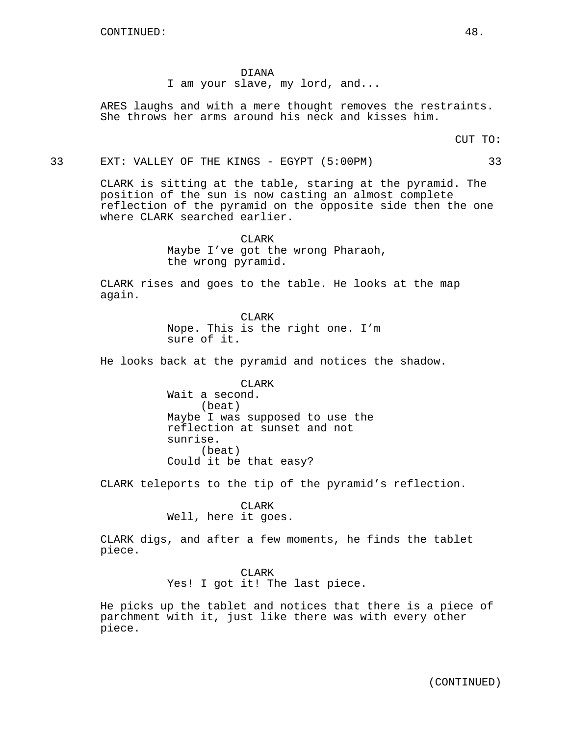DIANA

I am your slave, my lord, and...

ARES laughs and with a mere thought removes the restraints. She throws her arms around his neck and kisses him.

CUT TO:

33 EXT: VALLEY OF THE KINGS - EGYPT (5:00PM) 33

CLARK is sitting at the table, staring at the pyramid. The position of the sun is now casting an almost complete reflection of the pyramid on the opposite side then the one where CLARK searched earlier.

> CLARK Maybe I've got the wrong Pharaoh, the wrong pyramid.

CLARK rises and goes to the table. He looks at the map again.

> CLARK Nope. This is the right one. I'm sure of it.

He looks back at the pyramid and notices the shadow.

CLARK Wait a second. (beat) Maybe I was supposed to use the reflection at sunset and not sunrise. (beat) Could it be that easy?

CLARK teleports to the tip of the pyramid's reflection.

CLARK Well, here it goes.

CLARK digs, and after a few moments, he finds the tablet piece.

> CLARK Yes! I got it! The last piece.

He picks up the tablet and notices that there is a piece of parchment with it, just like there was with every other piece.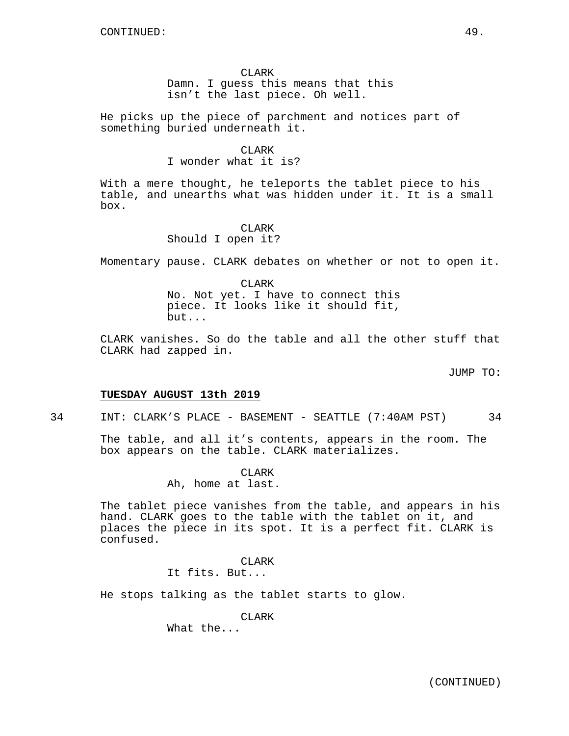He picks up the piece of parchment and notices part of something buried underneath it.

### CLARK

I wonder what it is?

With a mere thought, he teleports the tablet piece to his table, and unearths what was hidden under it. It is a small box.

## CLARK

Should I open it?

Momentary pause. CLARK debates on whether or not to open it.

CLARK No. Not yet. I have to connect this piece. It looks like it should fit, but...

CLARK vanishes. So do the table and all the other stuff that CLARK had zapped in.

JUMP TO:

## **TUESDAY AUGUST 13th 2019**

34 INT: CLARK'S PLACE - BASEMENT - SEATTLE (7:40AM PST) 34

The table, and all it's contents, appears in the room. The box appears on the table. CLARK materializes.

> CLARK Ah, home at last.

The tablet piece vanishes from the table, and appears in his hand. CLARK goes to the table with the tablet on it, and places the piece in its spot. It is a perfect fit. CLARK is confused.

## CLARK

It fits. But...

He stops talking as the tablet starts to glow.

CLARK

What the...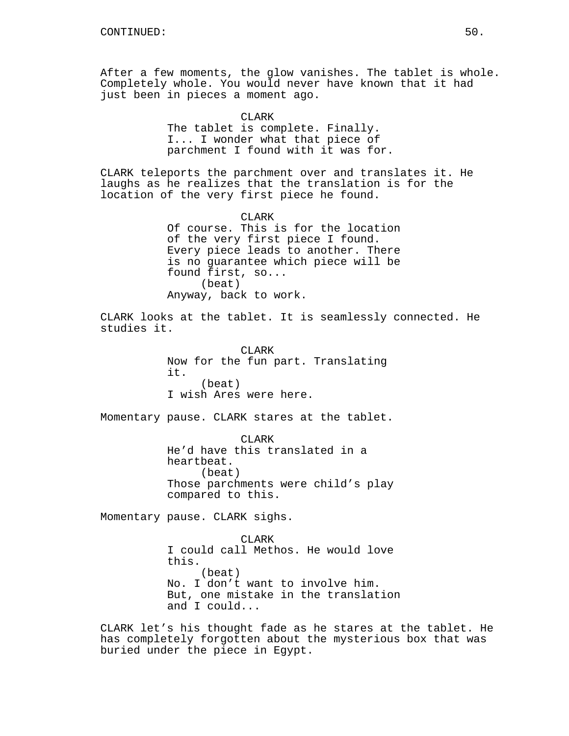After a few moments, the glow vanishes. The tablet is whole. Completely whole. You would never have known that it had just been in pieces a moment ago.

> CLARK The tablet is complete. Finally. I... I wonder what that piece of parchment I found with it was for.

CLARK teleports the parchment over and translates it. He laughs as he realizes that the translation is for the location of the very first piece he found.

> CLARK Of course. This is for the location of the very first piece I found. Every piece leads to another. There is no guarantee which piece will be found first, so... (beat) Anyway, back to work.

CLARK looks at the tablet. It is seamlessly connected. He studies it.

> CLARK Now for the fun part. Translating it. (beat) I wish Ares were here.

Momentary pause. CLARK stares at the tablet.

CLARK He'd have this translated in a heartbeat. (beat) Those parchments were child's play compared to this.

Momentary pause. CLARK sighs.

CLARK I could call Methos. He would love this. (beat) No. I don't want to involve him. But, one mistake in the translation and I could...

CLARK let's his thought fade as he stares at the tablet. He has completely forgotten about the mysterious box that was buried under the piece in Egypt.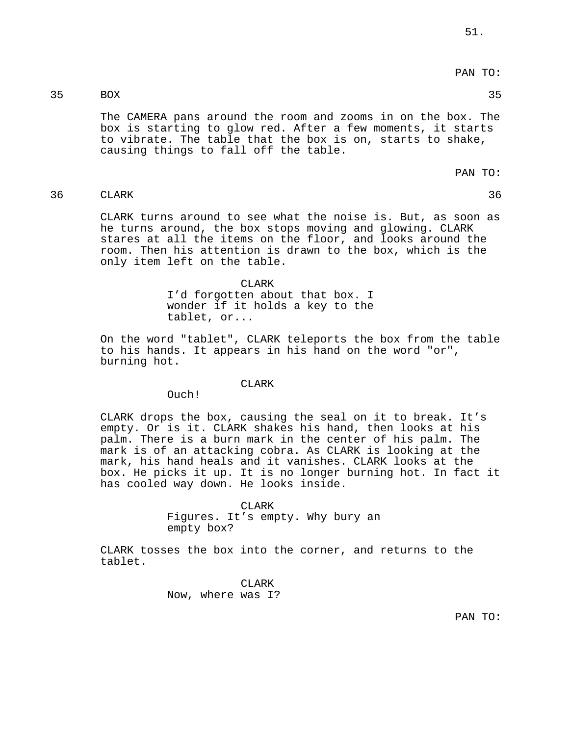# PAN TO:

## 35 BOX 35

The CAMERA pans around the room and zooms in on the box. The box is starting to glow red. After a few moments, it starts to vibrate. The table that the box is on, starts to shake, causing things to fall off the table.

PAN TO:

36 CLARK 36

CLARK turns around to see what the noise is. But, as soon as he turns around, the box stops moving and glowing. CLARK stares at all the items on the floor, and looks around the room. Then his attention is drawn to the box, which is the only item left on the table.

> CLARK I'd forgotten about that box. I wonder if it holds a key to the tablet, or...

On the word "tablet", CLARK teleports the box from the table to his hands. It appears in his hand on the word "or", burning hot.

#### CLARK

Ouch!

CLARK drops the box, causing the seal on it to break. It's empty. Or is it. CLARK shakes his hand, then looks at his palm. There is a burn mark in the center of his palm. The mark is of an attacking cobra. As CLARK is looking at the mark, his hand heals and it vanishes. CLARK looks at the box. He picks it up. It is no longer burning hot. In fact it has cooled way down. He looks inside.

> CLARK Figures. It's empty. Why bury an empty box?

CLARK tosses the box into the corner, and returns to the tablet.

> CLARK Now, where was I?

> > PAN TO: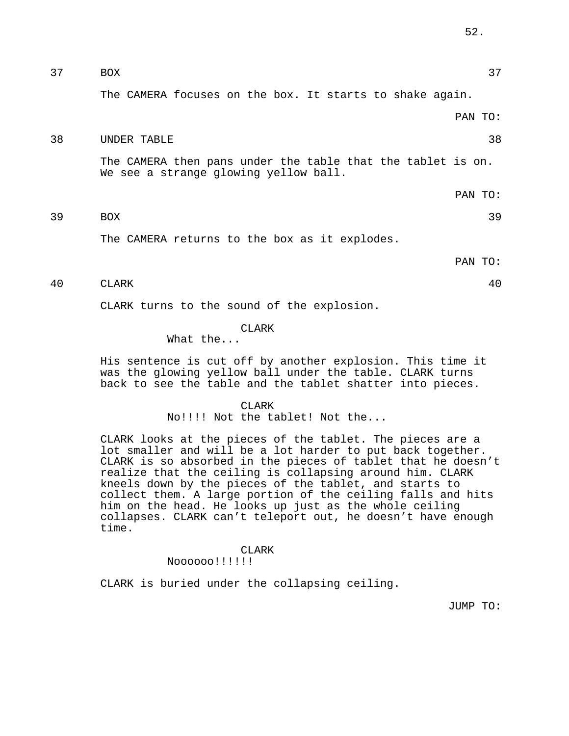37 BOX 37

The CAMERA focuses on the box. It starts to shake again.

### PAN TO:

## 38 UNDER TABLE 38

The CAMERA then pans under the table that the tablet is on. We see a strange glowing yellow ball.

PAN TO:

39 BOX 39

The CAMERA returns to the box as it explodes.

PAN TO:

## 40 CLARK 40

CLARK turns to the sound of the explosion.

### CLARK

## What the...

His sentence is cut off by another explosion. This time it was the glowing yellow ball under the table. CLARK turns back to see the table and the tablet shatter into pieces.

### CLARK

No!!!! Not the tablet! Not the...

CLARK looks at the pieces of the tablet. The pieces are a lot smaller and will be a lot harder to put back together. CLARK is so absorbed in the pieces of tablet that he doesn't realize that the ceiling is collapsing around him. CLARK kneels down by the pieces of the tablet, and starts to collect them. A large portion of the ceiling falls and hits him on the head. He looks up just as the whole ceiling collapses. CLARK can't teleport out, he doesn't have enough time.

## CLARK

## Noooooo!!!!!!

CLARK is buried under the collapsing ceiling.

JUMP TO: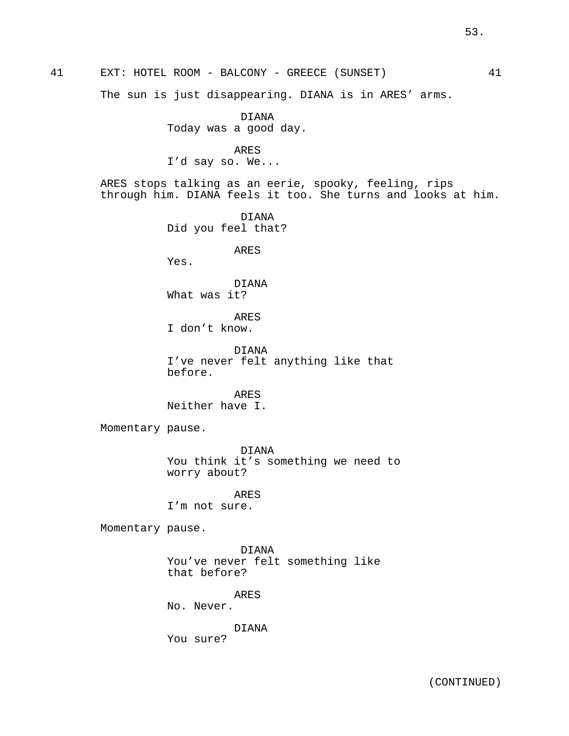41 EXT: HOTEL ROOM - BALCONY - GREECE (SUNSET) 41 The sun is just disappearing. DIANA is in ARES' arms. DIANA Today was a good day. ARES I'd say so. We... ARES stops talking as an eerie, spooky, feeling, rips through him. DIANA feels it too. She turns and looks at him. DIANA Did you feel that? ARES Yes. DIANA What was it? ARES I don't know. DIANA I've never felt anything like that before. ARES Neither have I. Momentary pause. DIANA You think it's something we need to worry about? ARES I'm not sure. Momentary pause. DIANA You've never felt something like that before? ARES No. Never. DIANA You sure?

(CONTINUED)

53.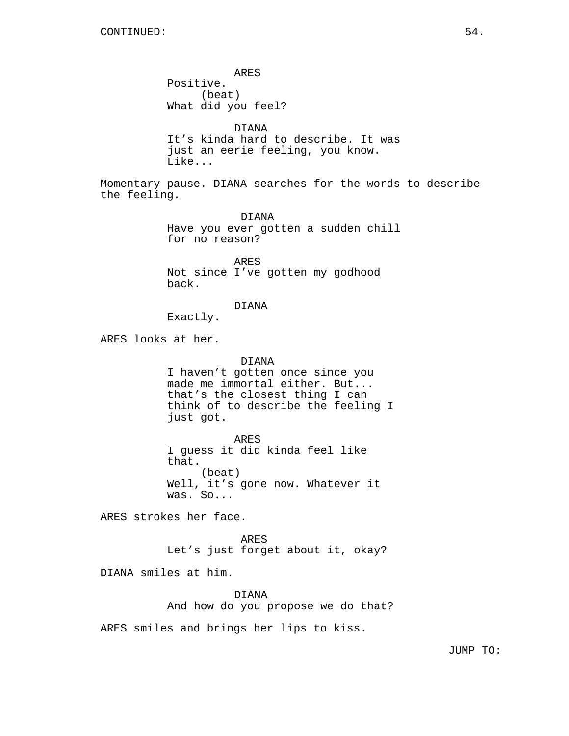ARES Positive. (beat) What did you feel? DIANA It's kinda hard to describe. It was just an eerie feeling, you know. Like... Momentary pause. DIANA searches for the words to describe the feeling. DIANA Have you ever gotten a sudden chill for no reason? ARES Not since I've gotten my godhood back. DIANA Exactly. ARES looks at her. DIANA I haven't gotten once since you made me immortal either. But... that's the closest thing I can think of to describe the feeling I just got. ARES I guess it did kinda feel like that. (beat) Well, it's gone now. Whatever it was. So... ARES strokes her face. ARES Let's just forget about it, okay? DIANA smiles at him. DIANA And how do you propose we do that?

ARES smiles and brings her lips to kiss.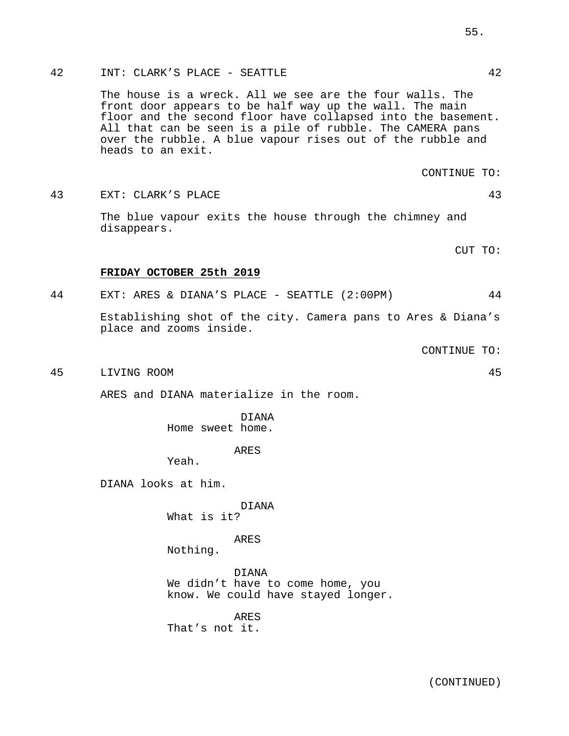## 42 INT: CLARK'S PLACE - SEATTLE 42

The house is a wreck. All we see are the four walls. The front door appears to be half way up the wall. The main floor and the second floor have collapsed into the basement. All that can be seen is a pile of rubble. The CAMERA pans over the rubble. A blue vapour rises out of the rubble and heads to an exit.

CONTINUE TO:

43 EXT: CLARK'S PLACE 43

The blue vapour exits the house through the chimney and disappears.

CUT TO:

### **FRIDAY OCTOBER 25th 2019**

44 EXT: ARES & DIANA'S PLACE - SEATTLE (2:00PM) 44

Establishing shot of the city. Camera pans to Ares & Diana's place and zooms inside.

CONTINUE TO:

45 LIVING ROOM 45

ARES and DIANA materialize in the room.

DIANA Home sweet home.

ARES

Yeah.

DIANA looks at him.

DIANA

What is it?

ARES

Nothing.

DIANA We didn't have to come home, you know. We could have stayed longer.

ARES That's not it.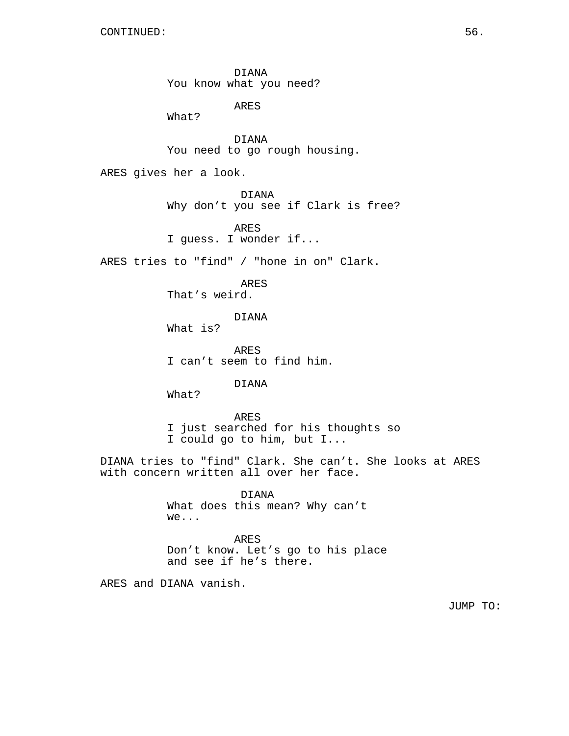DIANA You know what you need?

ARES

What?

DIANA You need to go rough housing.

ARES gives her a look.

DIANA Why don't you see if Clark is free?

ARES I guess. I wonder if...

ARES tries to "find" / "hone in on" Clark.

ARES That's weird.

DIANA

What is?

ARES I can't seem to find him.

DIANA

What?

ARES I just searched for his thoughts so I could go to him, but I...

DIANA tries to "find" Clark. She can't. She looks at ARES with concern written all over her face.

> DIANA What does this mean? Why can't we...

ARES Don't know. Let's go to his place and see if he's there.

ARES and DIANA vanish.

JUMP TO: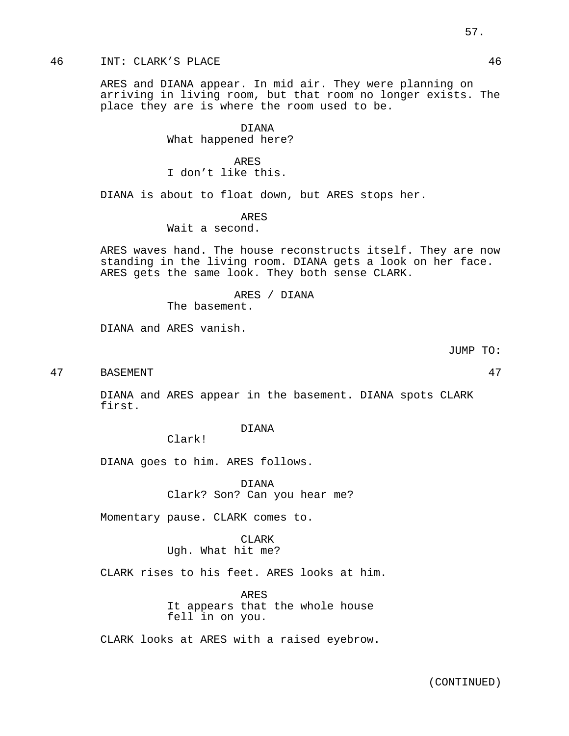## 46 INT: CLARK'S PLACE 46

ARES and DIANA appear. In mid air. They were planning on arriving in living room, but that room no longer exists. The place they are is where the room used to be.

> DIANA What happened here?

ARES I don't like this.

DIANA is about to float down, but ARES stops her.

ARES

Wait a second.

ARES waves hand. The house reconstructs itself. They are now standing in the living room. DIANA gets a look on her face. ARES gets the same look. They both sense CLARK.

ARES / DIANA

The basement.

DIANA and ARES vanish.

JUMP TO:

47 BASEMENT 47

DIANA and ARES appear in the basement. DIANA spots CLARK first.

DIANA

Clark!

DIANA goes to him. ARES follows.

DIANA Clark? Son? Can you hear me?

Momentary pause. CLARK comes to.

CLARK Ugh. What hit me?

CLARK rises to his feet. ARES looks at him.

ARES It appears that the whole house fell in on you.

CLARK looks at ARES with a raised eyebrow.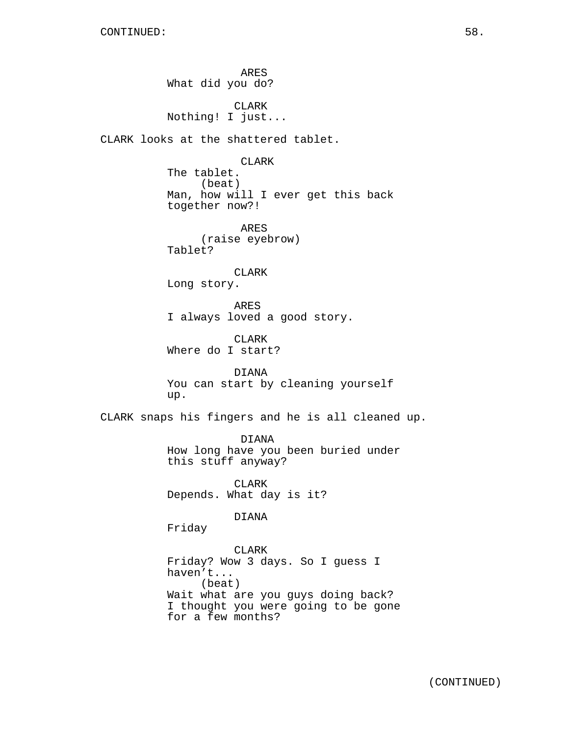ARES What did you do? CLARK Nothing! I just... CLARK looks at the shattered tablet. CLARK The tablet. (beat) Man, how will I ever get this back together now?! ARES (raise eyebrow) Tablet? CLARK Long story. ARES I always loved a good story. CLARK Where do I start? DIANA You can start by cleaning yourself up. CLARK snaps his fingers and he is all cleaned up. DIANA How long have you been buried under this stuff anyway? CLARK Depends. What day is it? DIANA Friday CLARK Friday? Wow 3 days. So I guess I haven't... (beat) Wait what are you guys doing back? I thought you were going to be gone

for a few months?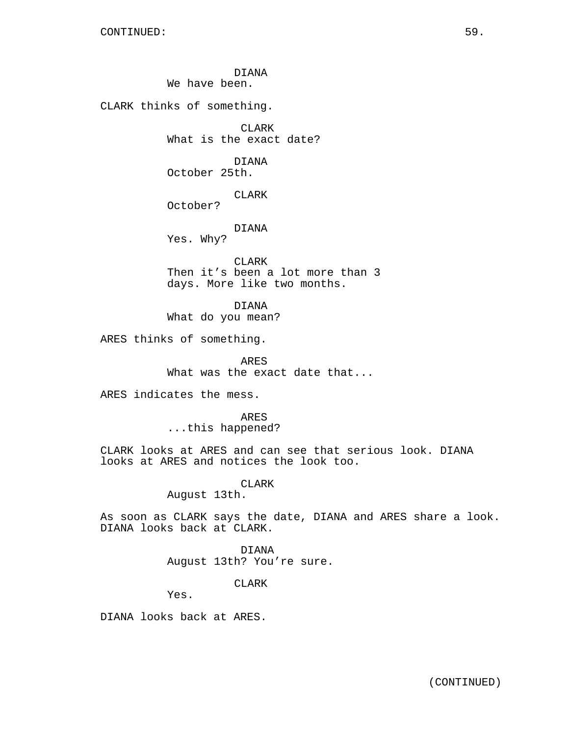DIANA We have been. CLARK thinks of something. CLARK What is the exact date? DIANA October 25th. CLARK October? DIANA Yes. Why? CLARK Then it's been a lot more than 3 days. More like two months. DIANA What do you mean?

ARES thinks of something.

ARES What was the exact date that...

ARES indicates the mess.

ARES ...this happened?

CLARK looks at ARES and can see that serious look. DIANA looks at ARES and notices the look too.

CLARK

August 13th.

As soon as CLARK says the date, DIANA and ARES share a look. DIANA looks back at CLARK.

> DIANA August 13th? You're sure.

> > CLARK

Yes.

DIANA looks back at ARES.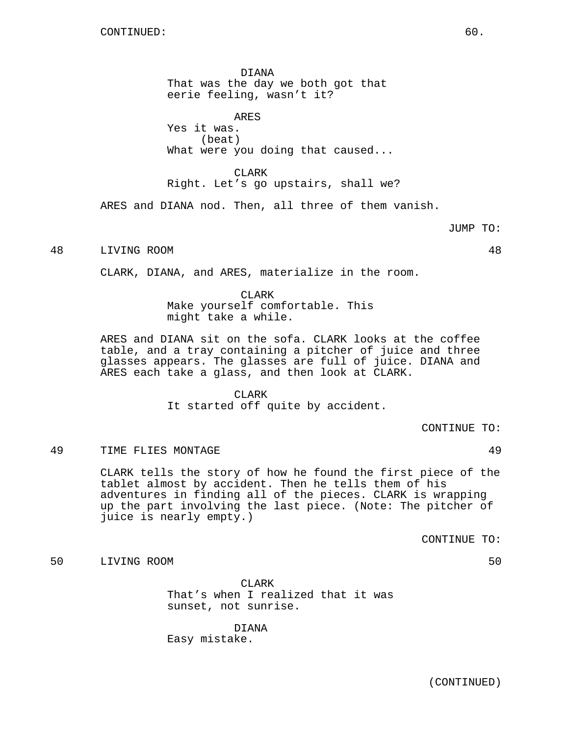DIANA That was the day we both got that eerie feeling, wasn't it?

ARES Yes it was. (beat) What were you doing that caused...

CLARK Right. Let's go upstairs, shall we?

ARES and DIANA nod. Then, all three of them vanish.

48 LIVING ROOM 48

CLARK, DIANA, and ARES, materialize in the room.

CLARK Make yourself comfortable. This might take a while.

ARES and DIANA sit on the sofa. CLARK looks at the coffee table, and a tray containing a pitcher of juice and three glasses appears. The glasses are full of juice. DIANA and ARES each take a glass, and then look at CLARK.

CLARK

It started off quite by accident.

CONTINUE TO:

49 TIME FLIES MONTAGE 49

CLARK tells the story of how he found the first piece of the tablet almost by accident. Then he tells them of his adventures in finding all of the pieces. CLARK is wrapping up the part involving the last piece. (Note: The pitcher of juice is nearly empty.)

CONTINUE TO:

## 50 LIVING ROOM 50

CLARK That's when I realized that it was sunset, not sunrise.

DIANA Easy mistake.

(CONTINUED)

JUMP TO: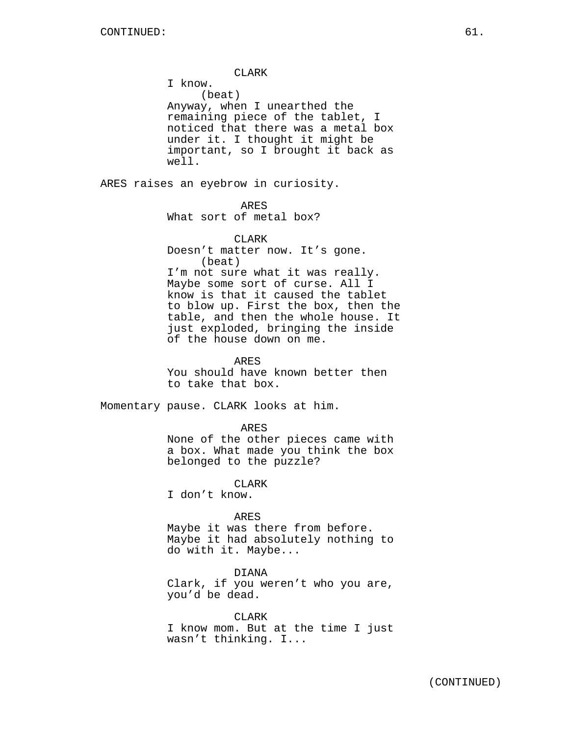CLARK I know. (beat) Anyway, when I unearthed the remaining piece of the tablet, I noticed that there was a metal box under it. I thought it might be important, so I brought it back as well.

ARES raises an eyebrow in curiosity.

## ARES

What sort of metal box?

## CLARK

Doesn't matter now. It's gone. (beat) I'm not sure what it was really.

Maybe some sort of curse. All I know is that it caused the tablet to blow up. First the box, then the table, and then the whole house. It just exploded, bringing the inside of the house down on me.

### ARES

You should have known better then to take that box.

Momentary pause. CLARK looks at him.

#### ARES

None of the other pieces came with a box. What made you think the box belonged to the puzzle?

**CLARK** 

I don't know.

### ARES

Maybe it was there from before. Maybe it had absolutely nothing to do with it. Maybe...

DIANA

Clark, if you weren't who you are, you'd be dead.

CLARK I know mom. But at the time I just wasn't thinking. I...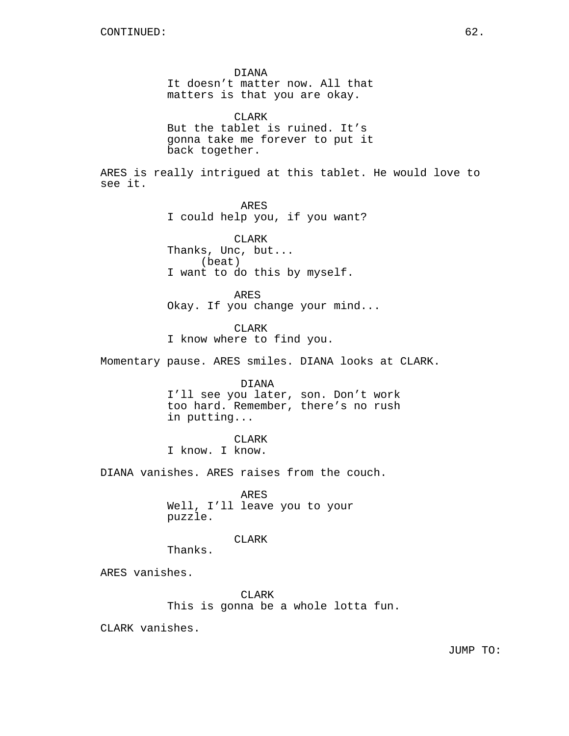DIANA It doesn't matter now. All that matters is that you are okay. CLARK But the tablet is ruined. It's gonna take me forever to put it back together. ARES is really intrigued at this tablet. He would love to see it. ARES I could help you, if you want? CLARK Thanks, Unc, but... (beat) I want to do this by myself. ARES Okay. If you change your mind... CLARK I know where to find you. Momentary pause. ARES smiles. DIANA looks at CLARK. DIANA I'll see you later, son. Don't work too hard. Remember, there's no rush in putting... CLARK I know. I know. DIANA vanishes. ARES raises from the couch. ARES Well, I'll leave you to your puzzle. CLARK Thanks. ARES vanishes. CLARK This is gonna be a whole lotta fun.

CLARK vanishes.

JUMP TO: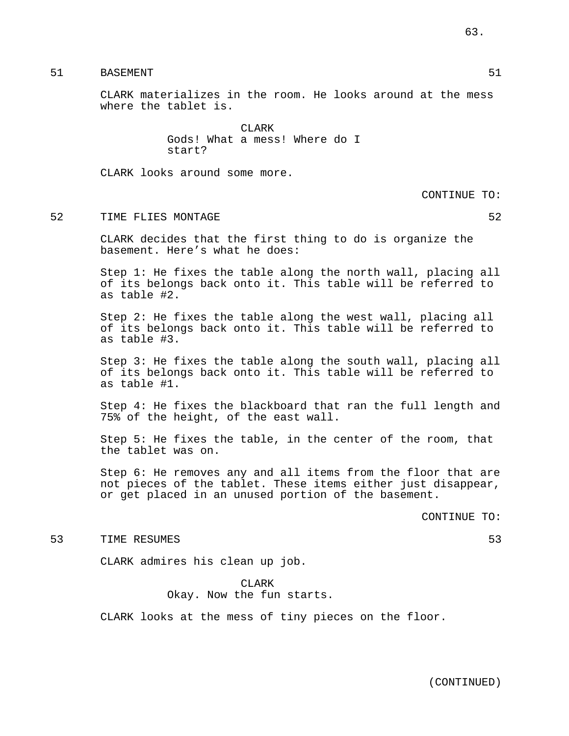51 BASEMENT 51

CLARK materializes in the room. He looks around at the mess where the tablet is.

> CLARK Gods! What a mess! Where do I start?

CLARK looks around some more.

CONTINUE TO:

### 52 TIME FLIES MONTAGE 52

CLARK decides that the first thing to do is organize the basement. Here's what he does:

Step 1: He fixes the table along the north wall, placing all of its belongs back onto it. This table will be referred to as table #2.

Step 2: He fixes the table along the west wall, placing all of its belongs back onto it. This table will be referred to as table #3.

Step 3: He fixes the table along the south wall, placing all of its belongs back onto it. This table will be referred to as table #1.

Step 4: He fixes the blackboard that ran the full length and 75% of the height, of the east wall.

Step 5: He fixes the table, in the center of the room, that the tablet was on.

Step 6: He removes any and all items from the floor that are not pieces of the tablet. These items either just disappear, or get placed in an unused portion of the basement.

CONTINUE TO:

### 53 TIME RESUMES 53

CLARK admires his clean up job.

CLARK Okay. Now the fun starts.

CLARK looks at the mess of tiny pieces on the floor.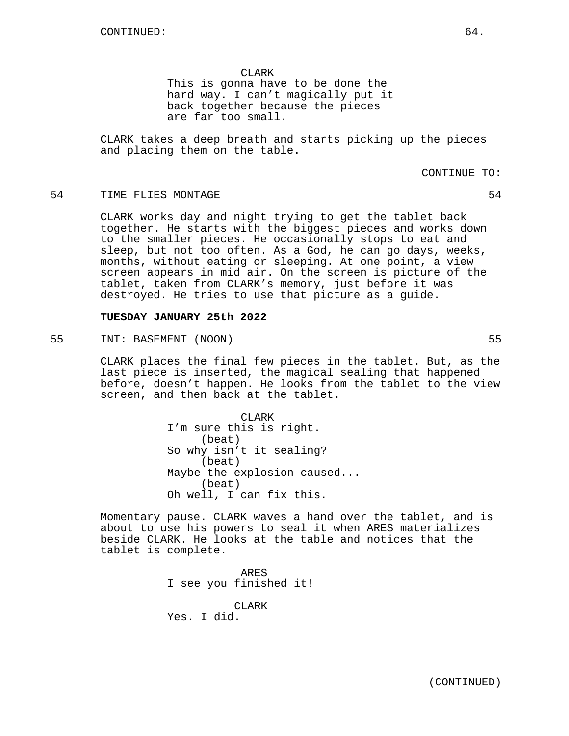CLARK This is gonna have to be done the hard way. I can't magically put it back together because the pieces

are far too small.

CLARK takes a deep breath and starts picking up the pieces and placing them on the table.

### CONTINUE TO:

## 54 TIME FLIES MONTAGE 34

CLARK works day and night trying to get the tablet back together. He starts with the biggest pieces and works down to the smaller pieces. He occasionally stops to eat and sleep, but not too often. As a God, he can go days, weeks, months, without eating or sleeping. At one point, a view screen appears in mid air. On the screen is picture of the tablet, taken from CLARK's memory, just before it was destroyed. He tries to use that picture as a guide.

## **TUESDAY JANUARY 25th 2022**

55 INT: BASEMENT (NOON) 55

CLARK places the final few pieces in the tablet. But, as the last piece is inserted, the magical sealing that happened before, doesn't happen. He looks from the tablet to the view screen, and then back at the tablet.

> CLARK I'm sure this is right. (beat) So why isn't it sealing? (beat) Maybe the explosion caused... (beat) Oh well, I can fix this.

Momentary pause. CLARK waves a hand over the tablet, and is about to use his powers to seal it when ARES materializes beside CLARK. He looks at the table and notices that the tablet is complete.

> ARES I see you finished it! CLARK Yes. I did.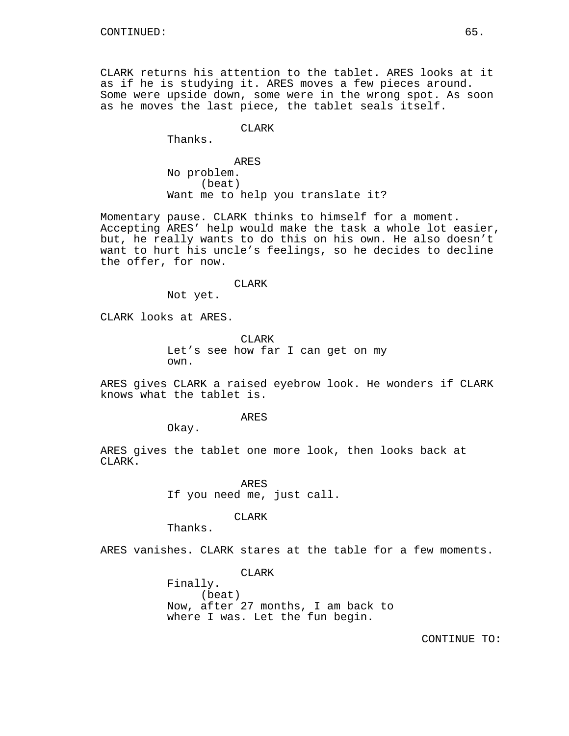CLARK returns his attention to the tablet. ARES looks at it as if he is studying it. ARES moves a few pieces around. Some were upside down, some were in the wrong spot. As soon as he moves the last piece, the tablet seals itself.

## **CLARK**

Thanks.

ARES No problem. (beat) Want me to help you translate it?

Momentary pause. CLARK thinks to himself for a moment. Accepting ARES' help would make the task a whole lot easier, but, he really wants to do this on his own. He also doesn't want to hurt his uncle's feelings, so he decides to decline the offer, for now.

### CLARK

Not yet.

CLARK looks at ARES.

CLARK Let's see how far I can get on my own.

ARES gives CLARK a raised eyebrow look. He wonders if CLARK knows what the tablet is.

ARES

Okay.

ARES gives the tablet one more look, then looks back at CLARK.

> ARES If you need me, just call.

#### CLARK

Thanks.

ARES vanishes. CLARK stares at the table for a few moments.

CLARK

Finally. (beat) Now, after 27 months, I am back to where I was. Let the fun begin.

CONTINUE TO: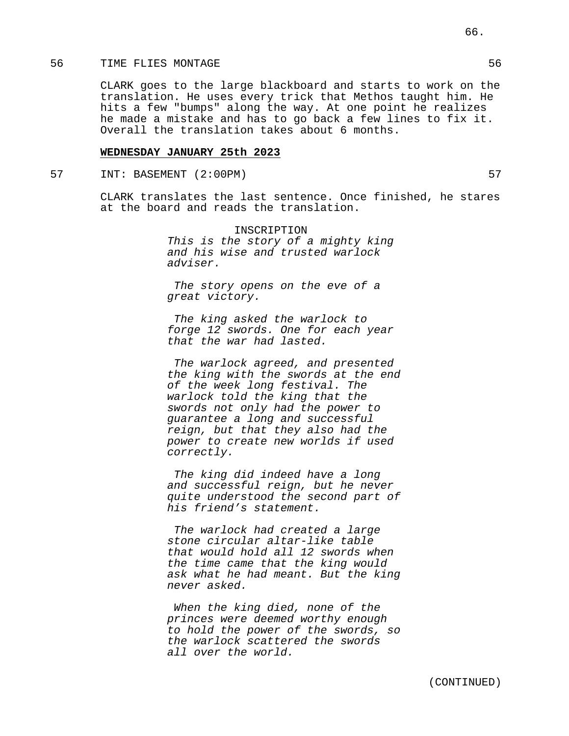### 56 TIME FLIES MONTAGE 56

CLARK goes to the large blackboard and starts to work on the translation. He uses every trick that Methos taught him. He hits a few "bumps" along the way. At one point he realizes he made a mistake and has to go back a few lines to fix it. Overall the translation takes about 6 months.

## **WEDNESDAY JANUARY 25th 2023**

## 57 INT: BASEMENT (2:00PM) 57

CLARK translates the last sentence. Once finished, he stares at the board and reads the translation.

> INSCRIPTION This is the story of a mighty king and his wise and trusted warlock adviser.

The story opens on the eve of a great victory.

The king asked the warlock to forge 12 swords. One for each year that the war had lasted.

The warlock agreed, and presented the king with the swords at the end of the week long festival. The warlock told the king that the swords not only had the power to guarantee a long and successful reign, but that they also had the power to create new worlds if used correctly.

The king did indeed have a long and successful reign, but he never quite understood the second part of his friend's statement.

The warlock had created a large stone circular altar-like table that would hold all 12 swords when the time came that the king would ask what he had meant. But the king never asked.

When the king died, none of the princes were deemed worthy enough to hold the power of the swords, so the warlock scattered the swords all over the world.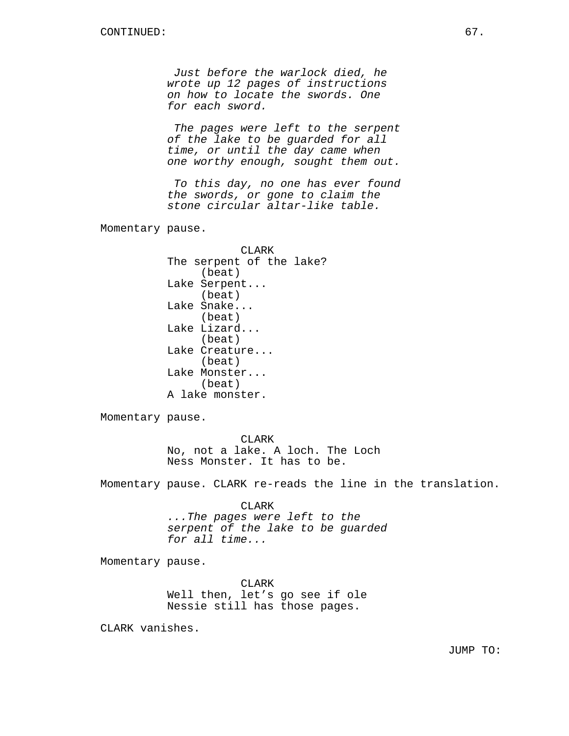Just before the warlock died, he wrote up 12 pages of instructions on how to locate the swords. One for each sword.

The pages were left to the serpent of the lake to be guarded for all time, or until the day came when one worthy enough, sought them out.

To this day, no one has ever found the swords, or gone to claim the stone circular altar-like table.

Momentary pause.

CLARK The serpent of the lake? (beat) Lake Serpent... (beat) Lake Snake... (beat) Lake Lizard... (beat) Lake Creature... (beat) Lake Monster... (beat) A lake monster.

Momentary pause.

CLARK No, not a lake. A loch. The Loch Ness Monster. It has to be.

Momentary pause. CLARK re-reads the line in the translation.

CLARK

...The pages were left to the serpent of the lake to be guarded for all time...

Momentary pause.

CLARK Well then, let's go see if ole Nessie still has those pages.

CLARK vanishes.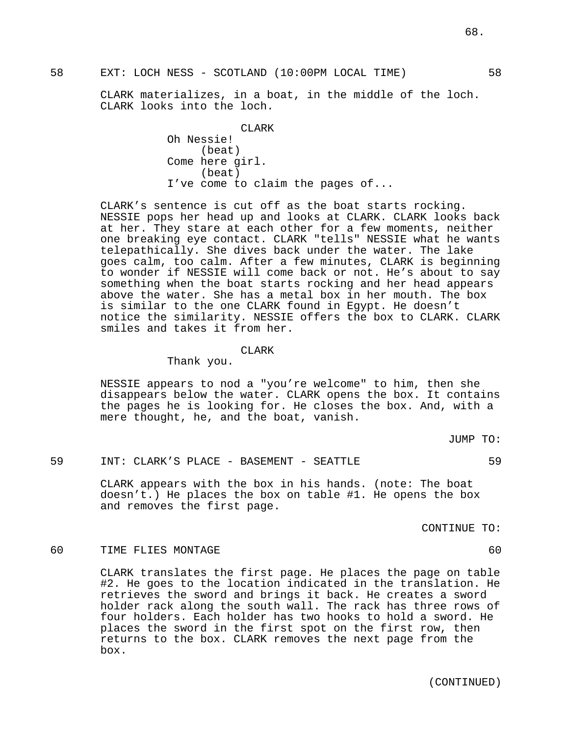CLARK materializes, in a boat, in the middle of the loch. CLARK looks into the loch.

> **CLARK** Oh Nessie! (beat) Come here girl. (beat) I've come to claim the pages of...

CLARK's sentence is cut off as the boat starts rocking. NESSIE pops her head up and looks at CLARK. CLARK looks back at her. They stare at each other for a few moments, neither one breaking eye contact. CLARK "tells" NESSIE what he wants telepathically. She dives back under the water. The lake goes calm, too calm. After a few minutes, CLARK is beginning to wonder if NESSIE will come back or not. He's about to say something when the boat starts rocking and her head appears above the water. She has a metal box in her mouth. The box is similar to the one CLARK found in Egypt. He doesn't notice the similarity. NESSIE offers the box to CLARK. CLARK smiles and takes it from her.

#### CLARK

Thank you.

NESSIE appears to nod a "you're welcome" to him, then she disappears below the water. CLARK opens the box. It contains the pages he is looking for. He closes the box. And, with a mere thought, he, and the boat, vanish.

JUMP TO:

59 INT: CLARK'S PLACE - BASEMENT - SEATTLE 59

CLARK appears with the box in his hands. (note: The boat doesn't.) He places the box on table #1. He opens the box and removes the first page.

CONTINUE TO:

## 60 TIME FLIES MONTAGE 60 and 50 and 50 km s and 50 km s and 50 km s and 60 km s and 60 km s and 60 km s and 60

CLARK translates the first page. He places the page on table #2. He goes to the location indicated in the translation. He retrieves the sword and brings it back. He creates a sword holder rack along the south wall. The rack has three rows of four holders. Each holder has two hooks to hold a sword. He places the sword in the first spot on the first row, then returns to the box. CLARK removes the next page from the box.

58 EXT: LOCH NESS - SCOTLAND (10:00PM LOCAL TIME) 58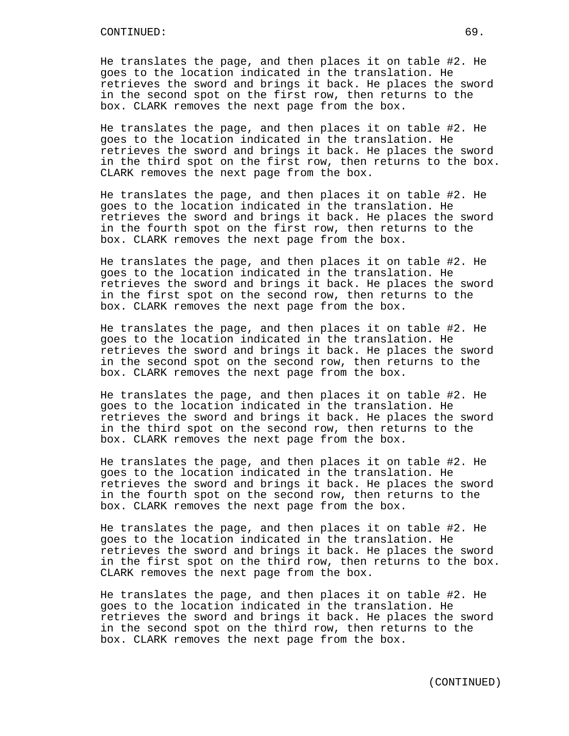He translates the page, and then places it on table #2. He goes to the location indicated in the translation. He retrieves the sword and brings it back. He places the sword in the second spot on the first row, then returns to the box. CLARK removes the next page from the box.

He translates the page, and then places it on table #2. He goes to the location indicated in the translation. He retrieves the sword and brings it back. He places the sword in the third spot on the first row, then returns to the box. CLARK removes the next page from the box.

He translates the page, and then places it on table #2. He goes to the location indicated in the translation. He retrieves the sword and brings it back. He places the sword in the fourth spot on the first row, then returns to the box. CLARK removes the next page from the box.

He translates the page, and then places it on table #2. He goes to the location indicated in the translation. He retrieves the sword and brings it back. He places the sword in the first spot on the second row, then returns to the box. CLARK removes the next page from the box.

He translates the page, and then places it on table #2. He goes to the location indicated in the translation. He retrieves the sword and brings it back. He places the sword in the second spot on the second row, then returns to the box. CLARK removes the next page from the box.

He translates the page, and then places it on table #2. He goes to the location indicated in the translation. He retrieves the sword and brings it back. He places the sword in the third spot on the second row, then returns to the box. CLARK removes the next page from the box.

He translates the page, and then places it on table #2. He goes to the location indicated in the translation. He retrieves the sword and brings it back. He places the sword in the fourth spot on the second row, then returns to the box. CLARK removes the next page from the box.

He translates the page, and then places it on table #2. He goes to the location indicated in the translation. He retrieves the sword and brings it back. He places the sword in the first spot on the third row, then returns to the box. CLARK removes the next page from the box.

He translates the page, and then places it on table #2. He goes to the location indicated in the translation. He retrieves the sword and brings it back. He places the sword in the second spot on the third row, then returns to the box. CLARK removes the next page from the box.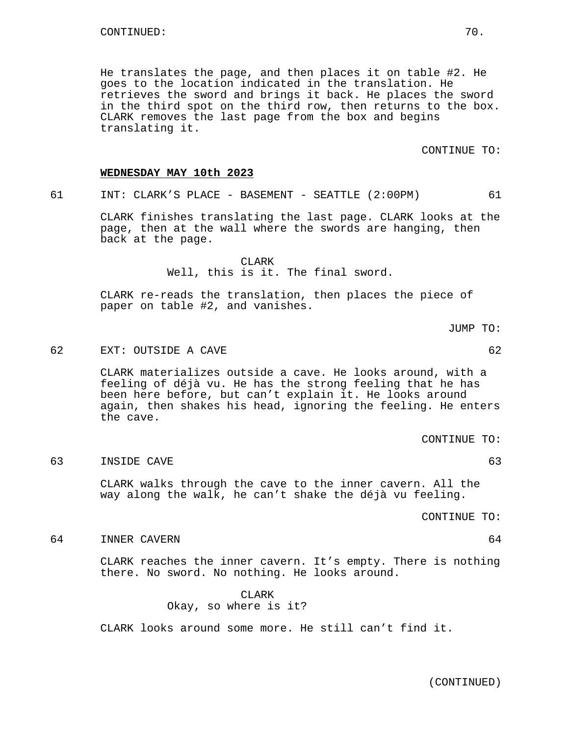He translates the page, and then places it on table #2. He goes to the location indicated in the translation. He retrieves the sword and brings it back. He places the sword in the third spot on the third row, then returns to the box. CLARK removes the last page from the box and begins translating it.

CONTINUE TO:

### **WEDNESDAY MAY 10th 2023**

61 INT: CLARK'S PLACE - BASEMENT - SEATTLE (2:00PM) 61

CLARK finishes translating the last page. CLARK looks at the page, then at the wall where the swords are hanging, then back at the page.

> CLARK Well, this is it. The final sword.

CLARK re-reads the translation, then places the piece of paper on table #2, and vanishes.

JUMP TO:

## 62 EXT: OUTSIDE A CAVE 62

CLARK materializes outside a cave. He looks around, with a feeling of déjà vu. He has the strong feeling that he has been here before, but can't explain it. He looks around again, then shakes his head, ignoring the feeling. He enters the cave.

CONTINUE TO:

63 INSIDE CAVE 63

CLARK walks through the cave to the inner cavern. All the way along the walk, he can't shake the déjà vu feeling.

CONTINUE TO:

64 INNER CAVERN 64

CLARK reaches the inner cavern. It's empty. There is nothing there. No sword. No nothing. He looks around.

> CLARK Okay, so where is it?

CLARK looks around some more. He still can't find it.

(CONTINUED)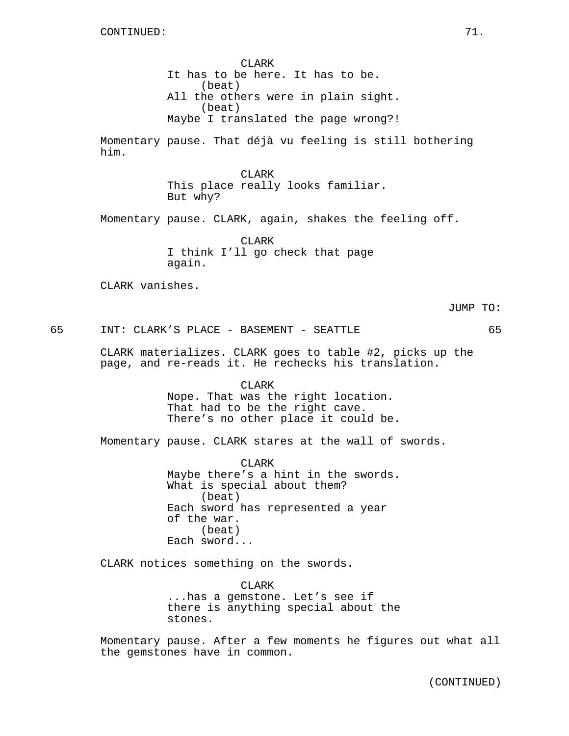CLARK It has to be here. It has to be. (beat) All the others were in plain sight. (beat) Maybe I translated the page wrong?! Momentary pause. That déjà vu feeling is still bothering him. CLARK This place really looks familiar. But why? Momentary pause. CLARK, again, shakes the feeling off. CLARK I think I'll go check that page again. CLARK vanishes. JUMP TO: 65 INT: CLARK'S PLACE - BASEMENT - SEATTLE 65 CLARK materializes. CLARK goes to table #2, picks up the page, and re-reads it. He rechecks his translation. CLARK Nope. That was the right location. That had to be the right cave. There's no other place it could be. Momentary pause. CLARK stares at the wall of swords. CLARK Maybe there's a hint in the swords. What is special about them? (beat) Each sword has represented a year of the war. (beat) Each sword... CLARK notices something on the swords. CLARK ...has a gemstone. Let's see if there is anything special about the stones.

> Momentary pause. After a few moments he figures out what all the gemstones have in common.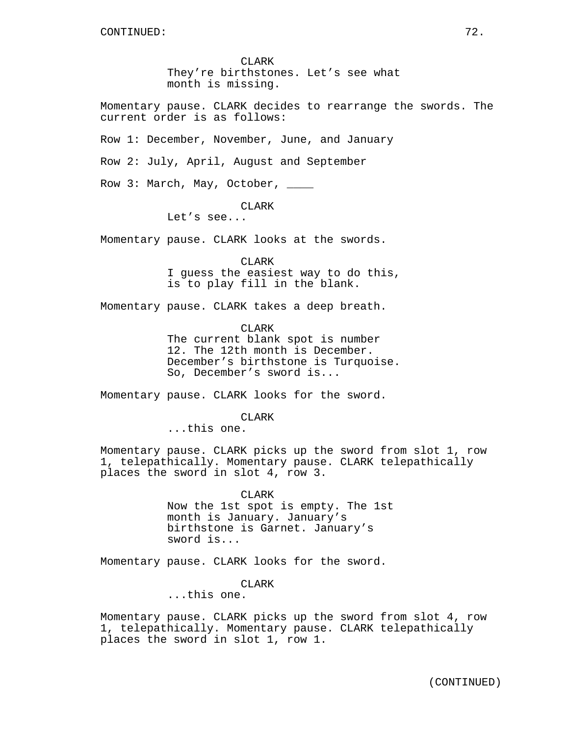CLARK They're birthstones. Let's see what month is missing.

Momentary pause. CLARK decides to rearrange the swords. The current order is as follows:

Row 1: December, November, June, and January

Row 2: July, April, August and September

Row 3: March, May, October, \_\_\_\_

### CLARK

Let's see...

Momentary pause. CLARK looks at the swords.

CLARK

I guess the easiest way to do this, is to play fill in the blank.

Momentary pause. CLARK takes a deep breath.

CLARK The current blank spot is number 12. The 12th month is December. December's birthstone is Turquoise. So, December's sword is...

Momentary pause. CLARK looks for the sword.

CLARK

...this one.

Momentary pause. CLARK picks up the sword from slot 1, row 1, telepathically. Momentary pause. CLARK telepathically places the sword in slot 4, row 3.

> CLARK Now the 1st spot is empty. The 1st month is January. January's birthstone is Garnet. January's sword is...

Momentary pause. CLARK looks for the sword.

#### CLARK

...this one.

Momentary pause. CLARK picks up the sword from slot 4, row 1, telepathically. Momentary pause. CLARK telepathically places the sword in slot 1, row 1.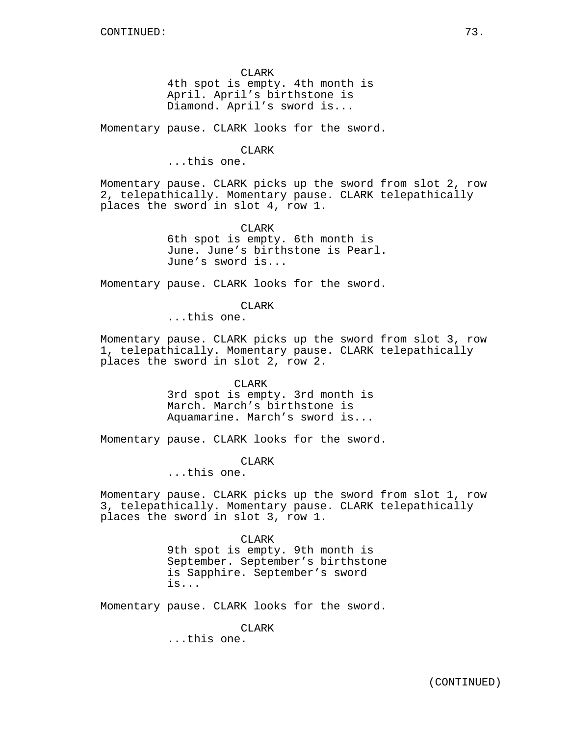CLARK

4th spot is empty. 4th month is April. April's birthstone is Diamond. April's sword is...

Momentary pause. CLARK looks for the sword.

CLARK

...this one.

Momentary pause. CLARK picks up the sword from slot 2, row 2, telepathically. Momentary pause. CLARK telepathically places the sword in slot 4, row 1.

> CLARK 6th spot is empty. 6th month is June. June's birthstone is Pearl. June's sword is...

Momentary pause. CLARK looks for the sword.

CLARK

...this one.

Momentary pause. CLARK picks up the sword from slot 3, row 1, telepathically. Momentary pause. CLARK telepathically places the sword in slot 2, row 2.

> CLARK 3rd spot is empty. 3rd month is March. March's birthstone is Aquamarine. March's sword is...

Momentary pause. CLARK looks for the sword.

CLARK

...this one.

Momentary pause. CLARK picks up the sword from slot 1, row 3, telepathically. Momentary pause. CLARK telepathically places the sword in slot 3, row 1.

> CLARK 9th spot is empty. 9th month is September. September's birthstone is Sapphire. September's sword is...

Momentary pause. CLARK looks for the sword.

CLARK

...this one.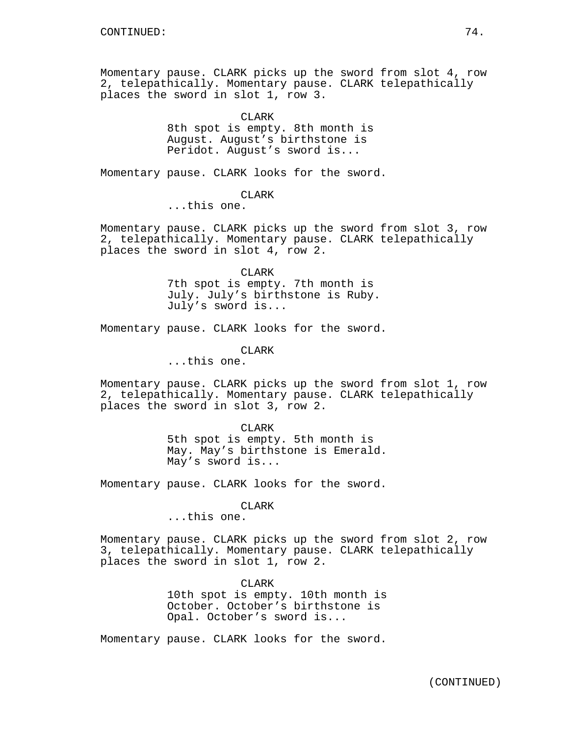Momentary pause. CLARK picks up the sword from slot 4, row 2, telepathically. Momentary pause. CLARK telepathically places the sword in slot 1, row 3.

> CLARK 8th spot is empty. 8th month is August. August's birthstone is Peridot. August's sword is...

Momentary pause. CLARK looks for the sword.

CLARK

...this one.

Momentary pause. CLARK picks up the sword from slot 3, row 2, telepathically. Momentary pause. CLARK telepathically places the sword in slot 4, row 2.

> CLARK 7th spot is empty. 7th month is

July. July's birthstone is Ruby. July's sword is...

Momentary pause. CLARK looks for the sword.

CLARK

...this one.

Momentary pause. CLARK picks up the sword from slot 1, row 2, telepathically. Momentary pause. CLARK telepathically places the sword in slot 3, row 2.

> CLARK 5th spot is empty. 5th month is May. May's birthstone is Emerald. May's sword is...

Momentary pause. CLARK looks for the sword.

CLARK

...this one.

Momentary pause. CLARK picks up the sword from slot 2, row 3, telepathically. Momentary pause. CLARK telepathically places the sword in slot 1, row 2.

> CLARK 10th spot is empty. 10th month is October. October's birthstone is Opal. October's sword is...

Momentary pause. CLARK looks for the sword.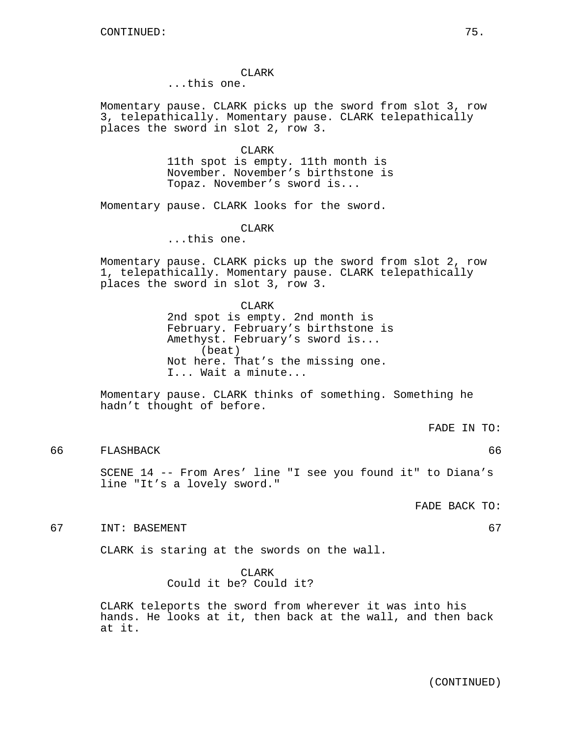CLARK

...this one.

Momentary pause. CLARK picks up the sword from slot 3, row 3, telepathically. Momentary pause. CLARK telepathically places the sword in slot 2, row 3.

> CLARK 11th spot is empty. 11th month is November. November's birthstone is Topaz. November's sword is...

Momentary pause. CLARK looks for the sword.

CLARK

...this one.

Momentary pause. CLARK picks up the sword from slot 2, row 1, telepathically. Momentary pause. CLARK telepathically places the sword in slot 3, row 3.

> CLARK 2nd spot is empty. 2nd month is February. February's birthstone is Amethyst. February's sword is... (beat) Not here. That's the missing one. I... Wait a minute...

Momentary pause. CLARK thinks of something. Something he hadn't thought of before.

FADE IN TO:

66 FLASHBACK 66

SCENE 14 -- From Ares' line "I see you found it" to Diana's line "It's a lovely sword."

FADE BACK TO:

67 INT: BASEMENT 67

CLARK is staring at the swords on the wall.

CLARK Could it be? Could it?

CLARK teleports the sword from wherever it was into his hands. He looks at it, then back at the wall, and then back at it.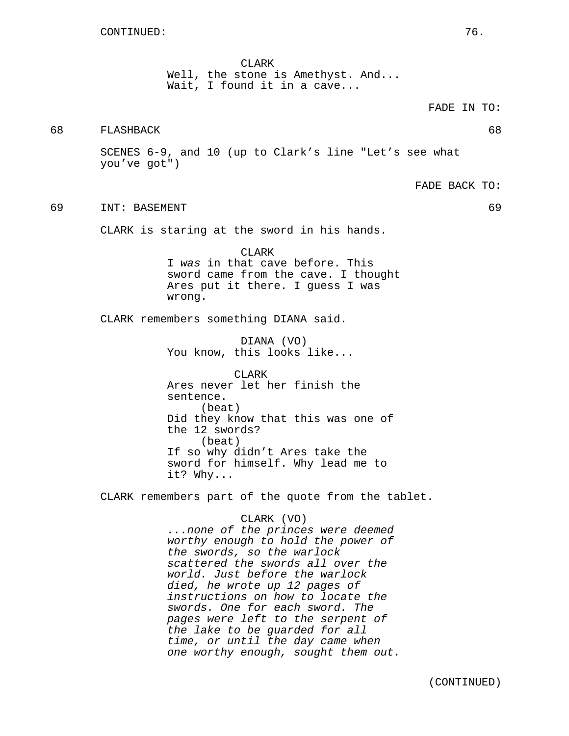CLARK Well, the stone is Amethyst. And... Wait, I found it in a cave...

# 68 FLASHBACK 68

SCENES 6-9, and 10 (up to Clark's line "Let's see what you've got")

FADE BACK TO:

FADE IN TO:

### 69 INT: BASEMENT 69

CLARK is staring at the sword in his hands.

CLARK I was in that cave before. This sword came from the cave. I thought Ares put it there. I guess I was wrong.

CLARK remembers something DIANA said.

DIANA (VO) You know, this looks like...

CLARK Ares never let her finish the sentence. (beat) Did they know that this was one of the 12 swords? (beat) If so why didn't Ares take the sword for himself. Why lead me to it? Why...

CLARK remembers part of the quote from the tablet.

CLARK (VO) ...none of the princes were deemed worthy enough to hold the power of the swords, so the warlock scattered the swords all over the world. Just before the warlock died, he wrote up 12 pages of instructions on how to locate the swords. One for each sword. The pages were left to the serpent of the lake to be guarded for all time, or until the day came when one worthy enough, sought them out.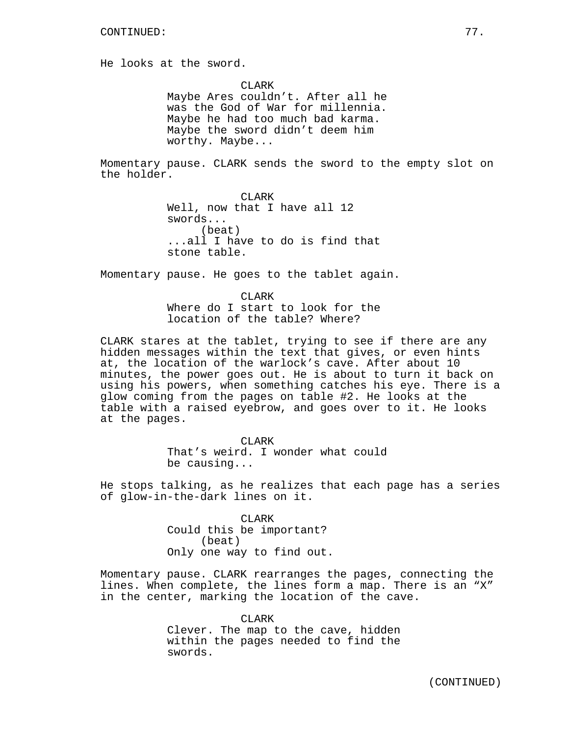He looks at the sword.

CLARK Maybe Ares couldn't. After all he was the God of War for millennia. Maybe he had too much bad karma. Maybe the sword didn't deem him worthy. Maybe...

Momentary pause. CLARK sends the sword to the empty slot on the holder.

> CLARK Well, now that I have all 12 swords... (beat) ...all I have to do is find that stone table.

Momentary pause. He goes to the tablet again.

CLARK Where do I start to look for the location of the table? Where?

CLARK stares at the tablet, trying to see if there are any hidden messages within the text that gives, or even hints at, the location of the warlock's cave. After about 10 minutes, the power goes out. He is about to turn it back on using his powers, when something catches his eye. There is a glow coming from the pages on table #2. He looks at the table with a raised eyebrow, and goes over to it. He looks at the pages.

> CLARK That's weird. I wonder what could be causing...

He stops talking, as he realizes that each page has a series of glow-in-the-dark lines on it.

> CLARK Could this be important? (beat) Only one way to find out.

Momentary pause. CLARK rearranges the pages, connecting the lines. When complete, the lines form a map. There is an "X" in the center, marking the location of the cave.

> CLARK Clever. The map to the cave, hidden within the pages needed to find the swords.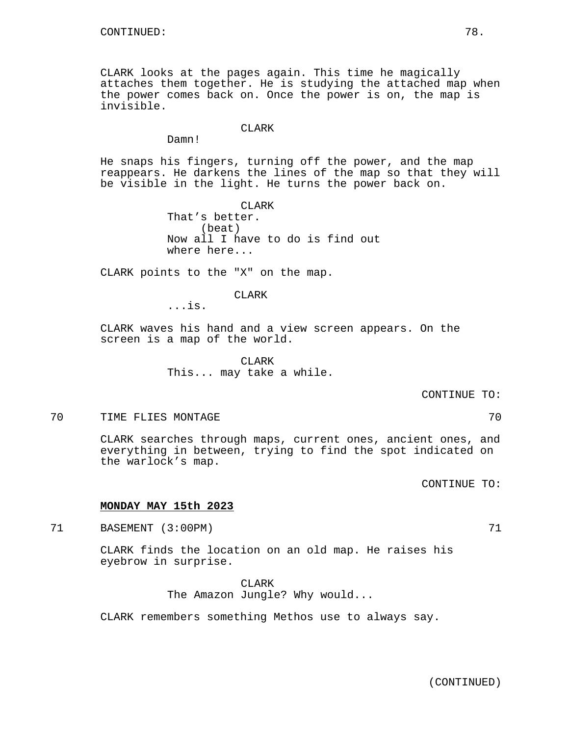CLARK looks at the pages again. This time he magically attaches them together. He is studying the attached map when the power comes back on. Once the power is on, the map is invisible.

## CLARK

Damn!

He snaps his fingers, turning off the power, and the map reappears. He darkens the lines of the map so that they will be visible in the light. He turns the power back on.

> CLARK That's better. (beat) Now all I have to do is find out where here...

CLARK points to the "X" on the map.

### CLARK

...is.

CLARK waves his hand and a view screen appears. On the screen is a map of the world.

> CLARK This... may take a while.

### CONTINUE TO:

## 70 TIME FLIES MONTAGE 70

CLARK searches through maps, current ones, ancient ones, and everything in between, trying to find the spot indicated on the warlock's map.

CONTINUE TO:

### **MONDAY MAY 15th 2023**

71 BASEMENT (3:00PM) 71 71

CLARK finds the location on an old map. He raises his eyebrow in surprise.

> CLARK The Amazon Jungle? Why would...

CLARK remembers something Methos use to always say.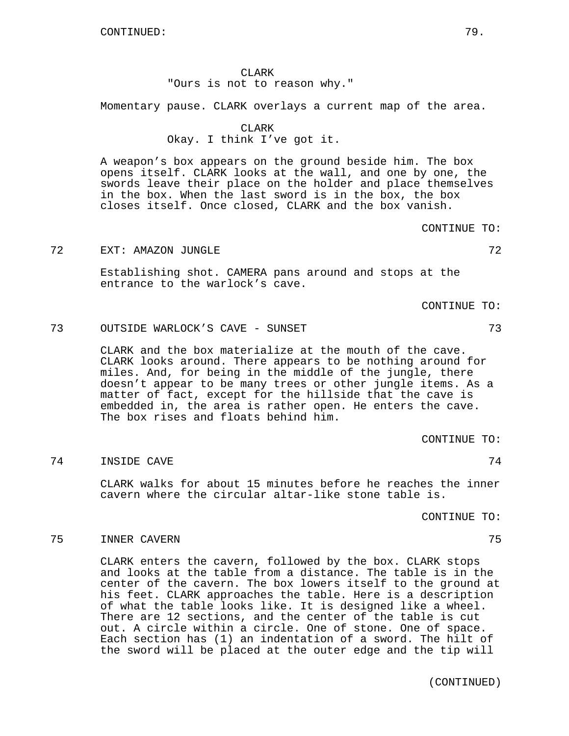CLARK "Ours is not to reason why."

Momentary pause. CLARK overlays a current map of the area.

### CLARK

Okay. I think I've got it.

A weapon's box appears on the ground beside him. The box opens itself. CLARK looks at the wall, and one by one, the swords leave their place on the holder and place themselves in the box. When the last sword is in the box, the box closes itself. Once closed, CLARK and the box vanish.

CONTINUE TO:

## 72 EXT: AMAZON JUNGLE 72

Establishing shot. CAMERA pans around and stops at the entrance to the warlock's cave.

CONTINUE TO:

73 OUTSIDE WARLOCK'S CAVE - SUNSET 73

CLARK and the box materialize at the mouth of the cave. CLARK looks around. There appears to be nothing around for miles. And, for being in the middle of the jungle, there doesn't appear to be many trees or other jungle items. As a matter of fact, except for the hillside that the cave is embedded in, the area is rather open. He enters the cave. The box rises and floats behind him.

CONTINUE TO:

### 74 INSIDE CAVE 74

CLARK walks for about 15 minutes before he reaches the inner cavern where the circular altar-like stone table is.

CONTINUE TO:

### 75 INNER CAVERN 75

CLARK enters the cavern, followed by the box. CLARK stops and looks at the table from a distance. The table is in the center of the cavern. The box lowers itself to the ground at his feet. CLARK approaches the table. Here is a description of what the table looks like. It is designed like a wheel. There are 12 sections, and the center of the table is cut out. A circle within a circle. One of stone. One of space. Each section has (1) an indentation of a sword. The hilt of the sword will be placed at the outer edge and the tip will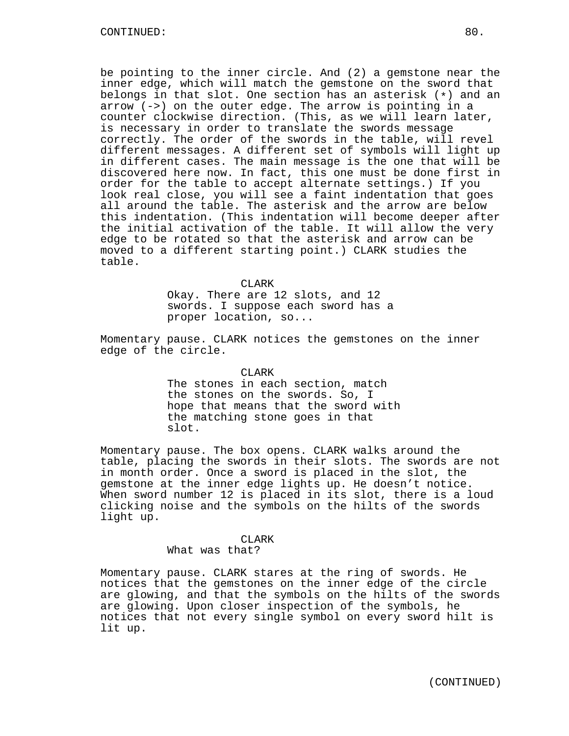be pointing to the inner circle. And (2) a gemstone near the inner edge, which will match the gemstone on the sword that belongs in that slot. One section has an asterisk (\*) and an arrow (->) on the outer edge. The arrow is pointing in a counter clockwise direction. (This, as we will learn later, is necessary in order to translate the swords message correctly. The order of the swords in the table, will revel different messages. A different set of symbols will light up in different cases. The main message is the one that will be discovered here now. In fact, this one must be done first in order for the table to accept alternate settings.) If you look real close, you will see a faint indentation that goes all around the table. The asterisk and the arrow are below this indentation. (This indentation will become deeper after the initial activation of the table. It will allow the very edge to be rotated so that the asterisk and arrow can be moved to a different starting point.) CLARK studies the table.

#### CLARK

Okay. There are 12 slots, and 12 swords. I suppose each sword has a proper location, so...

Momentary pause. CLARK notices the gemstones on the inner edge of the circle.

CLARK

The stones in each section, match the stones on the swords. So, I hope that means that the sword with the matching stone goes in that slot.

Momentary pause. The box opens. CLARK walks around the table, placing the swords in their slots. The swords are not in month order. Once a sword is placed in the slot, the gemstone at the inner edge lights up. He doesn't notice. When sword number 12 is placed in its slot, there is a loud clicking noise and the symbols on the hilts of the swords light up.

#### CLARK

What was that?

Momentary pause. CLARK stares at the ring of swords. He notices that the gemstones on the inner edge of the circle are glowing, and that the symbols on the hilts of the swords are glowing. Upon closer inspection of the symbols, he notices that not every single symbol on every sword hilt is lit up.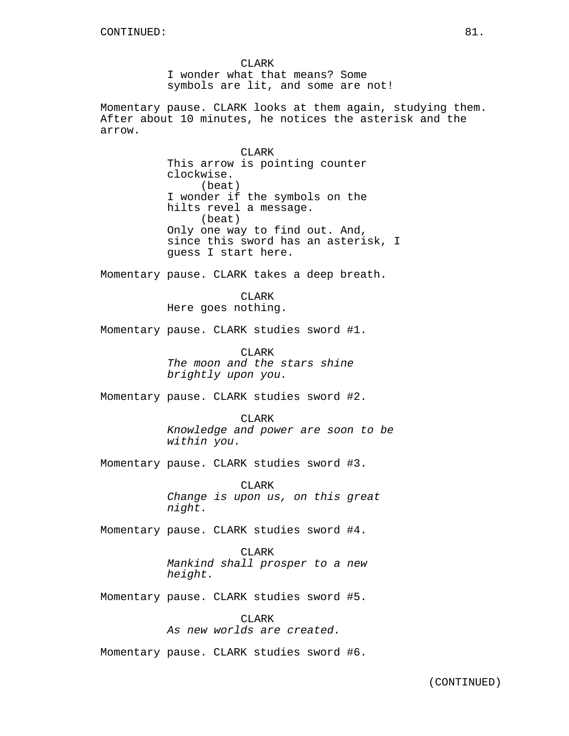CLARK I wonder what that means? Some symbols are lit, and some are not!

Momentary pause. CLARK looks at them again, studying them. After about 10 minutes, he notices the asterisk and the arrow.

> CLARK This arrow is pointing counter clockwise. (beat) I wonder if the symbols on the hilts revel a message. (beat) Only one way to find out. And, since this sword has an asterisk, I guess I start here.

Momentary pause. CLARK takes a deep breath.

CLARK Here goes nothing.

Momentary pause. CLARK studies sword #1.

CLARK The moon and the stars shine brightly upon you.

Momentary pause. CLARK studies sword #2.

CLARK

Knowledge and power are soon to be within you.

Momentary pause. CLARK studies sword #3.

CLARK Change is upon us, on this great night.

Momentary pause. CLARK studies sword #4.

CLARK Mankind shall prosper to a new height.

Momentary pause. CLARK studies sword #5.

CLARK As new worlds are created.

Momentary pause. CLARK studies sword #6.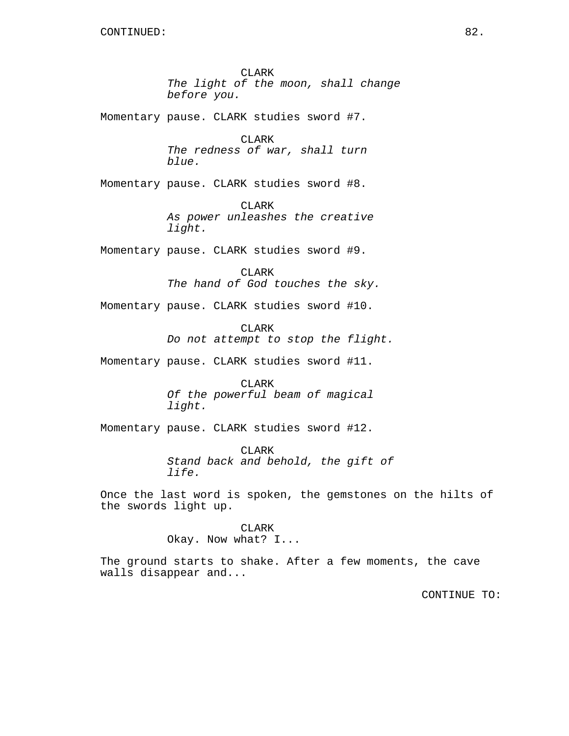Momentary pause. CLARK studies sword #7.

CLARK The redness of war, shall turn blue.

Momentary pause. CLARK studies sword #8.

CLARK As power unleashes the creative light.

Momentary pause. CLARK studies sword #9.

CLARK The hand of God touches the sky.

Momentary pause. CLARK studies sword #10.

CLARK Do not attempt to stop the flight.

Momentary pause. CLARK studies sword #11.

CLARK Of the powerful beam of magical light.

Momentary pause. CLARK studies sword #12.

CLARK Stand back and behold, the gift of life.

Once the last word is spoken, the gemstones on the hilts of the swords light up.

## CLARK

Okay. Now what? I...

The ground starts to shake. After a few moments, the cave walls disappear and...

CONTINUE TO: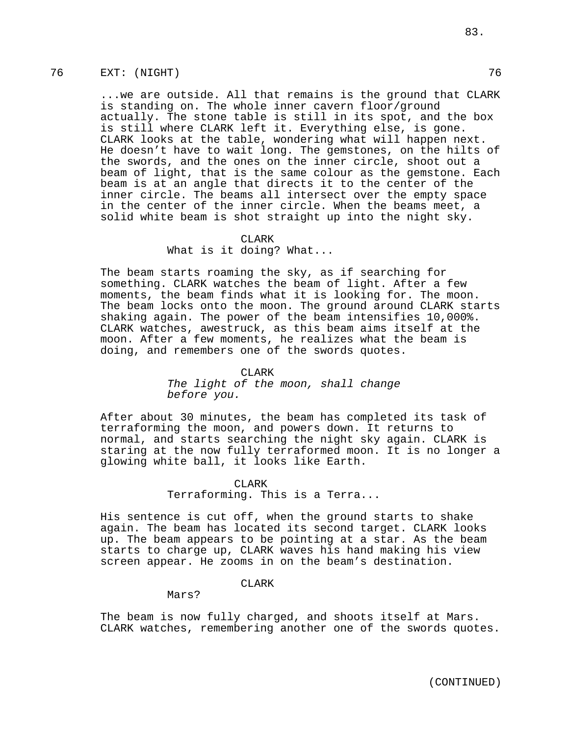## 76 EXT: (NIGHT) 76

...we are outside. All that remains is the ground that CLARK is standing on. The whole inner cavern floor/ground actually. The stone table is still in its spot, and the box is still where CLARK left it. Everything else, is gone. CLARK looks at the table, wondering what will happen next. He doesn't have to wait long. The gemstones, on the hilts of the swords, and the ones on the inner circle, shoot out a beam of light, that is the same colour as the gemstone. Each beam is at an angle that directs it to the center of the inner circle. The beams all intersect over the empty space in the center of the inner circle. When the beams meet, a solid white beam is shot straight up into the night sky.

#### CLARK

## What is it doing? What...

The beam starts roaming the sky, as if searching for something. CLARK watches the beam of light. After a few moments, the beam finds what it is looking for. The moon. The beam locks onto the moon. The ground around CLARK starts shaking again. The power of the beam intensifies 10,000%. CLARK watches, awestruck, as this beam aims itself at the moon. After a few moments, he realizes what the beam is doing, and remembers one of the swords quotes.

#### CLARK

The light of the moon, shall change before you.

After about 30 minutes, the beam has completed its task of terraforming the moon, and powers down. It returns to normal, and starts searching the night sky again. CLARK is staring at the now fully terraformed moon. It is no longer a glowing white ball, it looks like Earth.

# CLARK Terraforming. This is a Terra...

His sentence is cut off, when the ground starts to shake again. The beam has located its second target. CLARK looks up. The beam appears to be pointing at a star. As the beam starts to charge up, CLARK waves his hand making his view screen appear. He zooms in on the beam's destination.

## CLARK

Mars?

The beam is now fully charged, and shoots itself at Mars. CLARK watches, remembering another one of the swords quotes.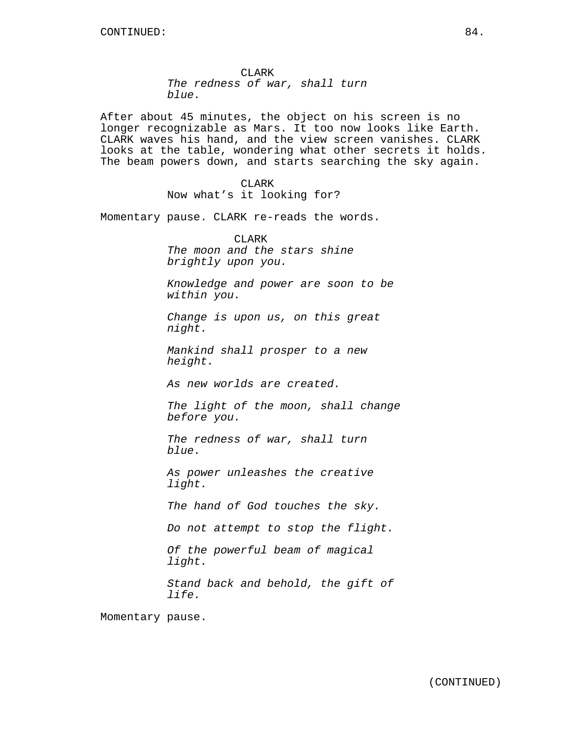CLARK The redness of war, shall turn blue.

After about 45 minutes, the object on his screen is no longer recognizable as Mars. It too now looks like Earth. CLARK waves his hand, and the view screen vanishes. CLARK looks at the table, wondering what other secrets it holds. The beam powers down, and starts searching the sky again.

> CLARK Now what's it looking for?

Momentary pause. CLARK re-reads the words.

CLARK The moon and the stars shine brightly upon you.

Knowledge and power are soon to be within you.

Change is upon us, on this great night.

Mankind shall prosper to a new height.

As new worlds are created.

The light of the moon, shall change before you.

The redness of war, shall turn blue.

As power unleashes the creative light.

The hand of God touches the sky.

Do not attempt to stop the flight.

Of the powerful beam of magical light.

Stand back and behold, the gift of life.

Momentary pause.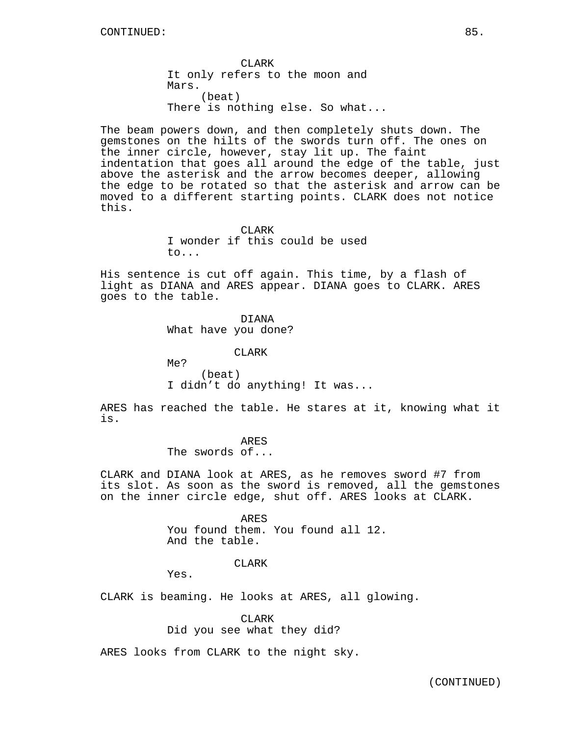CLARK It only refers to the moon and Mars. (beat) There is nothing else. So what...

The beam powers down, and then completely shuts down. The gemstones on the hilts of the swords turn off. The ones on the inner circle, however, stay lit up. The faint indentation that goes all around the edge of the table, just above the asterisk and the arrow becomes deeper, allowing the edge to be rotated so that the asterisk and arrow can be moved to a different starting points. CLARK does not notice this.

#### CLARK

I wonder if this could be used to...

His sentence is cut off again. This time, by a flash of light as DIANA and ARES appear. DIANA goes to CLARK. ARES goes to the table.

DIANA

What have you done?

CLARK

Me? (beat) I didn't do anything! It was...

ARES has reached the table. He stares at it, knowing what it is.

ARES

The swords of...

CLARK and DIANA look at ARES, as he removes sword #7 from its slot. As soon as the sword is removed, all the gemstones on the inner circle edge, shut off. ARES looks at CLARK.

> ARES You found them. You found all 12. And the table.

## CLARK

Yes.

CLARK is beaming. He looks at ARES, all glowing.

## CLARK

Did you see what they did?

ARES looks from CLARK to the night sky.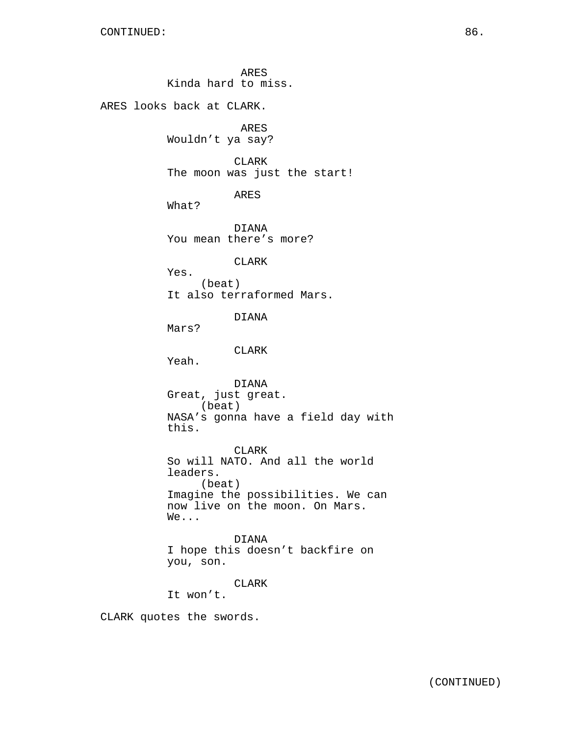ARES Kinda hard to miss. ARES looks back at CLARK. ARES Wouldn't ya say? CLARK The moon was just the start! ARES What? DIANA You mean there's more? CLARK Yes. (beat) It also terraformed Mars. DIANA Mars? CLARK Yeah. DIANA Great, just great. (beat) NASA's gonna have a field day with this. CLARK So will NATO. And all the world leaders. (beat) Imagine the possibilities. We can now live on the moon. On Mars. We... DIANA I hope this doesn't backfire on you, son. CLARK It won't. CLARK quotes the swords.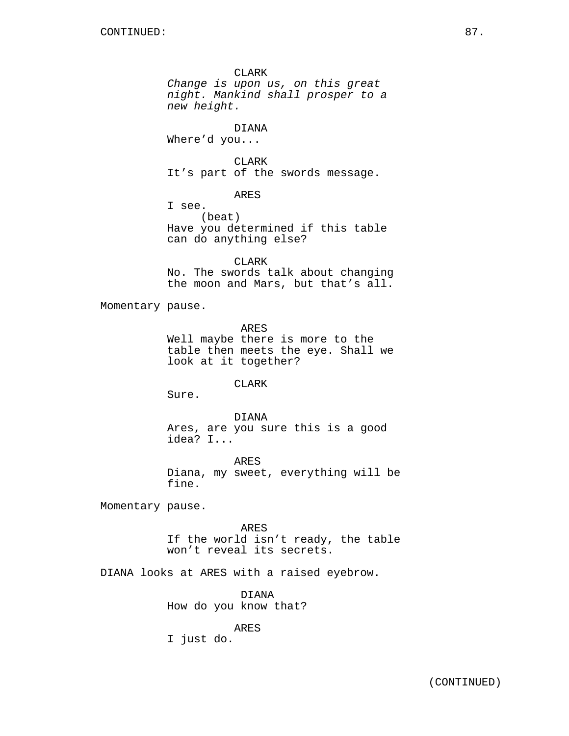CLARK Change is upon us, on this great night. Mankind shall prosper to a new height. DIANA Where'd you... CLARK It's part of the swords message. ARES I see. (beat) Have you determined if this table can do anything else? CLARK No. The swords talk about changing the moon and Mars, but that's all. Momentary pause. ARES Well maybe there is more to the table then meets the eye. Shall we look at it together? CLARK Sure. DIANA Ares, are you sure this is a good idea? I... ARES Diana, my sweet, everything will be fine. Momentary pause. ARES If the world isn't ready, the table won't reveal its secrets. DIANA looks at ARES with a raised eyebrow. DIANA How do you know that? ARES I just do.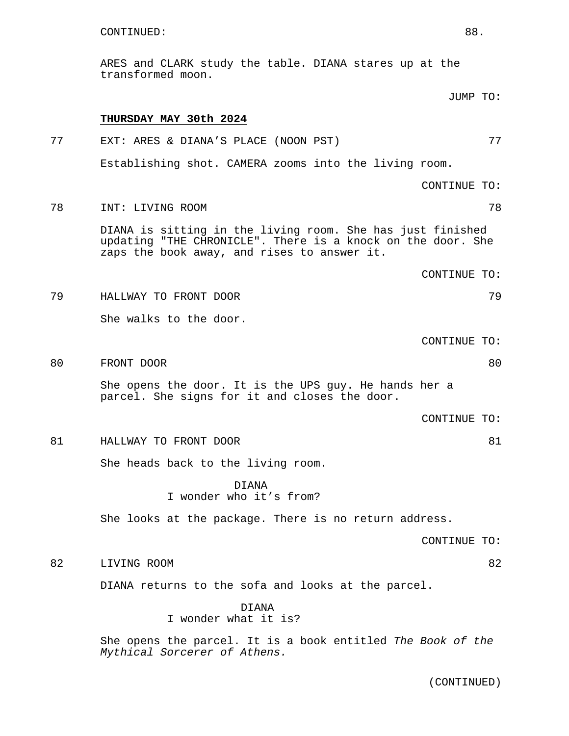ARES and CLARK study the table. DIANA stares up at the transformed moon.

|    |                                                                                                                                                                          | JUMP TO:     |    |
|----|--------------------------------------------------------------------------------------------------------------------------------------------------------------------------|--------------|----|
|    | THURSDAY MAY 30th 2024                                                                                                                                                   |              |    |
| 77 | EXT: ARES & DIANA'S PLACE (NOON PST)                                                                                                                                     |              | 77 |
|    | Establishing shot. CAMERA zooms into the living room.                                                                                                                    |              |    |
|    |                                                                                                                                                                          | CONTINUE TO: |    |
| 78 | INT: LIVING ROOM                                                                                                                                                         |              | 78 |
|    | DIANA is sitting in the living room. She has just finished<br>updating "THE CHRONICLE". There is a knock on the door. She<br>zaps the book away, and rises to answer it. |              |    |
|    |                                                                                                                                                                          | CONTINUE TO: |    |
| 79 | HALLWAY TO FRONT DOOR                                                                                                                                                    |              | 79 |
|    | She walks to the door.                                                                                                                                                   |              |    |
|    |                                                                                                                                                                          | CONTINUE TO: |    |
| 80 | FRONT DOOR                                                                                                                                                               |              | 80 |
|    | She opens the door. It is the UPS guy. He hands her a<br>parcel. She signs for it and closes the door.                                                                   |              |    |
|    |                                                                                                                                                                          | CONTINUE TO: |    |
| 81 | HALLWAY TO FRONT DOOR                                                                                                                                                    |              | 81 |
|    | She heads back to the living room.                                                                                                                                       |              |    |
|    | <b>DTANA</b><br>I wonder who it's from?                                                                                                                                  |              |    |
|    | She looks at the package. There is no return address.                                                                                                                    |              |    |
|    |                                                                                                                                                                          | CONTINUE TO: |    |
| 82 | LIVING ROOM                                                                                                                                                              |              | 82 |
|    | DIANA returns to the sofa and looks at the parcel.                                                                                                                       |              |    |
|    | <b>DIANA</b><br>I wonder what it is?                                                                                                                                     |              |    |
|    | She opens the parcel. It is a book entitled The Book of the<br>Mythical Sorcerer of Athens.                                                                              |              |    |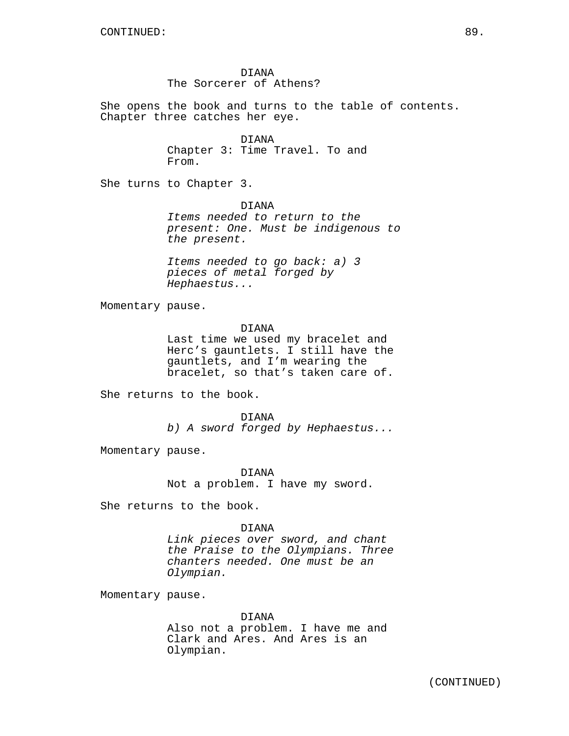DIANA The Sorcerer of Athens?

She opens the book and turns to the table of contents. Chapter three catches her eye.

> DIANA Chapter 3: Time Travel. To and From.

She turns to Chapter 3.

DIANA Items needed to return to the present: One. Must be indigenous to the present.

Items needed to go back: a) 3 pieces of metal forged by Hephaestus...

Momentary pause.

DIANA Last time we used my bracelet and Herc's gauntlets. I still have the gauntlets, and I'm wearing the bracelet, so that's taken care of.

She returns to the book.

DIANA b) A sword forged by Hephaestus...

Momentary pause.

DIANA Not a problem. I have my sword.

She returns to the book.

### DIANA

Link pieces over sword, and chant the Praise to the Olympians. Three chanters needed. One must be an Olympian.

Momentary pause.

#### DIANA

Also not a problem. I have me and Clark and Ares. And Ares is an Olympian.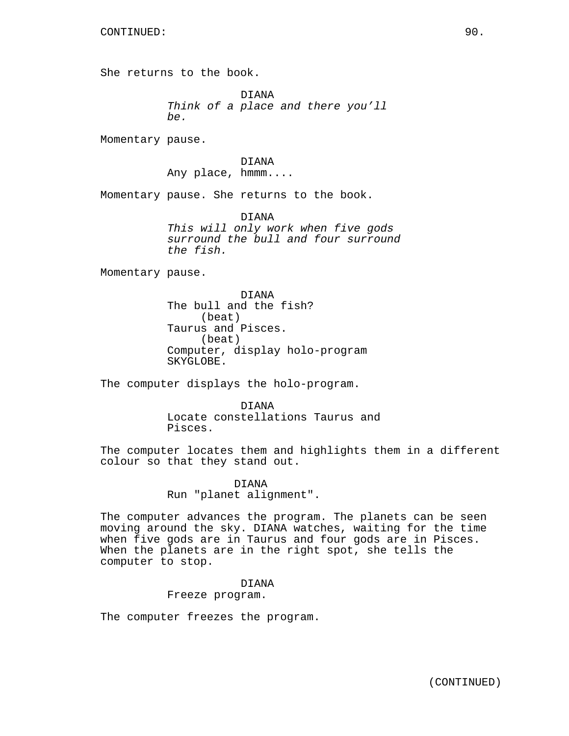She returns to the book.

DIANA Think of a place and there you'll be.

Momentary pause.

DIANA Any place, hmmm....

Momentary pause. She returns to the book.

DIANA This will only work when five gods surround the bull and four surround the fish.

Momentary pause.

DIANA The bull and the fish? (beat) Taurus and Pisces. (beat) Computer, display holo-program SKYGLOBE.

The computer displays the holo-program.

DIANA Locate constellations Taurus and Pisces.

The computer locates them and highlights them in a different colour so that they stand out.

> DIANA Run "planet alignment".

The computer advances the program. The planets can be seen moving around the sky. DIANA watches, waiting for the time when five gods are in Taurus and four gods are in Pisces. When the planets are in the right spot, she tells the computer to stop.

> DIANA Freeze program.

The computer freezes the program.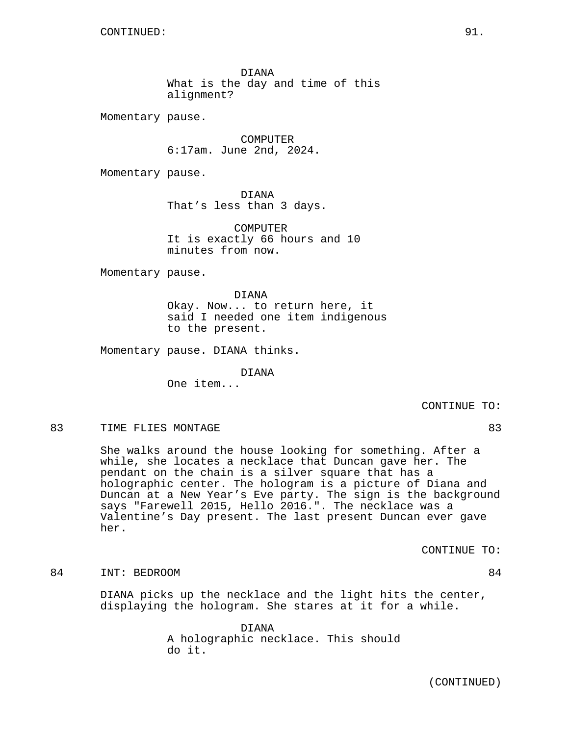DIANA What is the day and time of this alignment?

Momentary pause.

COMPUTER 6:17am. June 2nd, 2024.

Momentary pause.

DIANA That's less than 3 days.

COMPUTER It is exactly 66 hours and 10 minutes from now.

Momentary pause.

DIANA Okay. Now... to return here, it said I needed one item indigenous to the present.

Momentary pause. DIANA thinks.

DIANA One item...

CONTINUE TO:

## 83 TIME FLIES MONTAGE 83

She walks around the house looking for something. After a while, she locates a necklace that Duncan gave her. The pendant on the chain is a silver square that has a holographic center. The hologram is a picture of Diana and Duncan at a New Year's Eve party. The sign is the background says "Farewell 2015, Hello 2016.". The necklace was a Valentine's Day present. The last present Duncan ever gave her.

CONTINUE TO:

84 INT: BEDROOM 84

DIANA picks up the necklace and the light hits the center, displaying the hologram. She stares at it for a while.

> DIANA A holographic necklace. This should do it.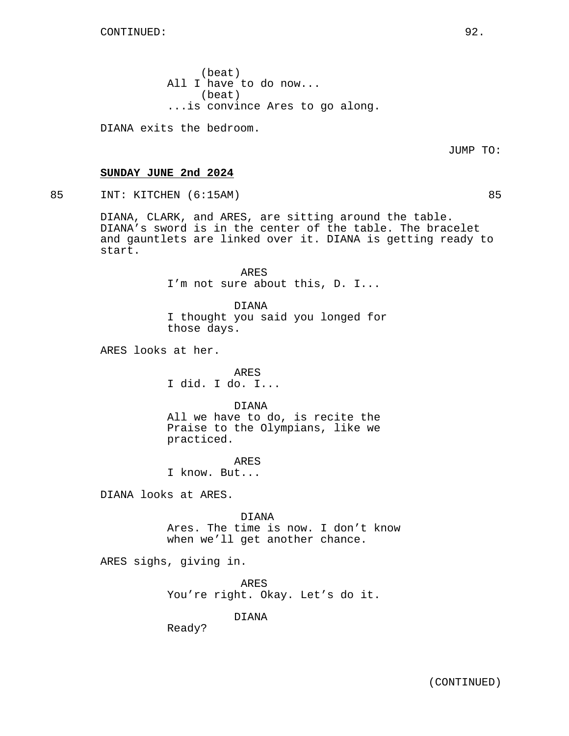(beat) All I have to do now... (beat) ...is convince Ares to go along.

DIANA exits the bedroom.

JUMP TO:

## **SUNDAY JUNE 2nd 2024**

85 INT: KITCHEN (6:15AM) 85

DIANA, CLARK, and ARES, are sitting around the table. DIANA's sword is in the center of the table. The bracelet and gauntlets are linked over it. DIANA is getting ready to start.

> ARES I'm not sure about this, D. I...

DIANA I thought you said you longed for those days.

ARES looks at her.

ARES I did. I do. I...

DIANA All we have to do, is recite the Praise to the Olympians, like we practiced.

ARES I know. But...

DIANA looks at ARES.

DIANA Ares. The time is now. I don't know when we'll get another chance.

ARES sighs, giving in.

ARES You're right. Okay. Let's do it.

DIANA

Ready?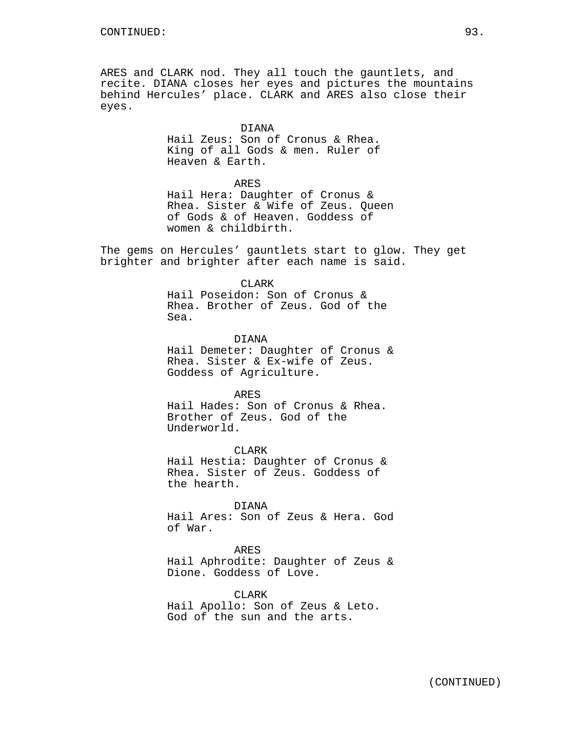ARES and CLARK nod. They all touch the gauntlets, and recite. DIANA closes her eyes and pictures the mountains behind Hercules' place. CLARK and ARES also close their eyes.

## DIANA

Hail Zeus: Son of Cronus & Rhea. King of all Gods & men. Ruler of Heaven & Earth.

### ARES

Hail Hera: Daughter of Cronus & Rhea. Sister & Wife of Zeus. Queen of Gods & of Heaven. Goddess of women & childbirth.

The gems on Hercules' gauntlets start to glow. They get brighter and brighter after each name is said.

#### CLARK

Hail Poseidon: Son of Cronus & Rhea. Brother of Zeus. God of the Sea.

DIANA

Hail Demeter: Daughter of Cronus & Rhea. Sister & Ex-wife of Zeus. Goddess of Agriculture.

ARES

Hail Hades: Son of Cronus & Rhea. Brother of Zeus. God of the Underworld.

CLARK Hail Hestia: Daughter of Cronus & Rhea. Sister of Zeus. Goddess of the hearth.

## DIANA

Hail Ares: Son of Zeus & Hera. God of War.

# ARES

Hail Aphrodite: Daughter of Zeus & Dione. Goddess of Love.

CLARK Hail Apollo: Son of Zeus & Leto. God of the sun and the arts.